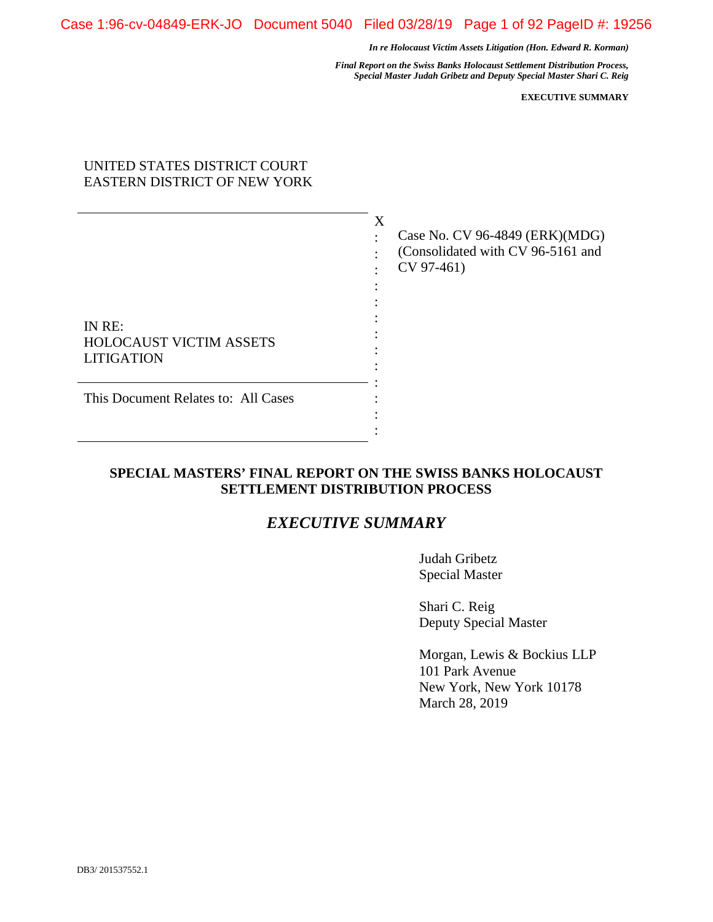*Final Report on the Swiss Banks Holocaust Settlement Distribution Process, Special Master Judah Gribetz and Deputy Special Master Shari C. Reig* 

**EXECUTIVE SUMMARY** 

# UNITED STATES DISTRICT COURT EASTERN DISTRICT OF NEW YORK

| IN RE:<br><b>HOLOCAUST VICTIM ASSETS</b><br><b>LITIGATION</b> | X | Case No. CV 96-4849 (ERK)(MDG)<br>(Consolidated with CV 96-5161 and<br>CV 97-461) |
|---------------------------------------------------------------|---|-----------------------------------------------------------------------------------|
| This Document Relates to: All Cases                           |   |                                                                                   |

# **SPECIAL MASTERS' FINAL REPORT ON THE SWISS BANKS HOLOCAUST SETTLEMENT DISTRIBUTION PROCESS**

**XXX** 

# *EXECUTIVE SUMMARY*

Judah Gribetz Special Master

Shari C. Reig Deputy Special Master

Morgan, Lewis & Bockius LLP 101 Park Avenue New York, New York 10178 March 28, 2019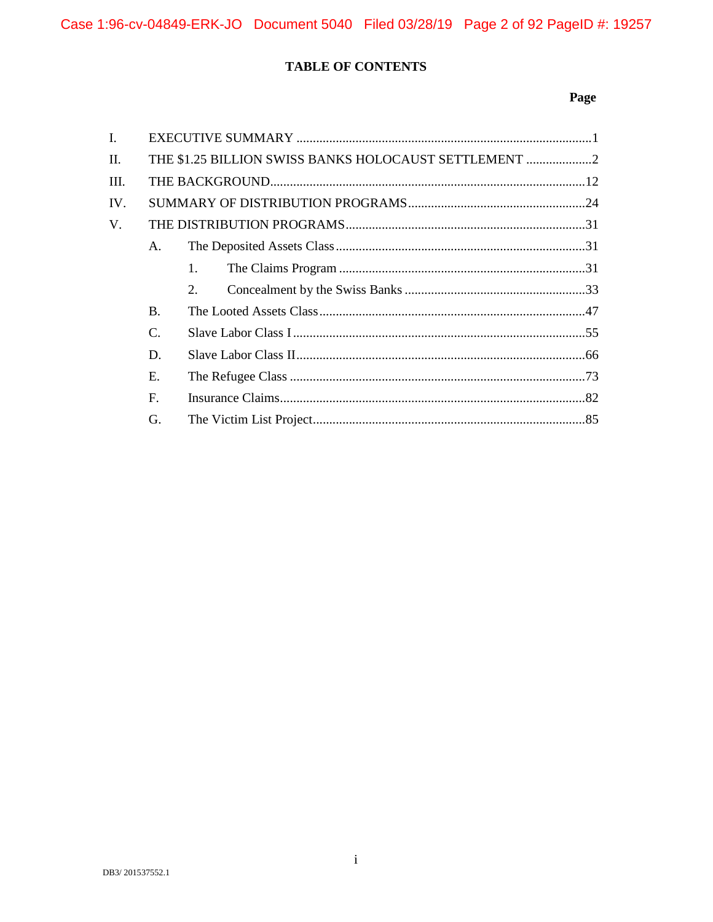# TABLE OF CONTENTS

# Page

| $\mathbf{I}$ . |                |                                                     |  |
|----------------|----------------|-----------------------------------------------------|--|
| II.            |                | THE \$1.25 BILLION SWISS BANKS HOLOCAUST SETTLEMENT |  |
| III.           |                |                                                     |  |
| IV.            |                |                                                     |  |
| V.             |                |                                                     |  |
|                | A.             |                                                     |  |
|                |                | 1.                                                  |  |
|                |                | 2.                                                  |  |
|                | <b>B.</b>      |                                                     |  |
|                | C.             |                                                     |  |
|                | D.             |                                                     |  |
|                | E.             |                                                     |  |
|                | $\mathbf{F}$ . |                                                     |  |
|                | G.             |                                                     |  |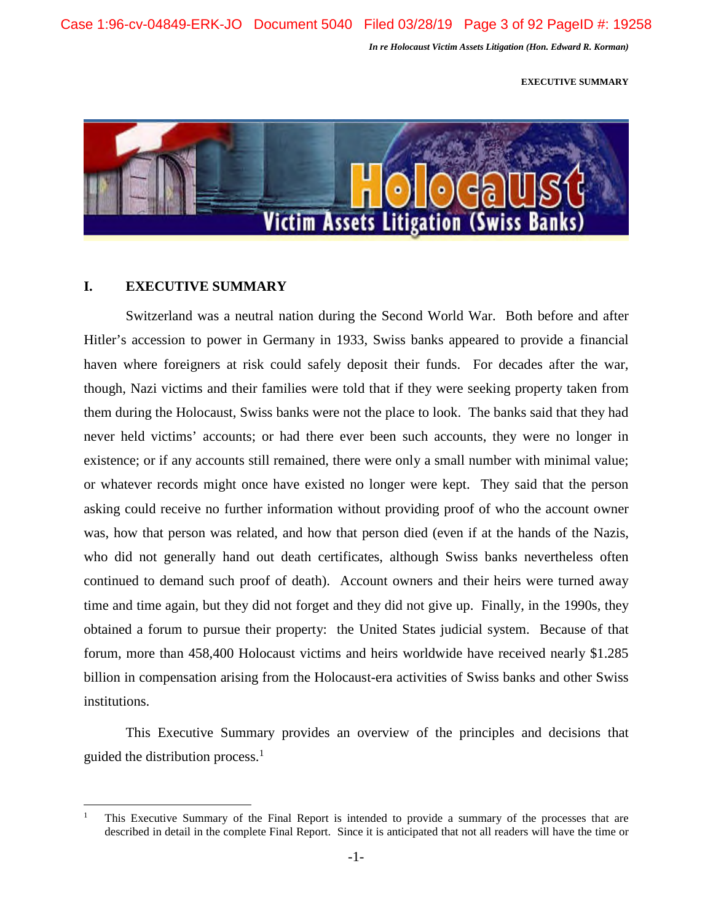**EXECUTIVE SUMMARY** 



## **I. EXECUTIVE SUMMARY**

Switzerland was a neutral nation during the Second World War. Both before and after Hitler's accession to power in Germany in 1933, Swiss banks appeared to provide a financial haven where foreigners at risk could safely deposit their funds. For decades after the war, though, Nazi victims and their families were told that if they were seeking property taken from them during the Holocaust, Swiss banks were not the place to look. The banks said that they had never held victims' accounts; or had there ever been such accounts, they were no longer in existence; or if any accounts still remained, there were only a small number with minimal value; or whatever records might once have existed no longer were kept. They said that the person asking could receive no further information without providing proof of who the account owner was, how that person was related, and how that person died (even if at the hands of the Nazis, who did not generally hand out death certificates, although Swiss banks nevertheless often continued to demand such proof of death). Account owners and their heirs were turned away time and time again, but they did not forget and they did not give up. Finally, in the 1990s, they obtained a forum to pursue their property: the United States judicial system. Because of that forum, more than 458,400 Holocaust victims and heirs worldwide have received nearly \$1.285 billion in compensation arising from the Holocaust-era activities of Swiss banks and other Swiss institutions.

This Executive Summary provides an overview of the principles and decisions that guided the distribution process. $<sup>1</sup>$ </sup>

<sup>1</sup> This Executive Summary of the Final Report is intended to provide a summary of the processes that are described in detail in the complete Final Report. Since it is anticipated that not all readers will have the time or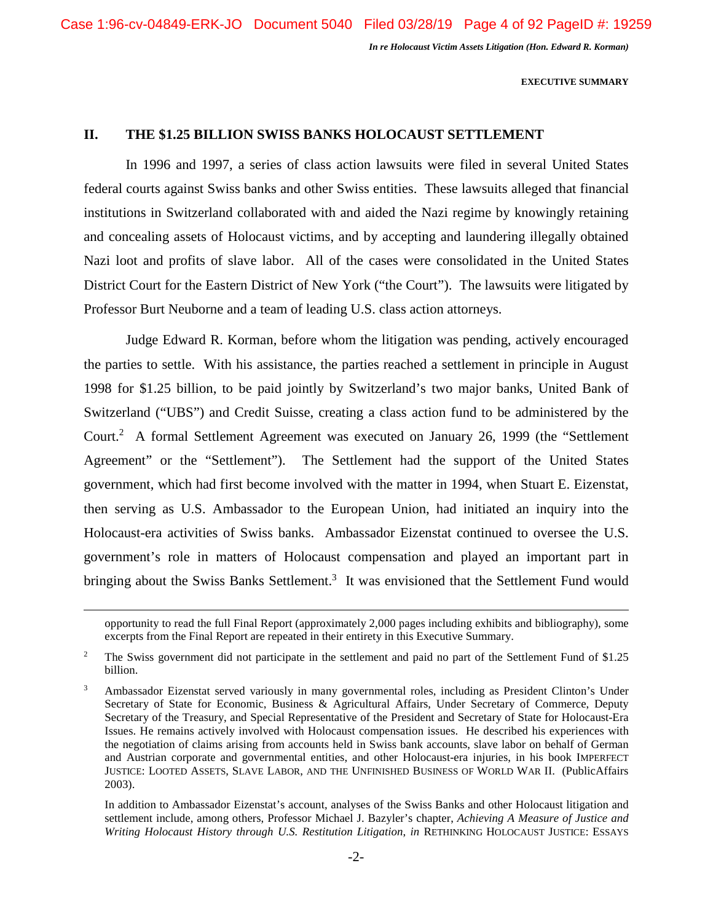**EXECUTIVE SUMMARY** 

## **II. THE \$1.25 BILLION SWISS BANKS HOLOCAUST SETTLEMENT**

In 1996 and 1997, a series of class action lawsuits were filed in several United States federal courts against Swiss banks and other Swiss entities. These lawsuits alleged that financial institutions in Switzerland collaborated with and aided the Nazi regime by knowingly retaining and concealing assets of Holocaust victims, and by accepting and laundering illegally obtained Nazi loot and profits of slave labor. All of the cases were consolidated in the United States District Court for the Eastern District of New York ("the Court"). The lawsuits were litigated by Professor Burt Neuborne and a team of leading U.S. class action attorneys.

Judge Edward R. Korman, before whom the litigation was pending, actively encouraged the parties to settle. With his assistance, the parties reached a settlement in principle in August 1998 for \$1.25 billion, to be paid jointly by Switzerland's two major banks, United Bank of Switzerland ("UBS") and Credit Suisse, creating a class action fund to be administered by the Court.<sup>2</sup> A formal Settlement Agreement was executed on January 26, 1999 (the "Settlement Agreement" or the "Settlement"). The Settlement had the support of the United States government, which had first become involved with the matter in 1994, when Stuart E. Eizenstat, then serving as U.S. Ambassador to the European Union, had initiated an inquiry into the Holocaust-era activities of Swiss banks. Ambassador Eizenstat continued to oversee the U.S. government's role in matters of Holocaust compensation and played an important part in bringing about the Swiss Banks Settlement.<sup>3</sup> It was envisioned that the Settlement Fund would

 In addition to Ambassador Eizenstat's account, analyses of the Swiss Banks and other Holocaust litigation and settlement include, among others, Professor Michael J. Bazyler's chapter, *Achieving A Measure of Justice and Writing Holocaust History through U.S. Restitution Litigation*, *in* RETHINKING HOLOCAUST JUSTICE: ESSAYS

opportunity to read the full Final Report (approximately 2,000 pages including exhibits and bibliography), some excerpts from the Final Report are repeated in their entirety in this Executive Summary.

<sup>2</sup> The Swiss government did not participate in the settlement and paid no part of the Settlement Fund of \$1.25 billion.

<sup>3</sup> Ambassador Eizenstat served variously in many governmental roles, including as President Clinton's Under Secretary of State for Economic, Business & Agricultural Affairs, Under Secretary of Commerce, Deputy Secretary of the Treasury, and Special Representative of the President and Secretary of State for Holocaust-Era Issues. He remains actively involved with Holocaust compensation issues. He described his experiences with the negotiation of claims arising from accounts held in Swiss bank accounts, slave labor on behalf of German and Austrian corporate and governmental entities, and other Holocaust-era injuries, in his book IMPERFECT JUSTICE: LOOTED ASSETS, SLAVE LABOR, AND THE UNFINISHED BUSINESS OF WORLD WAR II. (PublicAffairs 2003).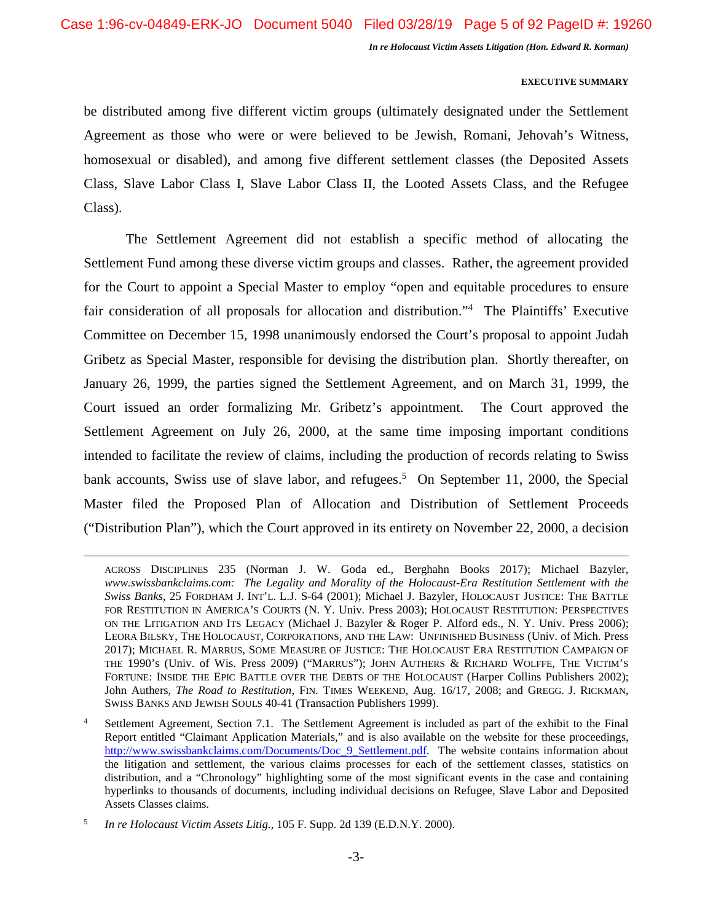## **EXECUTIVE SUMMARY**

be distributed among five different victim groups (ultimately designated under the Settlement Agreement as those who were or were believed to be Jewish, Romani, Jehovah's Witness, homosexual or disabled), and among five different settlement classes (the Deposited Assets Class, Slave Labor Class I, Slave Labor Class II, the Looted Assets Class, and the Refugee Class).

The Settlement Agreement did not establish a specific method of allocating the Settlement Fund among these diverse victim groups and classes. Rather, the agreement provided for the Court to appoint a Special Master to employ "open and equitable procedures to ensure fair consideration of all proposals for allocation and distribution."<sup>4</sup> The Plaintiffs' Executive Committee on December 15, 1998 unanimously endorsed the Court's proposal to appoint Judah Gribetz as Special Master, responsible for devising the distribution plan. Shortly thereafter, on January 26, 1999, the parties signed the Settlement Agreement, and on March 31, 1999, the Court issued an order formalizing Mr. Gribetz's appointment. The Court approved the Settlement Agreement on July 26, 2000, at the same time imposing important conditions intended to facilitate the review of claims, including the production of records relating to Swiss bank accounts, Swiss use of slave labor, and refugees.<sup>5</sup> On September 11, 2000, the Special Master filed the Proposed Plan of Allocation and Distribution of Settlement Proceeds ("Distribution Plan"), which the Court approved in its entirety on November 22, 2000, a decision

ACROSS DISCIPLINES 235 (Norman J. W. Goda ed., Berghahn Books 2017); Michael Bazyler, *www.swissbankclaims.com: The Legality and Morality of the Holocaust-Era Restitution Settlement with the Swiss Banks*, 25 FORDHAM J. INT'L. L.J. S-64 (2001); Michael J. Bazyler, HOLOCAUST JUSTICE: THE BATTLE FOR RESTITUTION IN AMERICA'S COURTS (N. Y. Univ. Press 2003); HOLOCAUST RESTITUTION: PERSPECTIVES ON THE LITIGATION AND ITS LEGACY (Michael J. Bazyler & Roger P. Alford eds., N. Y. Univ. Press 2006); LEORA BILSKY, THE HOLOCAUST, CORPORATIONS, AND THE LAW: UNFINISHED BUSINESS (Univ. of Mich. Press 2017); MICHAEL R. MARRUS, SOME MEASURE OF JUSTICE: THE HOLOCAUST ERA RESTITUTION CAMPAIGN OF THE 1990's (Univ. of Wis. Press 2009) ("MARRUS"); JOHN AUTHERS & RICHARD WOLFFE, THE VICTIM'S FORTUNE: INSIDE THE EPIC BATTLE OVER THE DEBTS OF THE HOLOCAUST (Harper Collins Publishers 2002); John Authers, *The Road to Restitution*, FIN. TIMES WEEKEND, Aug. 16/17, 2008; and GREGG. J. RICKMAN, SWISS BANKS AND JEWISH SOULS 40-41 (Transaction Publishers 1999).

<sup>4</sup> Settlement Agreement, Section 7.1. The Settlement Agreement is included as part of the exhibit to the Final Report entitled "Claimant Application Materials," and is also available on the website for these proceedings, http://www.swissbankclaims.com/Documents/Doc\_9\_Settlement.pdf. The website contains information about the litigation and settlement, the various claims processes for each of the settlement classes, statistics on distribution, and a "Chronology" highlighting some of the most significant events in the case and containing hyperlinks to thousands of documents, including individual decisions on Refugee, Slave Labor and Deposited Assets Classes claims.

<sup>5</sup> *In re Holocaust Victim Assets Litig.*, 105 F. Supp. 2d 139 (E.D.N.Y. 2000).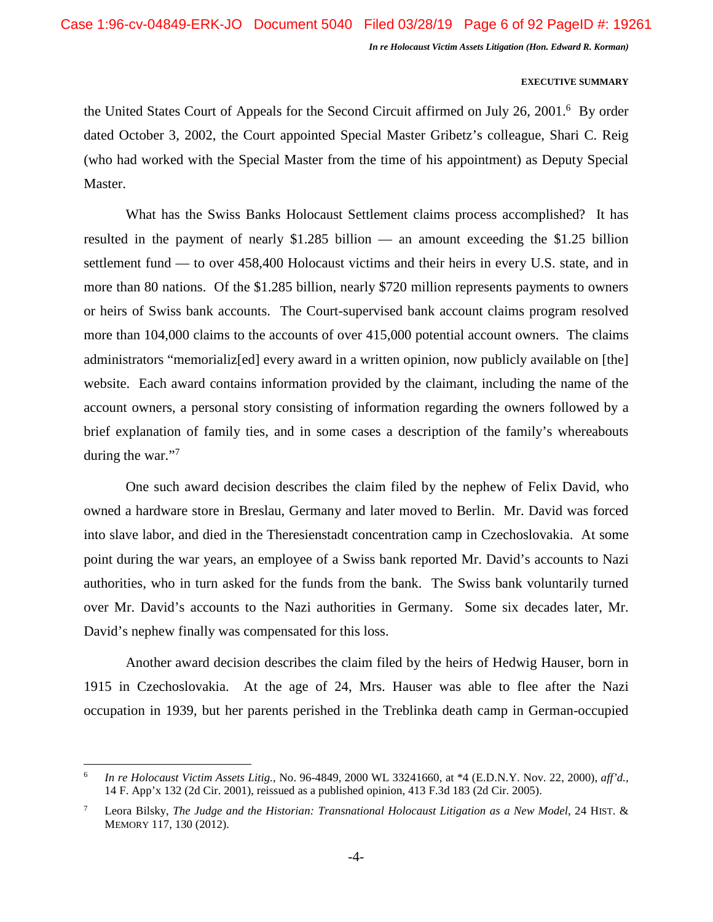## **EXECUTIVE SUMMARY**

the United States Court of Appeals for the Second Circuit affirmed on July 26, 2001.<sup>6</sup> By order dated October 3, 2002, the Court appointed Special Master Gribetz's colleague, Shari C. Reig (who had worked with the Special Master from the time of his appointment) as Deputy Special Master.

What has the Swiss Banks Holocaust Settlement claims process accomplished? It has resulted in the payment of nearly \$1.285 billion — an amount exceeding the \$1.25 billion settlement fund — to over 458,400 Holocaust victims and their heirs in every U.S. state, and in more than 80 nations. Of the \$1.285 billion, nearly \$720 million represents payments to owners or heirs of Swiss bank accounts. The Court-supervised bank account claims program resolved more than 104,000 claims to the accounts of over 415,000 potential account owners. The claims administrators "memorializ[ed] every award in a written opinion, now publicly available on [the] website. Each award contains information provided by the claimant, including the name of the account owners, a personal story consisting of information regarding the owners followed by a brief explanation of family ties, and in some cases a description of the family's whereabouts during the war."<sup>7</sup>

One such award decision describes the claim filed by the nephew of Felix David, who owned a hardware store in Breslau, Germany and later moved to Berlin. Mr. David was forced into slave labor, and died in the Theresienstadt concentration camp in Czechoslovakia. At some point during the war years, an employee of a Swiss bank reported Mr. David's accounts to Nazi authorities, who in turn asked for the funds from the bank. The Swiss bank voluntarily turned over Mr. David's accounts to the Nazi authorities in Germany. Some six decades later, Mr. David's nephew finally was compensated for this loss.

Another award decision describes the claim filed by the heirs of Hedwig Hauser, born in 1915 in Czechoslovakia. At the age of 24, Mrs. Hauser was able to flee after the Nazi occupation in 1939, but her parents perished in the Treblinka death camp in German-occupied

<sup>6</sup> *In re Holocaust Victim Assets Litig.*, No. 96-4849, 2000 WL 33241660, at \*4 (E.D.N.Y. Nov. 22, 2000), *aff'd.*, 14 F. App'x 132 (2d Cir. 2001), reissued as a published opinion, 413 F.3d 183 (2d Cir. 2005).

<sup>7</sup> Leora Bilsky, *The Judge and the Historian: Transnational Holocaust Litigation as a New Model*, 24 HIST. & MEMORY 117, 130 (2012).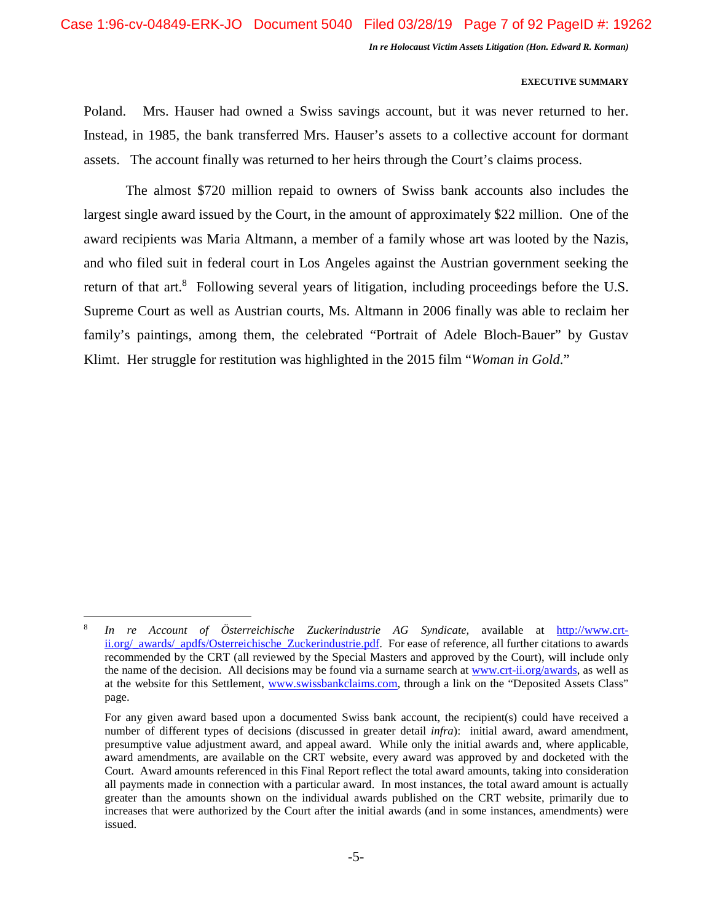## **EXECUTIVE SUMMARY**

Poland. Mrs. Hauser had owned a Swiss savings account, but it was never returned to her. Instead, in 1985, the bank transferred Mrs. Hauser's assets to a collective account for dormant assets. The account finally was returned to her heirs through the Court's claims process.

The almost \$720 million repaid to owners of Swiss bank accounts also includes the largest single award issued by the Court, in the amount of approximately \$22 million. One of the award recipients was Maria Altmann, a member of a family whose art was looted by the Nazis, and who filed suit in federal court in Los Angeles against the Austrian government seeking the return of that art. $8$  Following several years of litigation, including proceedings before the U.S. Supreme Court as well as Austrian courts, Ms. Altmann in 2006 finally was able to reclaim her family's paintings, among them, the celebrated "Portrait of Adele Bloch-Bauer" by Gustav Klimt. Her struggle for restitution was highlighted in the 2015 film "*Woman in Gold*."

<sup>8</sup> *In re Account of Österreichische Zuckerindustrie AG Syndicate,* available at http://www.crtii.org/\_awards/\_apdfs/Osterreichische\_Zuckerindustrie.pdf. For ease of reference, all further citations to awards recommended by the CRT (all reviewed by the Special Masters and approved by the Court), will include only the name of the decision. All decisions may be found via a surname search at www.crt-ii.org/awards, as well as at the website for this Settlement, www.swissbankclaims.com, through a link on the "Deposited Assets Class" page.

For any given award based upon a documented Swiss bank account, the recipient(s) could have received a number of different types of decisions (discussed in greater detail *infra*): initial award, award amendment, presumptive value adjustment award, and appeal award. While only the initial awards and, where applicable, award amendments, are available on the CRT website, every award was approved by and docketed with the Court. Award amounts referenced in this Final Report reflect the total award amounts, taking into consideration all payments made in connection with a particular award. In most instances, the total award amount is actually greater than the amounts shown on the individual awards published on the CRT website, primarily due to increases that were authorized by the Court after the initial awards (and in some instances, amendments) were issued.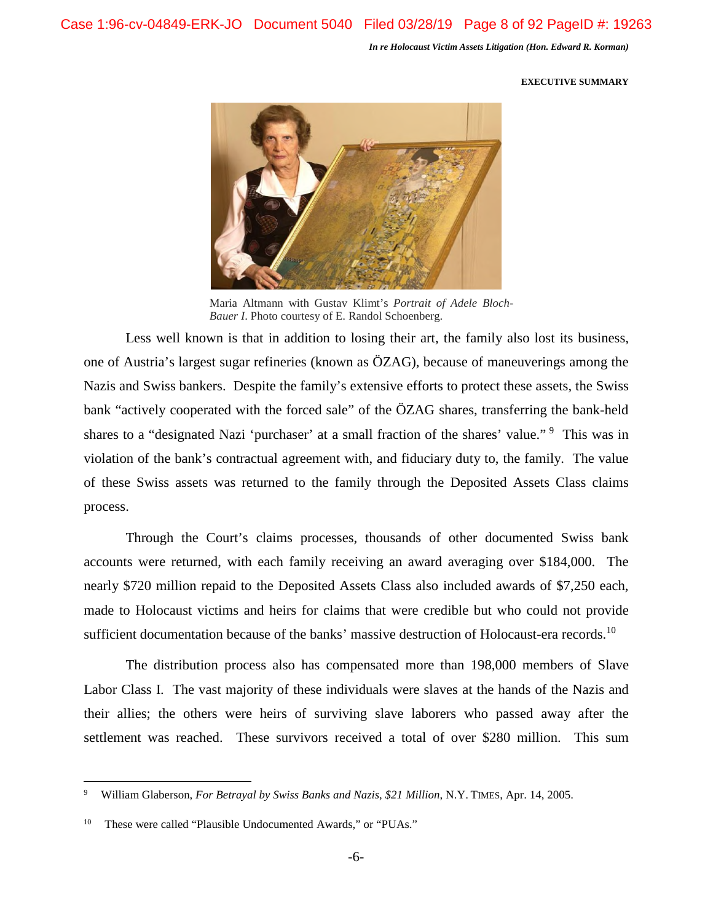#### **EXECUTIVE SUMMARY**



Maria Altmann with Gustav Klimt's *Portrait of Adele Bloch-Bauer I*. Photo courtesy of E. Randol Schoenberg.

Less well known is that in addition to losing their art, the family also lost its business, one of Austria's largest sugar refineries (known as ÖZAG), because of maneuverings among the Nazis and Swiss bankers. Despite the family's extensive efforts to protect these assets, the Swiss bank "actively cooperated with the forced sale" of the ÖZAG shares, transferring the bank-held shares to a "designated Nazi 'purchaser' at a small fraction of the shares' value."<sup>9</sup> This was in violation of the bank's contractual agreement with, and fiduciary duty to, the family. The value of these Swiss assets was returned to the family through the Deposited Assets Class claims process.

Through the Court's claims processes, thousands of other documented Swiss bank accounts were returned, with each family receiving an award averaging over \$184,000. The nearly \$720 million repaid to the Deposited Assets Class also included awards of \$7,250 each, made to Holocaust victims and heirs for claims that were credible but who could not provide sufficient documentation because of the banks' massive destruction of Holocaust-era records.<sup>10</sup>

The distribution process also has compensated more than 198,000 members of Slave Labor Class I. The vast majority of these individuals were slaves at the hands of the Nazis and their allies; the others were heirs of surviving slave laborers who passed away after the settlement was reached. These survivors received a total of over \$280 million. This sum

<sup>9</sup> William Glaberson, *For Betrayal by Swiss Banks and Nazis, \$21 Million*, N.Y. TIMES, Apr. 14, 2005.

<sup>&</sup>lt;sup>10</sup> These were called "Plausible Undocumented Awards," or "PUAs."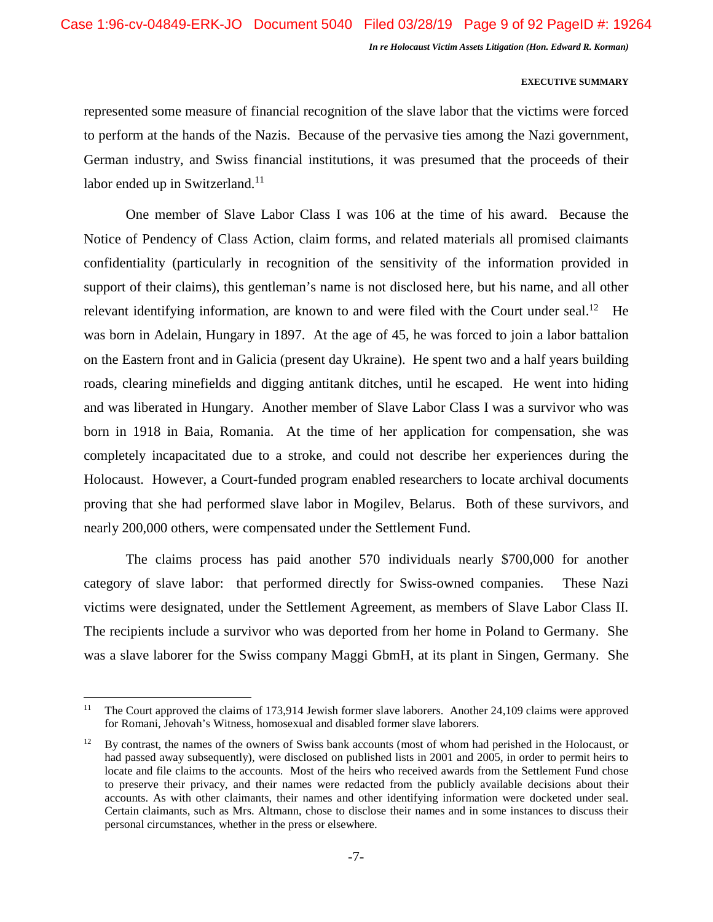## **EXECUTIVE SUMMARY**

represented some measure of financial recognition of the slave labor that the victims were forced to perform at the hands of the Nazis. Because of the pervasive ties among the Nazi government, German industry, and Swiss financial institutions, it was presumed that the proceeds of their labor ended up in Switzerland.<sup>11</sup>

One member of Slave Labor Class I was 106 at the time of his award. Because the Notice of Pendency of Class Action, claim forms, and related materials all promised claimants confidentiality (particularly in recognition of the sensitivity of the information provided in support of their claims), this gentleman's name is not disclosed here, but his name, and all other relevant identifying information, are known to and were filed with the Court under seal.<sup>12</sup> He was born in Adelain, Hungary in 1897. At the age of 45, he was forced to join a labor battalion on the Eastern front and in Galicia (present day Ukraine). He spent two and a half years building roads, clearing minefields and digging antitank ditches, until he escaped. He went into hiding and was liberated in Hungary. Another member of Slave Labor Class I was a survivor who was born in 1918 in Baia, Romania. At the time of her application for compensation, she was completely incapacitated due to a stroke, and could not describe her experiences during the Holocaust. However, a Court-funded program enabled researchers to locate archival documents proving that she had performed slave labor in Mogilev, Belarus. Both of these survivors, and nearly 200,000 others, were compensated under the Settlement Fund.

The claims process has paid another 570 individuals nearly \$700,000 for another category of slave labor: that performed directly for Swiss-owned companies. These Nazi victims were designated, under the Settlement Agreement, as members of Slave Labor Class II. The recipients include a survivor who was deported from her home in Poland to Germany. She was a slave laborer for the Swiss company Maggi GbmH, at its plant in Singen, Germany. She

<sup>&</sup>lt;sup>11</sup> The Court approved the claims of 173,914 Jewish former slave laborers. Another 24,109 claims were approved for Romani, Jehovah's Witness, homosexual and disabled former slave laborers.

<sup>&</sup>lt;sup>12</sup> By contrast, the names of the owners of Swiss bank accounts (most of whom had perished in the Holocaust, or had passed away subsequently), were disclosed on published lists in 2001 and 2005, in order to permit heirs to locate and file claims to the accounts. Most of the heirs who received awards from the Settlement Fund chose to preserve their privacy, and their names were redacted from the publicly available decisions about their accounts. As with other claimants, their names and other identifying information were docketed under seal. Certain claimants, such as Mrs. Altmann, chose to disclose their names and in some instances to discuss their personal circumstances, whether in the press or elsewhere.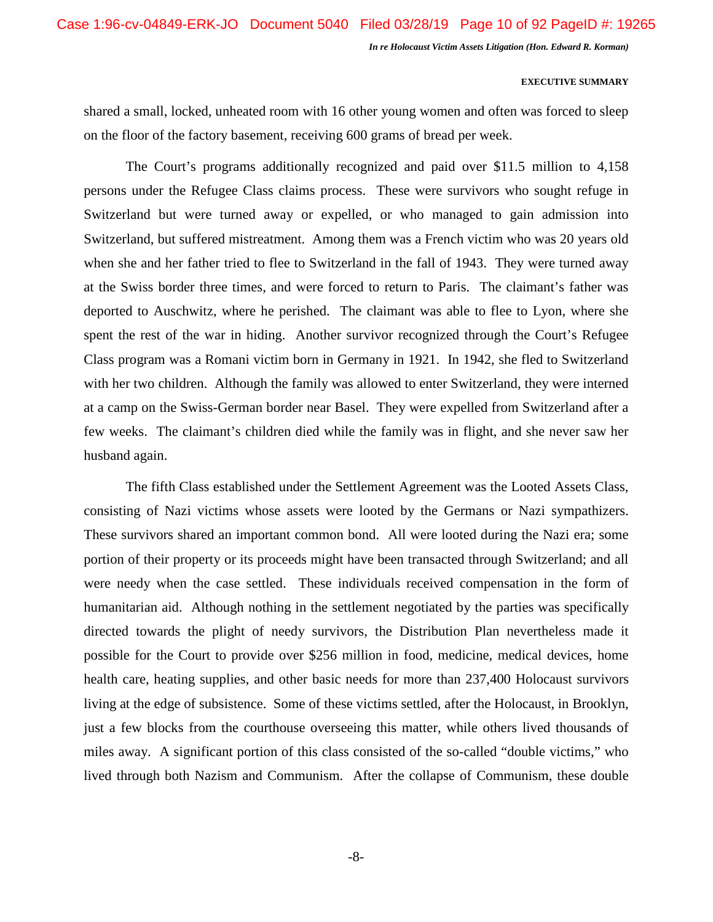### **EXECUTIVE SUMMARY**

shared a small, locked, unheated room with 16 other young women and often was forced to sleep on the floor of the factory basement, receiving 600 grams of bread per week.

The Court's programs additionally recognized and paid over \$11.5 million to 4,158 persons under the Refugee Class claims process. These were survivors who sought refuge in Switzerland but were turned away or expelled, or who managed to gain admission into Switzerland, but suffered mistreatment. Among them was a French victim who was 20 years old when she and her father tried to flee to Switzerland in the fall of 1943. They were turned away at the Swiss border three times, and were forced to return to Paris. The claimant's father was deported to Auschwitz, where he perished. The claimant was able to flee to Lyon, where she spent the rest of the war in hiding. Another survivor recognized through the Court's Refugee Class program was a Romani victim born in Germany in 1921. In 1942, she fled to Switzerland with her two children. Although the family was allowed to enter Switzerland, they were interned at a camp on the Swiss-German border near Basel. They were expelled from Switzerland after a few weeks. The claimant's children died while the family was in flight, and she never saw her husband again.

The fifth Class established under the Settlement Agreement was the Looted Assets Class, consisting of Nazi victims whose assets were looted by the Germans or Nazi sympathizers. These survivors shared an important common bond. All were looted during the Nazi era; some portion of their property or its proceeds might have been transacted through Switzerland; and all were needy when the case settled. These individuals received compensation in the form of humanitarian aid. Although nothing in the settlement negotiated by the parties was specifically directed towards the plight of needy survivors, the Distribution Plan nevertheless made it possible for the Court to provide over \$256 million in food, medicine, medical devices, home health care, heating supplies, and other basic needs for more than 237,400 Holocaust survivors living at the edge of subsistence. Some of these victims settled, after the Holocaust, in Brooklyn, just a few blocks from the courthouse overseeing this matter, while others lived thousands of miles away. A significant portion of this class consisted of the so-called "double victims," who lived through both Nazism and Communism. After the collapse of Communism, these double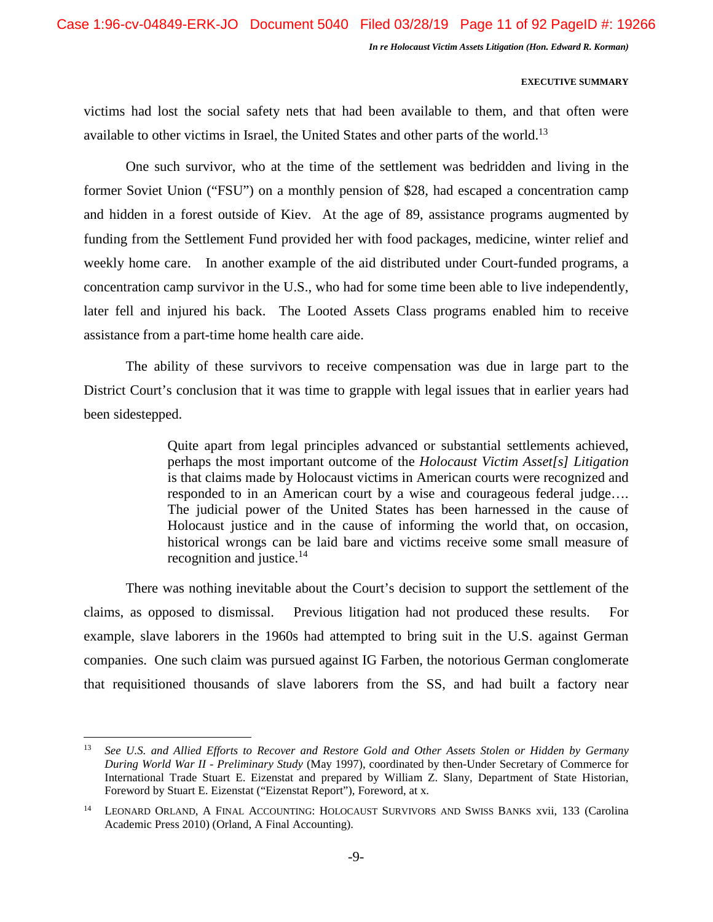## **EXECUTIVE SUMMARY**

victims had lost the social safety nets that had been available to them, and that often were available to other victims in Israel, the United States and other parts of the world.<sup>13</sup>

One such survivor, who at the time of the settlement was bedridden and living in the former Soviet Union ("FSU") on a monthly pension of \$28, had escaped a concentration camp and hidden in a forest outside of Kiev. At the age of 89, assistance programs augmented by funding from the Settlement Fund provided her with food packages, medicine, winter relief and weekly home care. In another example of the aid distributed under Court-funded programs, a concentration camp survivor in the U.S., who had for some time been able to live independently, later fell and injured his back. The Looted Assets Class programs enabled him to receive assistance from a part-time home health care aide.

The ability of these survivors to receive compensation was due in large part to the District Court's conclusion that it was time to grapple with legal issues that in earlier years had been sidestepped.

> Quite apart from legal principles advanced or substantial settlements achieved, perhaps the most important outcome of the *Holocaust Victim Asset[s] Litigation*  is that claims made by Holocaust victims in American courts were recognized and responded to in an American court by a wise and courageous federal judge…. The judicial power of the United States has been harnessed in the cause of Holocaust justice and in the cause of informing the world that, on occasion, historical wrongs can be laid bare and victims receive some small measure of recognition and justice. $14$

There was nothing inevitable about the Court's decision to support the settlement of the claims, as opposed to dismissal. Previous litigation had not produced these results. For example, slave laborers in the 1960s had attempted to bring suit in the U.S. against German companies. One such claim was pursued against IG Farben, the notorious German conglomerate that requisitioned thousands of slave laborers from the SS, and had built a factory near

<sup>13</sup> *See U.S. and Allied Efforts to Recover and Restore Gold and Other Assets Stolen or Hidden by Germany During World War II - Preliminary Study* (May 1997), coordinated by then-Under Secretary of Commerce for International Trade Stuart E. Eizenstat and prepared by William Z. Slany, Department of State Historian, Foreword by Stuart E. Eizenstat ("Eizenstat Report"), Foreword, at x.

<sup>&</sup>lt;sup>14</sup> LEONARD ORLAND, A FINAL ACCOUNTING: HOLOCAUST SURVIVORS AND SWISS BANKS xvii, 133 (Carolina Academic Press 2010) (Orland, A Final Accounting).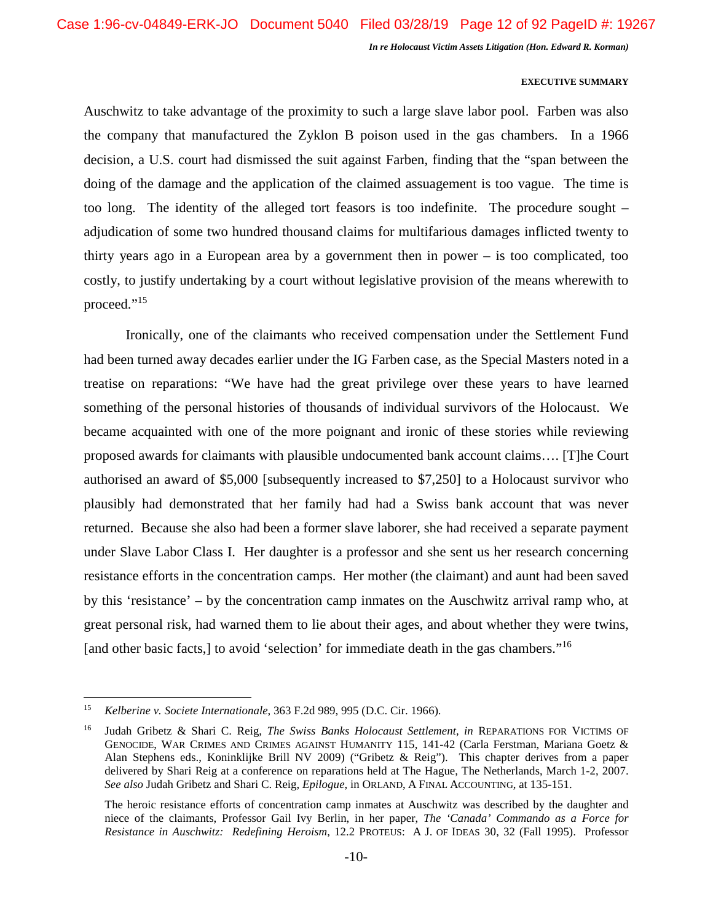## **EXECUTIVE SUMMARY**

Auschwitz to take advantage of the proximity to such a large slave labor pool. Farben was also the company that manufactured the Zyklon B poison used in the gas chambers. In a 1966 decision, a U.S. court had dismissed the suit against Farben, finding that the "span between the doing of the damage and the application of the claimed assuagement is too vague. The time is too long. The identity of the alleged tort feasors is too indefinite. The procedure sought – adjudication of some two hundred thousand claims for multifarious damages inflicted twenty to thirty years ago in a European area by a government then in power – is too complicated, too costly, to justify undertaking by a court without legislative provision of the means wherewith to proceed."<sup>15</sup>

Ironically, one of the claimants who received compensation under the Settlement Fund had been turned away decades earlier under the IG Farben case, as the Special Masters noted in a treatise on reparations: "We have had the great privilege over these years to have learned something of the personal histories of thousands of individual survivors of the Holocaust. We became acquainted with one of the more poignant and ironic of these stories while reviewing proposed awards for claimants with plausible undocumented bank account claims…. [T]he Court authorised an award of \$5,000 [subsequently increased to \$7,250] to a Holocaust survivor who plausibly had demonstrated that her family had had a Swiss bank account that was never returned. Because she also had been a former slave laborer, she had received a separate payment under Slave Labor Class I. Her daughter is a professor and she sent us her research concerning resistance efforts in the concentration camps. Her mother (the claimant) and aunt had been saved by this 'resistance' – by the concentration camp inmates on the Auschwitz arrival ramp who, at great personal risk, had warned them to lie about their ages, and about whether they were twins, [and other basic facts,] to avoid 'selection' for immediate death in the gas chambers."<sup>16</sup>

<sup>15</sup> *Kelberine v. Societe Internationale*, 363 F.2d 989, 995 (D.C. Cir. 1966).

<sup>16</sup> Judah Gribetz & Shari C. Reig, *The Swiss Banks Holocaust Settlement, in* REPARATIONS FOR VICTIMS OF GENOCIDE, WAR CRIMES AND CRIMES AGAINST HUMANITY 115, 141-42 (Carla Ferstman, Mariana Goetz & Alan Stephens eds., Koninklijke Brill NV 2009) ("Gribetz & Reig"). This chapter derives from a paper delivered by Shari Reig at a conference on reparations held at The Hague, The Netherlands, March 1-2, 2007. *See also* Judah Gribetz and Shari C. Reig, *Epilogue*, in ORLAND, A FINAL ACCOUNTING, at 135-151.

The heroic resistance efforts of concentration camp inmates at Auschwitz was described by the daughter and niece of the claimants, Professor Gail Ivy Berlin, in her paper, *The 'Canada' Commando as a Force for Resistance in Auschwitz: Redefining Heroism*, 12.2 PROTEUS: A J. OF IDEAS 30, 32 (Fall 1995). Professor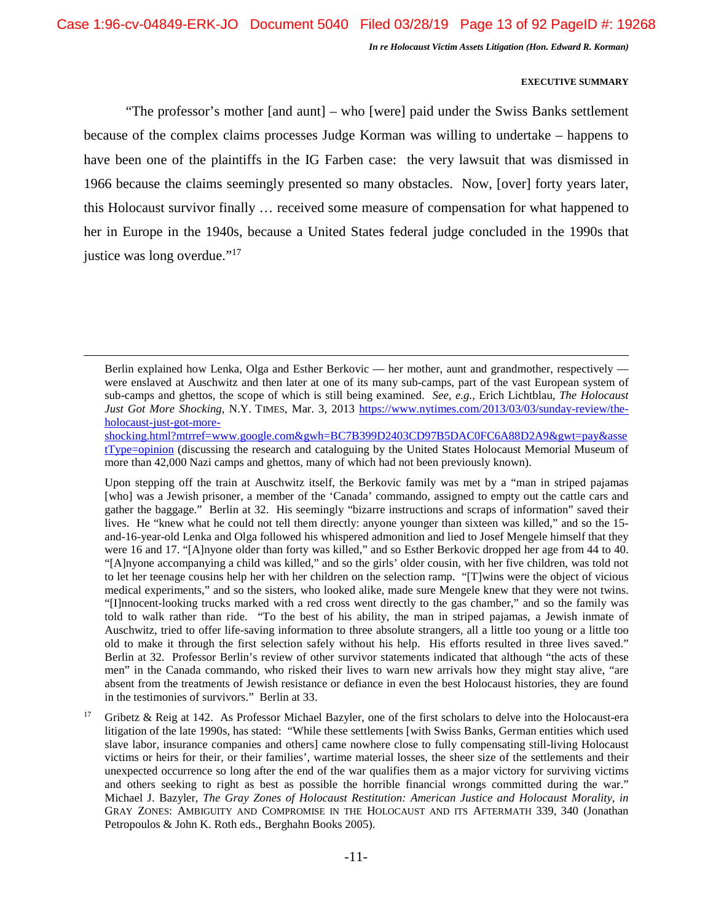## **EXECUTIVE SUMMARY**

"The professor's mother [and aunt] – who [were] paid under the Swiss Banks settlement because of the complex claims processes Judge Korman was willing to undertake – happens to have been one of the plaintiffs in the IG Farben case: the very lawsuit that was dismissed in 1966 because the claims seemingly presented so many obstacles. Now, [over] forty years later, this Holocaust survivor finally … received some measure of compensation for what happened to her in Europe in the 1940s, because a United States federal judge concluded in the 1990s that justice was long overdue."<sup>17</sup>

Berlin explained how Lenka, Olga and Esther Berkovic — her mother, aunt and grandmother, respectively were enslaved at Auschwitz and then later at one of its many sub-camps, part of the vast European system of sub-camps and ghettos, the scope of which is still being examined. *See, e.g.,* Erich Lichtblau, *The Holocaust Just Got More Shocking*, N.Y. TIMES, Mar. 3, 2013 https://www.nytimes.com/2013/03/03/sunday-review/theholocaust-just-got-more-

shocking.html?mtrref=www.google.com&gwh=BC7B399D2403CD97B5DAC0FC6A88D2A9&gwt=pay&asse tType=opinion (discussing the research and cataloguing by the United States Holocaust Memorial Museum of more than 42,000 Nazi camps and ghettos, many of which had not been previously known).

Upon stepping off the train at Auschwitz itself, the Berkovic family was met by a "man in striped pajamas [who] was a Jewish prisoner, a member of the 'Canada' commando, assigned to empty out the cattle cars and gather the baggage." Berlin at 32. His seemingly "bizarre instructions and scraps of information" saved their lives. He "knew what he could not tell them directly: anyone younger than sixteen was killed," and so the 15 and-16-year-old Lenka and Olga followed his whispered admonition and lied to Josef Mengele himself that they were 16 and 17. "[A]nyone older than forty was killed," and so Esther Berkovic dropped her age from 44 to 40. "[A]nyone accompanying a child was killed," and so the girls' older cousin, with her five children, was told not to let her teenage cousins help her with her children on the selection ramp. "[T]wins were the object of vicious medical experiments," and so the sisters, who looked alike, made sure Mengele knew that they were not twins. "[I]nnocent-looking trucks marked with a red cross went directly to the gas chamber," and so the family was told to walk rather than ride. "To the best of his ability, the man in striped pajamas, a Jewish inmate of Auschwitz, tried to offer life-saving information to three absolute strangers, all a little too young or a little too old to make it through the first selection safely without his help. His efforts resulted in three lives saved." Berlin at 32. Professor Berlin's review of other survivor statements indicated that although "the acts of these men" in the Canada commando, who risked their lives to warn new arrivals how they might stay alive, "are absent from the treatments of Jewish resistance or defiance in even the best Holocaust histories, they are found in the testimonies of survivors." Berlin at 33.

<sup>&</sup>lt;sup>17</sup> Gribetz & Reig at 142. As Professor Michael Bazyler, one of the first scholars to delve into the Holocaust-era litigation of the late 1990s, has stated: "While these settlements [with Swiss Banks, German entities which used slave labor, insurance companies and others] came nowhere close to fully compensating still-living Holocaust victims or heirs for their, or their families', wartime material losses, the sheer size of the settlements and their unexpected occurrence so long after the end of the war qualifies them as a major victory for surviving victims and others seeking to right as best as possible the horrible financial wrongs committed during the war." Michael J. Bazyler, *The Gray Zones of Holocaust Restitution: American Justice and Holocaust Morality*, *in* GRAY ZONES: AMBIGUITY AND COMPROMISE IN THE HOLOCAUST AND ITS AFTERMATH 339, 340 (Jonathan Petropoulos & John K. Roth eds., Berghahn Books 2005).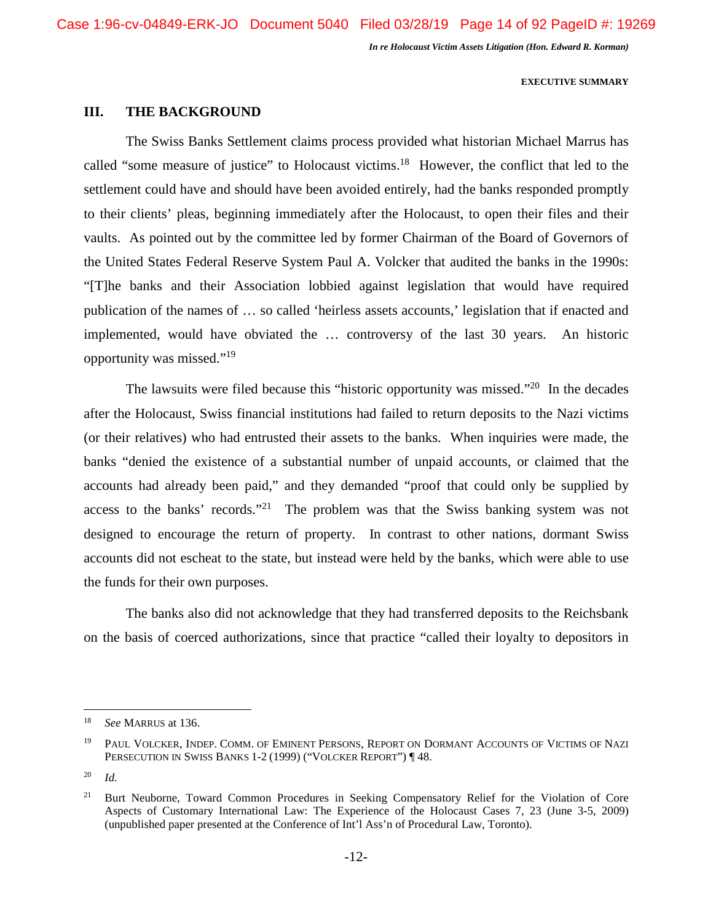## **EXECUTIVE SUMMARY**

## **III. THE BACKGROUND**

The Swiss Banks Settlement claims process provided what historian Michael Marrus has called "some measure of justice" to Holocaust victims.<sup>18</sup> However, the conflict that led to the settlement could have and should have been avoided entirely, had the banks responded promptly to their clients' pleas, beginning immediately after the Holocaust, to open their files and their vaults. As pointed out by the committee led by former Chairman of the Board of Governors of the United States Federal Reserve System Paul A. Volcker that audited the banks in the 1990s: "[T]he banks and their Association lobbied against legislation that would have required publication of the names of … so called 'heirless assets accounts,' legislation that if enacted and implemented, would have obviated the … controversy of the last 30 years. An historic opportunity was missed."<sup>19</sup>

The lawsuits were filed because this "historic opportunity was missed."<sup>20</sup> In the decades after the Holocaust, Swiss financial institutions had failed to return deposits to the Nazi victims (or their relatives) who had entrusted their assets to the banks. When inquiries were made, the banks "denied the existence of a substantial number of unpaid accounts, or claimed that the accounts had already been paid," and they demanded "proof that could only be supplied by access to the banks' records."<sup>21</sup> The problem was that the Swiss banking system was not designed to encourage the return of property. In contrast to other nations, dormant Swiss accounts did not escheat to the state, but instead were held by the banks, which were able to use the funds for their own purposes.

The banks also did not acknowledge that they had transferred deposits to the Reichsbank on the basis of coerced authorizations, since that practice "called their loyalty to depositors in

<sup>18</sup> *See* MARRUS at 136.

<sup>&</sup>lt;sup>19</sup> PAUL VOLCKER, INDEP. COMM. OF EMINENT PERSONS, REPORT ON DORMANT ACCOUNTS OF VICTIMS OF NAZI PERSECUTION IN SWISS BANKS 1-2 (1999) ("VOLCKER REPORT") ¶ 48.

<sup>20</sup> *Id.* 

<sup>&</sup>lt;sup>21</sup> Burt Neuborne, Toward Common Procedures in Seeking Compensatory Relief for the Violation of Core Aspects of Customary International Law: The Experience of the Holocaust Cases 7, 23 (June 3-5, 2009) (unpublished paper presented at the Conference of Int'l Ass'n of Procedural Law, Toronto).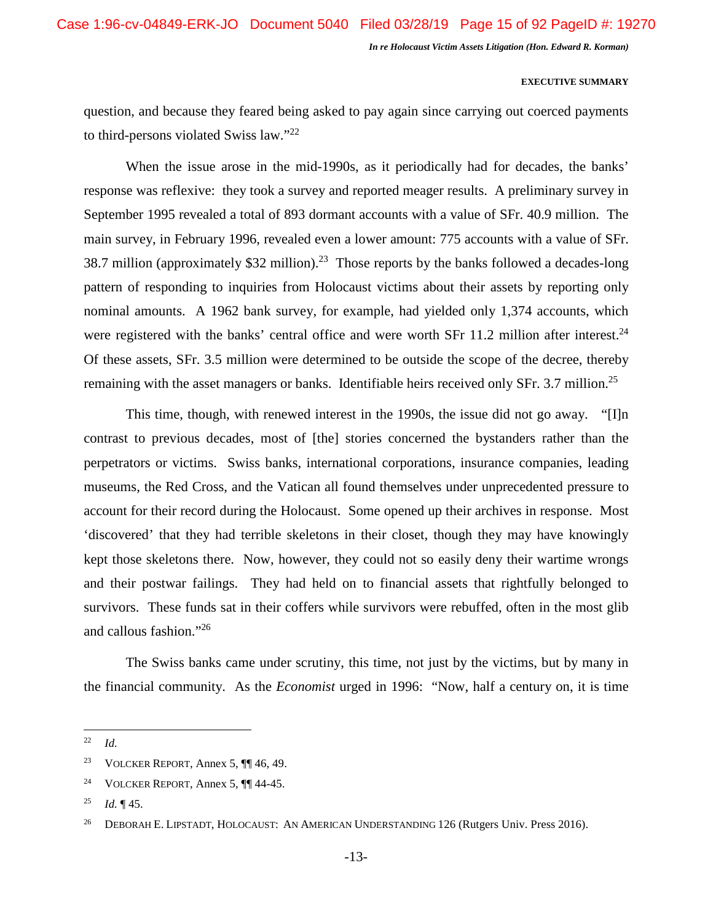## **EXECUTIVE SUMMARY**

question, and because they feared being asked to pay again since carrying out coerced payments to third-persons violated Swiss law."<sup>22</sup>

When the issue arose in the mid-1990s, as it periodically had for decades, the banks' response was reflexive: they took a survey and reported meager results. A preliminary survey in September 1995 revealed a total of 893 dormant accounts with a value of SFr. 40.9 million. The main survey, in February 1996, revealed even a lower amount: 775 accounts with a value of SFr. 38.7 million (approximately \$32 million).<sup>23</sup> Those reports by the banks followed a decades-long pattern of responding to inquiries from Holocaust victims about their assets by reporting only nominal amounts. A 1962 bank survey, for example, had yielded only 1,374 accounts, which were registered with the banks' central office and were worth SFr 11.2 million after interest.<sup>24</sup> Of these assets, SFr. 3.5 million were determined to be outside the scope of the decree, thereby remaining with the asset managers or banks. Identifiable heirs received only SFr. 3.7 million.<sup>25</sup>

This time, though, with renewed interest in the 1990s, the issue did not go away. "[I]n contrast to previous decades, most of [the] stories concerned the bystanders rather than the perpetrators or victims. Swiss banks, international corporations, insurance companies, leading museums, the Red Cross, and the Vatican all found themselves under unprecedented pressure to account for their record during the Holocaust. Some opened up their archives in response. Most 'discovered' that they had terrible skeletons in their closet, though they may have knowingly kept those skeletons there. Now, however, they could not so easily deny their wartime wrongs and their postwar failings. They had held on to financial assets that rightfully belonged to survivors. These funds sat in their coffers while survivors were rebuffed, often in the most glib and callous fashion."<sup>26</sup>

The Swiss banks came under scrutiny, this time, not just by the victims, but by many in the financial community. As the *Economist* urged in 1996: "Now, half a century on, it is time

<sup>22</sup> *Id.*

<sup>&</sup>lt;sup>23</sup> VOLCKER REPORT, Annex 5,  $\P$  46, 49.

<sup>&</sup>lt;sup>24</sup> VOLCKER REPORT, Annex 5,  $\P\P$  44-45.

<sup>25</sup> *Id.* ¶ 45.

<sup>&</sup>lt;sup>26</sup> DEBORAH E. LIPSTADT, HOLOCAUST: AN AMERICAN UNDERSTANDING 126 (Rutgers Univ. Press 2016).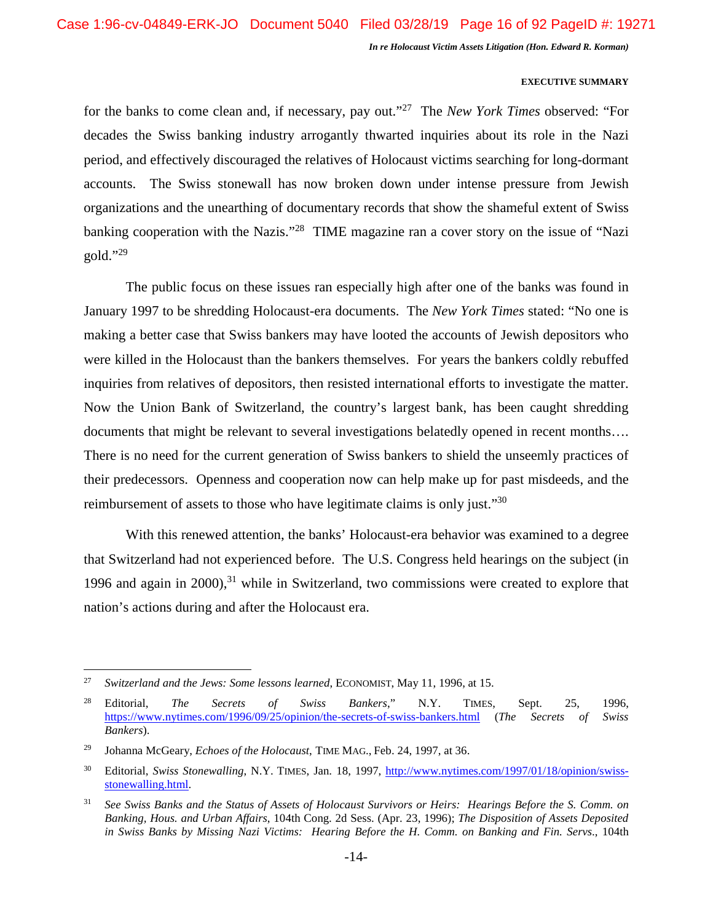## **EXECUTIVE SUMMARY**

for the banks to come clean and, if necessary, pay out."<sup>27</sup> The *New York Times* observed: "For decades the Swiss banking industry arrogantly thwarted inquiries about its role in the Nazi period, and effectively discouraged the relatives of Holocaust victims searching for long-dormant accounts. The Swiss stonewall has now broken down under intense pressure from Jewish organizations and the unearthing of documentary records that show the shameful extent of Swiss banking cooperation with the Nazis."<sup>28</sup> TIME magazine ran a cover story on the issue of "Nazi  $gold. "29$ 

The public focus on these issues ran especially high after one of the banks was found in January 1997 to be shredding Holocaust-era documents. The *New York Times* stated: "No one is making a better case that Swiss bankers may have looted the accounts of Jewish depositors who were killed in the Holocaust than the bankers themselves. For years the bankers coldly rebuffed inquiries from relatives of depositors, then resisted international efforts to investigate the matter. Now the Union Bank of Switzerland, the country's largest bank, has been caught shredding documents that might be relevant to several investigations belatedly opened in recent months…. There is no need for the current generation of Swiss bankers to shield the unseemly practices of their predecessors. Openness and cooperation now can help make up for past misdeeds, and the reimbursement of assets to those who have legitimate claims is only just."<sup>30</sup>

With this renewed attention, the banks' Holocaust-era behavior was examined to a degree that Switzerland had not experienced before. The U.S. Congress held hearings on the subject (in 1996 and again in 2000), $31$  while in Switzerland, two commissions were created to explore that nation's actions during and after the Holocaust era.

<sup>27</sup> *Switzerland and the Jews: Some lessons learned*, ECONOMIST, May 11, 1996, at 15.

<sup>28</sup> Editorial, *The Secrets of Swiss Bankers*," N.Y. TIMES, Sept. 25, 1996, https://www.nytimes.com/1996/09/25/opinion/the-secrets-of-swiss-bankers.html (*The Secrets of Swiss Bankers*).

<sup>29</sup> Johanna McGeary, *Echoes of the Holocaust*, TIME MAG., Feb. 24, 1997, at 36.

<sup>30</sup> Editorial, *Swiss Stonewalling*, N.Y. TIMES, Jan. 18, 1997, http://www.nytimes.com/1997/01/18/opinion/swissstonewalling.html.

<sup>31</sup> *See Swiss Banks and the Status of Assets of Holocaust Survivors or Heirs: Hearings Before the S. Comm. on Banking, Hous. and Urban Affairs*, 104th Cong. 2d Sess. (Apr. 23, 1996); *The Disposition of Assets Deposited in Swiss Banks by Missing Nazi Victims: Hearing Before the H. Comm. on Banking and Fin. Servs*., 104th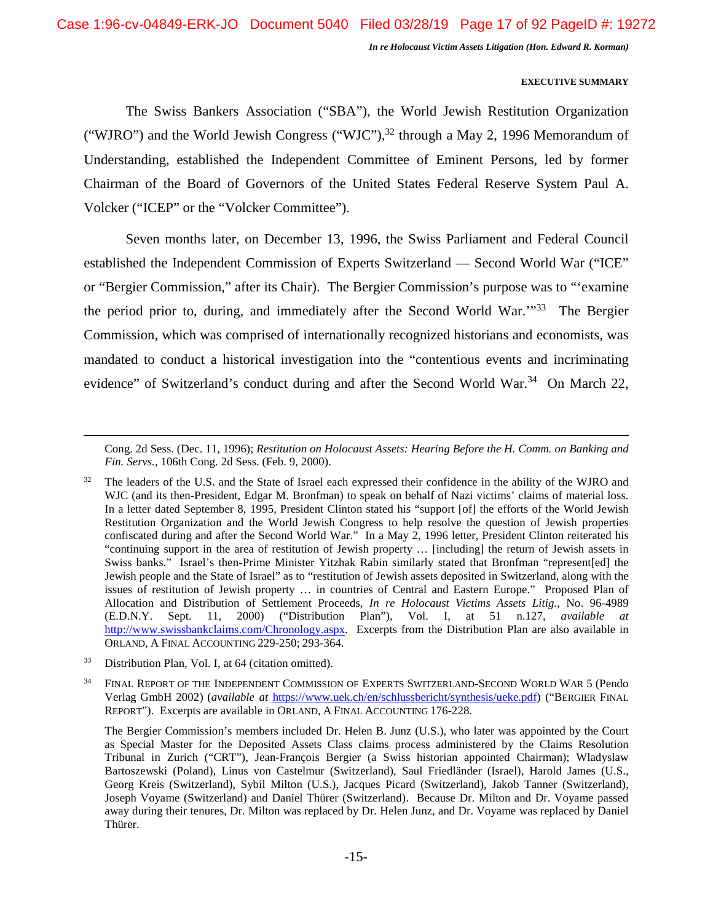## **EXECUTIVE SUMMARY**

The Swiss Bankers Association ("SBA"), the World Jewish Restitution Organization ("WJRO") and the World Jewish Congress ("WJC"), $^{32}$  through a May 2, 1996 Memorandum of Understanding, established the Independent Committee of Eminent Persons, led by former Chairman of the Board of Governors of the United States Federal Reserve System Paul A. Volcker ("ICEP" or the "Volcker Committee").

Seven months later, on December 13, 1996, the Swiss Parliament and Federal Council established the Independent Commission of Experts Switzerland — Second World War ("ICE" or "Bergier Commission," after its Chair). The Bergier Commission's purpose was to "'examine the period prior to, during, and immediately after the Second World War."<sup>33</sup> The Bergier Commission, which was comprised of internationally recognized historians and economists, was mandated to conduct a historical investigation into the "contentious events and incriminating evidence" of Switzerland's conduct during and after the Second World War.<sup>34</sup> On March 22,

Cong. 2d Sess. (Dec. 11, 1996); *Restitution on Holocaust Assets: Hearing Before the H. Comm. on Banking and Fin. Servs.,* 106th Cong. 2d Sess. (Feb. 9, 2000).

<sup>32</sup> The leaders of the U.S. and the State of Israel each expressed their confidence in the ability of the WJRO and WJC (and its then-President, Edgar M. Bronfman) to speak on behalf of Nazi victims' claims of material loss. In a letter dated September 8, 1995, President Clinton stated his "support [of] the efforts of the World Jewish Restitution Organization and the World Jewish Congress to help resolve the question of Jewish properties confiscated during and after the Second World War." In a May 2, 1996 letter, President Clinton reiterated his "continuing support in the area of restitution of Jewish property … [including] the return of Jewish assets in Swiss banks." Israel's then-Prime Minister Yitzhak Rabin similarly stated that Bronfman "represent[ed] the Jewish people and the State of Israel" as to "restitution of Jewish assets deposited in Switzerland, along with the issues of restitution of Jewish property … in countries of Central and Eastern Europe." Proposed Plan of Allocation and Distribution of Settlement Proceeds, *In re Holocaust Victims Assets Litig.*, No. 96-4989 (E.D.N.Y. Sept. 11, 2000) ("Distribution Plan"), Vol. I, at 51 n.127, *available at*  http://www.swissbankclaims.com/Chronology.aspx. Excerpts from the Distribution Plan are also available in ORLAND, A FINAL ACCOUNTING 229-250; 293-364.

<sup>33</sup> Distribution Plan*,* Vol. I, at 64 (citation omitted).

<sup>34</sup> FINAL REPORT OF THE INDEPENDENT COMMISSION OF EXPERTS SWITZERLAND-SECOND WORLD WAR 5 (Pendo Verlag GmbH 2002) (*available at* https://www.uek.ch/en/schlussbericht/synthesis/ueke.pdf) ("BERGIER FINAL REPORT"). Excerpts are available in ORLAND, A FINAL ACCOUNTING 176-228.

The Bergier Commission's members included Dr. Helen B. Junz (U.S.), who later was appointed by the Court as Special Master for the Deposited Assets Class claims process administered by the Claims Resolution Tribunal in Zurich ("CRT"), Jean-François Bergier (a Swiss historian appointed Chairman); Wladyslaw Bartoszewski (Poland), Linus von Castelmur (Switzerland), Saul Friedländer (Israel), Harold James (U.S., Georg Kreis (Switzerland), Sybil Milton (U.S.), Jacques Picard (Switzerland), Jakob Tanner (Switzerland), Joseph Voyame (Switzerland) and Daniel Thürer (Switzerland). Because Dr. Milton and Dr. Voyame passed away during their tenures, Dr. Milton was replaced by Dr. Helen Junz, and Dr. Voyame was replaced by Daniel Thürer.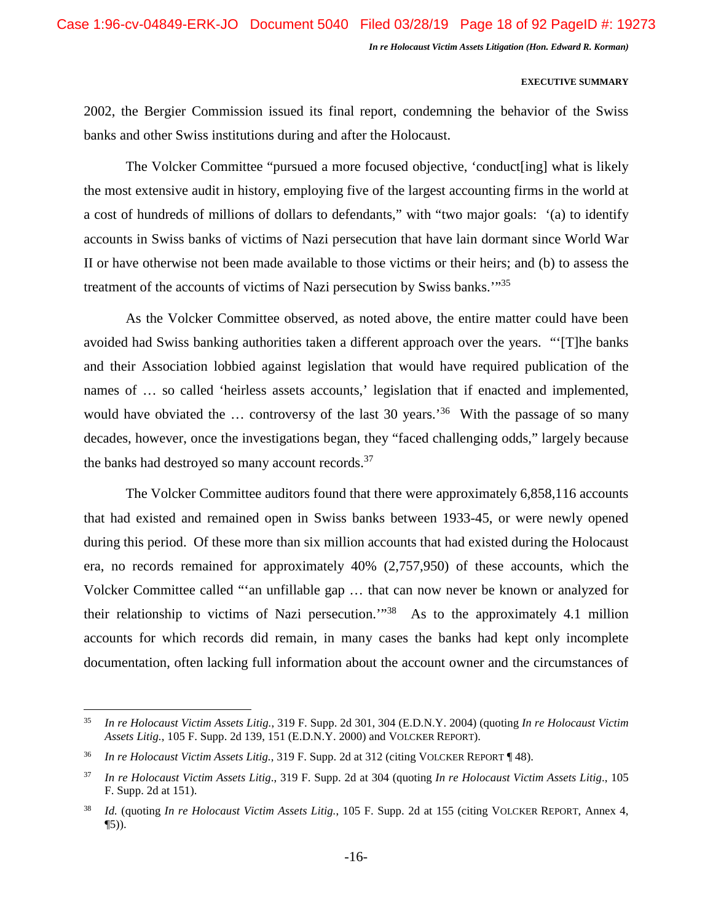## **EXECUTIVE SUMMARY**

2002, the Bergier Commission issued its final report, condemning the behavior of the Swiss banks and other Swiss institutions during and after the Holocaust.

The Volcker Committee "pursued a more focused objective, 'conduct[ing] what is likely the most extensive audit in history, employing five of the largest accounting firms in the world at a cost of hundreds of millions of dollars to defendants," with "two major goals: '(a) to identify accounts in Swiss banks of victims of Nazi persecution that have lain dormant since World War II or have otherwise not been made available to those victims or their heirs; and (b) to assess the treatment of the accounts of victims of Nazi persecution by Swiss banks.'"<sup>35</sup>

As the Volcker Committee observed, as noted above, the entire matter could have been avoided had Swiss banking authorities taken a different approach over the years. "'[T]he banks and their Association lobbied against legislation that would have required publication of the names of ... so called 'heirless assets accounts,' legislation that if enacted and implemented, would have obviated the ... controversy of the last 30 years.<sup>36</sup> With the passage of so many decades, however, once the investigations began, they "faced challenging odds," largely because the banks had destroyed so many account records.<sup>37</sup>

The Volcker Committee auditors found that there were approximately 6,858,116 accounts that had existed and remained open in Swiss banks between 1933-45, or were newly opened during this period. Of these more than six million accounts that had existed during the Holocaust era, no records remained for approximately 40% (2,757,950) of these accounts, which the Volcker Committee called "'an unfillable gap … that can now never be known or analyzed for their relationship to victims of Nazi persecution.'"<sup>38</sup> As to the approximately 4.1 million accounts for which records did remain, in many cases the banks had kept only incomplete documentation, often lacking full information about the account owner and the circumstances of

<sup>35</sup> *In re Holocaust Victim Assets Litig.*, 319 F. Supp. 2d 301, 304 (E.D.N.Y. 2004) (quoting *In re Holocaust Victim Assets Litig.*, 105 F. Supp. 2d 139, 151 (E.D.N.Y. 2000) and VOLCKER REPORT).

<sup>36</sup> *In re Holocaust Victim Assets Litig.*, 319 F. Supp. 2d at 312 (citing VOLCKER REPORT ¶ 48).

<sup>37</sup> *In re Holocaust Victim Assets Litig*., 319 F. Supp. 2d at 304 (quoting *In re Holocaust Victim Assets Litig*., 105 F. Supp. 2d at 151).

<sup>38</sup> *Id.* (quoting *In re Holocaust Victim Assets Litig.*, 105 F. Supp. 2d at 155 (citing VOLCKER REPORT, Annex 4,  $\P(5)$ ).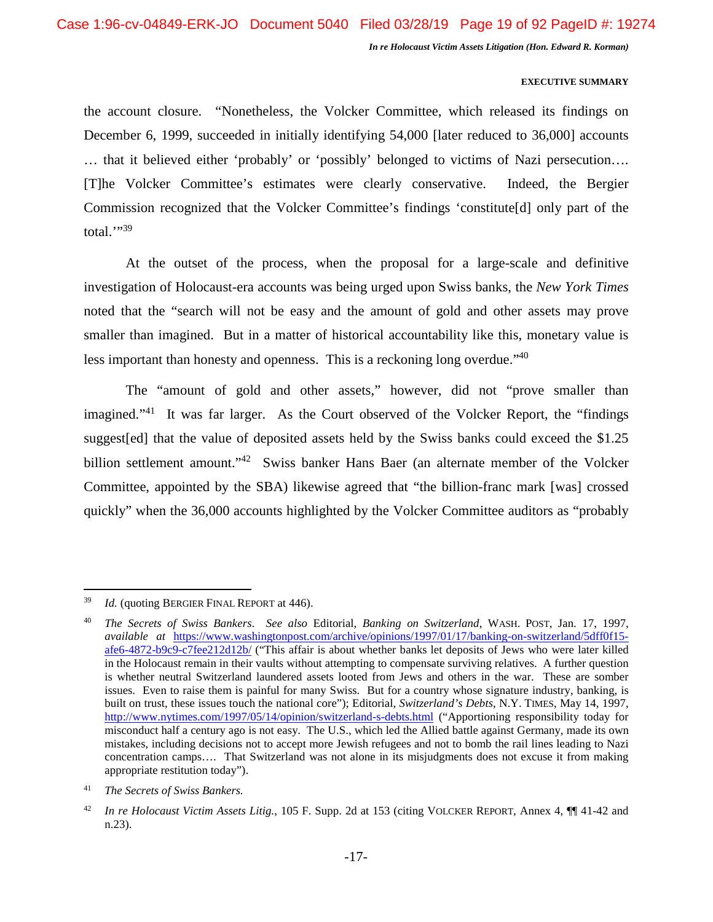## **EXECUTIVE SUMMARY**

the account closure. "Nonetheless, the Volcker Committee, which released its findings on December 6, 1999, succeeded in initially identifying 54,000 [later reduced to 36,000] accounts … that it believed either 'probably' or 'possibly' belonged to victims of Nazi persecution…. [T]he Volcker Committee's estimates were clearly conservative. Indeed, the Bergier Commission recognized that the Volcker Committee's findings 'constitute[d] only part of the total." $39$ 

At the outset of the process, when the proposal for a large-scale and definitive investigation of Holocaust-era accounts was being urged upon Swiss banks, the *New York Times* noted that the "search will not be easy and the amount of gold and other assets may prove smaller than imagined. But in a matter of historical accountability like this, monetary value is less important than honesty and openness. This is a reckoning long overdue.<sup>140</sup>

The "amount of gold and other assets," however, did not "prove smaller than imagined."<sup>41</sup> It was far larger. As the Court observed of the Volcker Report, the "findings" suggest[ed] that the value of deposited assets held by the Swiss banks could exceed the \$1.25 billion settlement amount."<sup>42</sup> Swiss banker Hans Baer (an alternate member of the Volcker Committee, appointed by the SBA) likewise agreed that "the billion-franc mark [was] crossed quickly" when the 36,000 accounts highlighted by the Volcker Committee auditors as "probably

<sup>39</sup> *Id.* (quoting BERGIER FINAL REPORT at 446).

<sup>40</sup> *The Secrets of Swiss Bankers*. *See also* Editorial, *Banking on Switzerland*, WASH. POST, Jan. 17, 1997, *available at* https://www.washingtonpost.com/archive/opinions/1997/01/17/banking-on-switzerland/5dff0f15 afe6-4872-b9c9-c7fee212d12b/ ("This affair is about whether banks let deposits of Jews who were later killed in the Holocaust remain in their vaults without attempting to compensate surviving relatives. A further question is whether neutral Switzerland laundered assets looted from Jews and others in the war. These are somber issues. Even to raise them is painful for many Swiss. But for a country whose signature industry, banking, is built on trust, these issues touch the national core"); Editorial, *Switzerland's Debts*, N.Y. TIMES, May 14, 1997, http://www.nytimes.com/1997/05/14/opinion/switzerland-s-debts.html ("Apportioning responsibility today for misconduct half a century ago is not easy. The U.S., which led the Allied battle against Germany, made its own mistakes, including decisions not to accept more Jewish refugees and not to bomb the rail lines leading to Nazi concentration camps…. That Switzerland was not alone in its misjudgments does not excuse it from making appropriate restitution today").

<sup>41</sup> *The Secrets of Swiss Bankers.*

<sup>42</sup> *In re Holocaust Victim Assets Litig.*, 105 F. Supp. 2d at 153 (citing VOLCKER REPORT, Annex 4, ¶¶ 41-42 and n.23).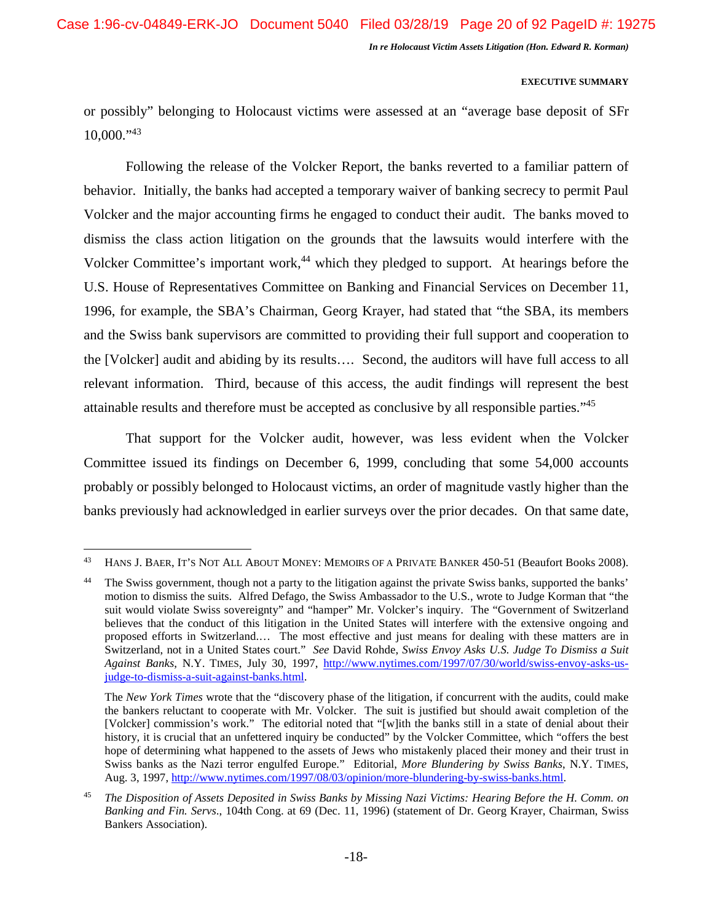## **EXECUTIVE SUMMARY**

or possibly" belonging to Holocaust victims were assessed at an "average base deposit of SFr  $10,000$ ."43

Following the release of the Volcker Report, the banks reverted to a familiar pattern of behavior. Initially, the banks had accepted a temporary waiver of banking secrecy to permit Paul Volcker and the major accounting firms he engaged to conduct their audit. The banks moved to dismiss the class action litigation on the grounds that the lawsuits would interfere with the Volcker Committee's important work,<sup>44</sup> which they pledged to support. At hearings before the U.S. House of Representatives Committee on Banking and Financial Services on December 11, 1996, for example, the SBA's Chairman, Georg Krayer, had stated that "the SBA, its members and the Swiss bank supervisors are committed to providing their full support and cooperation to the [Volcker] audit and abiding by its results…. Second, the auditors will have full access to all relevant information. Third, because of this access, the audit findings will represent the best attainable results and therefore must be accepted as conclusive by all responsible parties."<sup>45</sup>

That support for the Volcker audit, however, was less evident when the Volcker Committee issued its findings on December 6, 1999, concluding that some 54,000 accounts probably or possibly belonged to Holocaust victims, an order of magnitude vastly higher than the banks previously had acknowledged in earlier surveys over the prior decades. On that same date,

<sup>&</sup>lt;sup>43</sup> HANS J. BAER, IT'S NOT ALL ABOUT MONEY: MEMOIRS OF A PRIVATE BANKER 450-51 (Beaufort Books 2008).

The Swiss government, though not a party to the litigation against the private Swiss banks, supported the banks' motion to dismiss the suits. Alfred Defago, the Swiss Ambassador to the U.S., wrote to Judge Korman that "the suit would violate Swiss sovereignty" and "hamper" Mr. Volcker's inquiry. The "Government of Switzerland believes that the conduct of this litigation in the United States will interfere with the extensive ongoing and proposed efforts in Switzerland.… The most effective and just means for dealing with these matters are in Switzerland, not in a United States court." *See* David Rohde, *Swiss Envoy Asks U.S. Judge To Dismiss a Suit Against Banks*, N.Y. TIMES, July 30, 1997, http://www.nytimes.com/1997/07/30/world/swiss-envoy-asks-usjudge-to-dismiss-a-suit-against-banks.html.

The *New York Times* wrote that the "discovery phase of the litigation, if concurrent with the audits, could make the bankers reluctant to cooperate with Mr. Volcker. The suit is justified but should await completion of the [Volcker] commission's work." The editorial noted that "[w]ith the banks still in a state of denial about their history, it is crucial that an unfettered inquiry be conducted" by the Volcker Committee, which "offers the best hope of determining what happened to the assets of Jews who mistakenly placed their money and their trust in Swiss banks as the Nazi terror engulfed Europe." Editorial, *More Blundering by Swiss Banks*, N.Y. TIMES, Aug. 3, 1997, http://www.nytimes.com/1997/08/03/opinion/more-blundering-by-swiss-banks.html.

<sup>45</sup> *The Disposition of Assets Deposited in Swiss Banks by Missing Nazi Victims: Hearing Before the H. Comm. on Banking and Fin. Servs*., 104th Cong. at 69 (Dec. 11, 1996) (statement of Dr. Georg Krayer, Chairman, Swiss Bankers Association).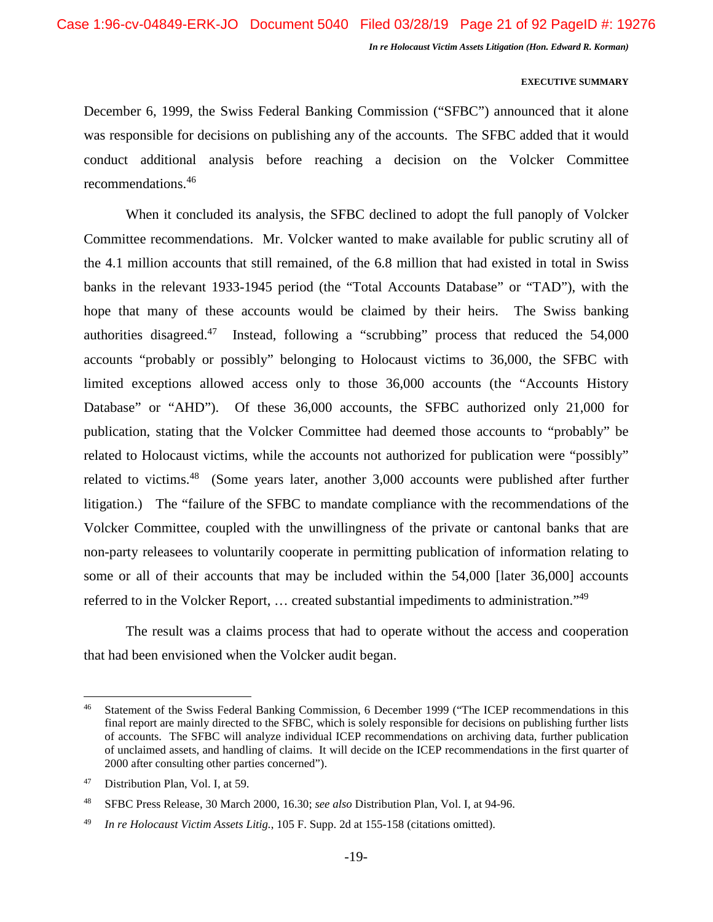## **EXECUTIVE SUMMARY**

December 6, 1999, the Swiss Federal Banking Commission ("SFBC") announced that it alone was responsible for decisions on publishing any of the accounts. The SFBC added that it would conduct additional analysis before reaching a decision on the Volcker Committee recommendations.<sup>46</sup>

When it concluded its analysis, the SFBC declined to adopt the full panoply of Volcker Committee recommendations. Mr. Volcker wanted to make available for public scrutiny all of the 4.1 million accounts that still remained, of the 6.8 million that had existed in total in Swiss banks in the relevant 1933-1945 period (the "Total Accounts Database" or "TAD"), with the hope that many of these accounts would be claimed by their heirs. The Swiss banking authorities disagreed.<sup>47</sup> Instead, following a "scrubbing" process that reduced the  $54,000$ accounts "probably or possibly" belonging to Holocaust victims to 36,000, the SFBC with limited exceptions allowed access only to those 36,000 accounts (the "Accounts History Database" or "AHD"). Of these 36,000 accounts, the SFBC authorized only 21,000 for publication, stating that the Volcker Committee had deemed those accounts to "probably" be related to Holocaust victims, while the accounts not authorized for publication were "possibly" related to victims.<sup>48</sup> (Some years later, another 3,000 accounts were published after further litigation.) The "failure of the SFBC to mandate compliance with the recommendations of the Volcker Committee, coupled with the unwillingness of the private or cantonal banks that are non-party releasees to voluntarily cooperate in permitting publication of information relating to some or all of their accounts that may be included within the 54,000 [later 36,000] accounts referred to in the Volcker Report, … created substantial impediments to administration."<sup>49</sup>

The result was a claims process that had to operate without the access and cooperation that had been envisioned when the Volcker audit began.

<sup>&</sup>lt;sup>46</sup> Statement of the Swiss Federal Banking Commission, 6 December 1999 ("The ICEP recommendations in this final report are mainly directed to the SFBC, which is solely responsible for decisions on publishing further lists of accounts. The SFBC will analyze individual ICEP recommendations on archiving data, further publication of unclaimed assets, and handling of claims. It will decide on the ICEP recommendations in the first quarter of 2000 after consulting other parties concerned").

<sup>47</sup> Distribution Plan, Vol. I, at 59.

<sup>48</sup> SFBC Press Release, 30 March 2000, 16.30; *see also* Distribution Plan, Vol. I, at 94-96.

<sup>49</sup> *In re Holocaust Victim Assets Litig.*, 105 F. Supp. 2d at 155-158 (citations omitted).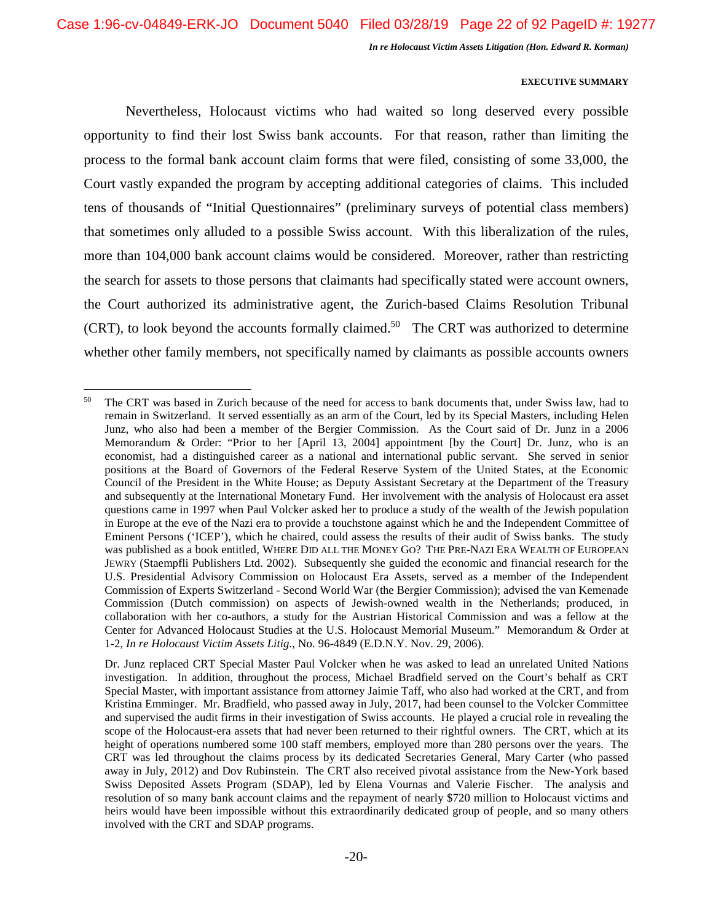## **EXECUTIVE SUMMARY**

Nevertheless, Holocaust victims who had waited so long deserved every possible opportunity to find their lost Swiss bank accounts. For that reason, rather than limiting the process to the formal bank account claim forms that were filed, consisting of some 33,000, the Court vastly expanded the program by accepting additional categories of claims. This included tens of thousands of "Initial Questionnaires" (preliminary surveys of potential class members) that sometimes only alluded to a possible Swiss account. With this liberalization of the rules, more than 104,000 bank account claims would be considered. Moreover, rather than restricting the search for assets to those persons that claimants had specifically stated were account owners, the Court authorized its administrative agent, the Zurich-based Claims Resolution Tribunal  $(CRT)$ , to look beyond the accounts formally claimed.<sup>50</sup> The CRT was authorized to determine whether other family members, not specifically named by claimants as possible accounts owners

<sup>&</sup>lt;sup>50</sup> The CRT was based in Zurich because of the need for access to bank documents that, under Swiss law, had to remain in Switzerland. It served essentially as an arm of the Court, led by its Special Masters, including Helen Junz, who also had been a member of the Bergier Commission. As the Court said of Dr. Junz in a 2006 Memorandum & Order: "Prior to her [April 13, 2004] appointment [by the Court] Dr. Junz, who is an economist, had a distinguished career as a national and international public servant. She served in senior positions at the Board of Governors of the Federal Reserve System of the United States, at the Economic Council of the President in the White House; as Deputy Assistant Secretary at the Department of the Treasury and subsequently at the International Monetary Fund. Her involvement with the analysis of Holocaust era asset questions came in 1997 when Paul Volcker asked her to produce a study of the wealth of the Jewish population in Europe at the eve of the Nazi era to provide a touchstone against which he and the Independent Committee of Eminent Persons ('ICEP'), which he chaired, could assess the results of their audit of Swiss banks. The study was published as a book entitled, WHERE DID ALL THE MONEY GO? THE PRE-NAZI ERA WEALTH OF EUROPEAN JEWRY (Staempfli Publishers Ltd. 2002). Subsequently she guided the economic and financial research for the U.S. Presidential Advisory Commission on Holocaust Era Assets, served as a member of the Independent Commission of Experts Switzerland - Second World War (the Bergier Commission); advised the van Kemenade Commission (Dutch commission) on aspects of Jewish-owned wealth in the Netherlands; produced, in collaboration with her co-authors, a study for the Austrian Historical Commission and was a fellow at the Center for Advanced Holocaust Studies at the U.S. Holocaust Memorial Museum." Memorandum & Order at 1-2, *In re Holocaust Victim Assets Litig.*, No. 96-4849 (E.D.N.Y. Nov. 29, 2006).

Dr. Junz replaced CRT Special Master Paul Volcker when he was asked to lead an unrelated United Nations investigation. In addition, throughout the process, Michael Bradfield served on the Court's behalf as CRT Special Master, with important assistance from attorney Jaimie Taff, who also had worked at the CRT, and from Kristina Emminger. Mr. Bradfield, who passed away in July, 2017, had been counsel to the Volcker Committee and supervised the audit firms in their investigation of Swiss accounts. He played a crucial role in revealing the scope of the Holocaust-era assets that had never been returned to their rightful owners. The CRT, which at its height of operations numbered some 100 staff members, employed more than 280 persons over the years. The CRT was led throughout the claims process by its dedicated Secretaries General, Mary Carter (who passed away in July, 2012) and Dov Rubinstein. The CRT also received pivotal assistance from the New-York based Swiss Deposited Assets Program (SDAP), led by Elena Vournas and Valerie Fischer. The analysis and resolution of so many bank account claims and the repayment of nearly \$720 million to Holocaust victims and heirs would have been impossible without this extraordinarily dedicated group of people, and so many others involved with the CRT and SDAP programs.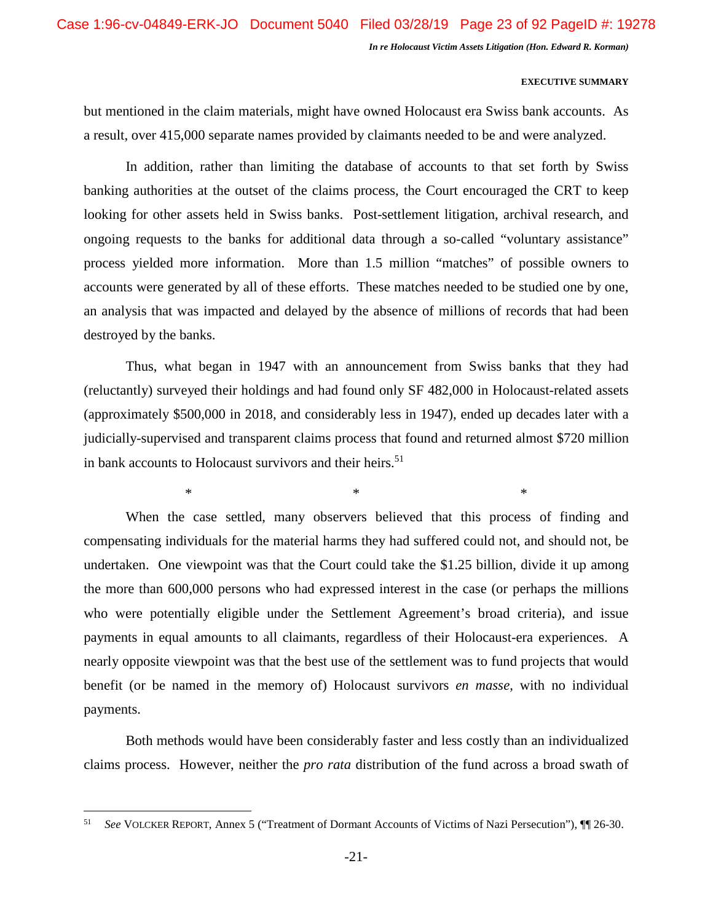## **EXECUTIVE SUMMARY**

but mentioned in the claim materials, might have owned Holocaust era Swiss bank accounts. As a result, over 415,000 separate names provided by claimants needed to be and were analyzed.

In addition, rather than limiting the database of accounts to that set forth by Swiss banking authorities at the outset of the claims process, the Court encouraged the CRT to keep looking for other assets held in Swiss banks. Post-settlement litigation, archival research, and ongoing requests to the banks for additional data through a so-called "voluntary assistance" process yielded more information. More than 1.5 million "matches" of possible owners to accounts were generated by all of these efforts. These matches needed to be studied one by one, an analysis that was impacted and delayed by the absence of millions of records that had been destroyed by the banks.

Thus, what began in 1947 with an announcement from Swiss banks that they had (reluctantly) surveyed their holdings and had found only SF 482,000 in Holocaust-related assets (approximately \$500,000 in 2018, and considerably less in 1947), ended up decades later with a judicially-supervised and transparent claims process that found and returned almost \$720 million in bank accounts to Holocaust survivors and their heirs.<sup>51</sup>

 $*$   $*$ 

When the case settled, many observers believed that this process of finding and compensating individuals for the material harms they had suffered could not, and should not, be undertaken. One viewpoint was that the Court could take the \$1.25 billion, divide it up among the more than 600,000 persons who had expressed interest in the case (or perhaps the millions who were potentially eligible under the Settlement Agreement's broad criteria), and issue payments in equal amounts to all claimants, regardless of their Holocaust-era experiences. A nearly opposite viewpoint was that the best use of the settlement was to fund projects that would benefit (or be named in the memory of) Holocaust survivors *en masse*, with no individual payments.

Both methods would have been considerably faster and less costly than an individualized claims process. However, neither the *pro rata* distribution of the fund across a broad swath of

<sup>51</sup> *See* VOLCKER REPORT, Annex 5 ("Treatment of Dormant Accounts of Victims of Nazi Persecution"), ¶¶ 26-30.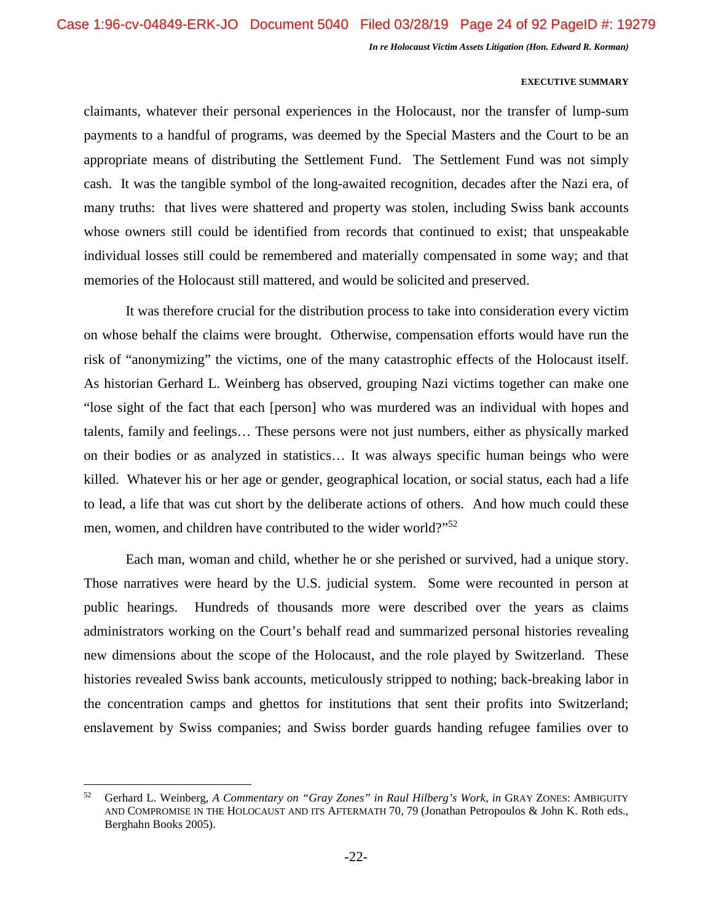## **EXECUTIVE SUMMARY**

claimants, whatever their personal experiences in the Holocaust, nor the transfer of lump-sum payments to a handful of programs, was deemed by the Special Masters and the Court to be an appropriate means of distributing the Settlement Fund. The Settlement Fund was not simply cash. It was the tangible symbol of the long-awaited recognition, decades after the Nazi era, of many truths: that lives were shattered and property was stolen, including Swiss bank accounts whose owners still could be identified from records that continued to exist; that unspeakable individual losses still could be remembered and materially compensated in some way; and that memories of the Holocaust still mattered, and would be solicited and preserved.

It was therefore crucial for the distribution process to take into consideration every victim on whose behalf the claims were brought. Otherwise, compensation efforts would have run the risk of "anonymizing" the victims, one of the many catastrophic effects of the Holocaust itself. As historian Gerhard L. Weinberg has observed, grouping Nazi victims together can make one "lose sight of the fact that each [person] who was murdered was an individual with hopes and talents, family and feelings… These persons were not just numbers, either as physically marked on their bodies or as analyzed in statistics… It was always specific human beings who were killed. Whatever his or her age or gender, geographical location, or social status, each had a life to lead, a life that was cut short by the deliberate actions of others. And how much could these men, women, and children have contributed to the wider world?"<sup>52</sup>

Each man, woman and child, whether he or she perished or survived, had a unique story. Those narratives were heard by the U.S. judicial system. Some were recounted in person at public hearings. Hundreds of thousands more were described over the years as claims administrators working on the Court's behalf read and summarized personal histories revealing new dimensions about the scope of the Holocaust, and the role played by Switzerland. These histories revealed Swiss bank accounts, meticulously stripped to nothing; back-breaking labor in the concentration camps and ghettos for institutions that sent their profits into Switzerland; enslavement by Swiss companies; and Swiss border guards handing refugee families over to

<sup>52</sup> Gerhard L. Weinberg, *A Commentary on "Gray Zones" in Raul Hilberg's Work*, *in* GRAY ZONES: AMBIGUITY AND COMPROMISE IN THE HOLOCAUST AND ITS AFTERMATH 70, 79 (Jonathan Petropoulos & John K. Roth eds., Berghahn Books 2005).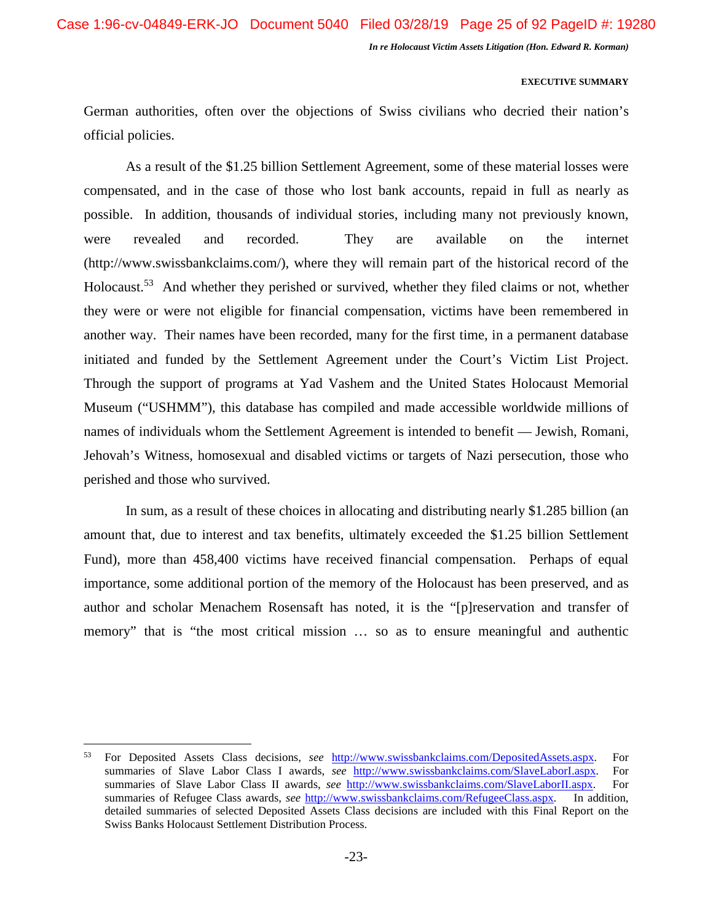## **EXECUTIVE SUMMARY**

German authorities, often over the objections of Swiss civilians who decried their nation's official policies.

As a result of the \$1.25 billion Settlement Agreement, some of these material losses were compensated, and in the case of those who lost bank accounts, repaid in full as nearly as possible. In addition, thousands of individual stories, including many not previously known, were revealed and recorded. They are available on the internet (http://www.swissbankclaims.com/), where they will remain part of the historical record of the Holocaust.<sup>53</sup> And whether they perished or survived, whether they filed claims or not, whether they were or were not eligible for financial compensation, victims have been remembered in another way. Their names have been recorded, many for the first time, in a permanent database initiated and funded by the Settlement Agreement under the Court's Victim List Project. Through the support of programs at Yad Vashem and the United States Holocaust Memorial Museum ("USHMM"), this database has compiled and made accessible worldwide millions of names of individuals whom the Settlement Agreement is intended to benefit — Jewish, Romani, Jehovah's Witness, homosexual and disabled victims or targets of Nazi persecution, those who perished and those who survived.

In sum, as a result of these choices in allocating and distributing nearly \$1.285 billion (an amount that, due to interest and tax benefits, ultimately exceeded the \$1.25 billion Settlement Fund), more than 458,400 victims have received financial compensation. Perhaps of equal importance, some additional portion of the memory of the Holocaust has been preserved, and as author and scholar Menachem Rosensaft has noted, it is the "[p]reservation and transfer of memory" that is "the most critical mission … so as to ensure meaningful and authentic

<sup>53</sup> For Deposited Assets Class decisions, *see* http://www.swissbankclaims.com/DepositedAssets.aspx. For summaries of Slave Labor Class I awards, *see* http://www.swissbankclaims.com/SlaveLaborI.aspx. For summaries of Slave Labor Class II awards, *see* http://www.swissbankclaims.com/SlaveLaborII.aspx. For summaries of Refugee Class awards, *see* http://www.swissbankclaims.com/RefugeeClass.aspx. In addition, detailed summaries of selected Deposited Assets Class decisions are included with this Final Report on the Swiss Banks Holocaust Settlement Distribution Process.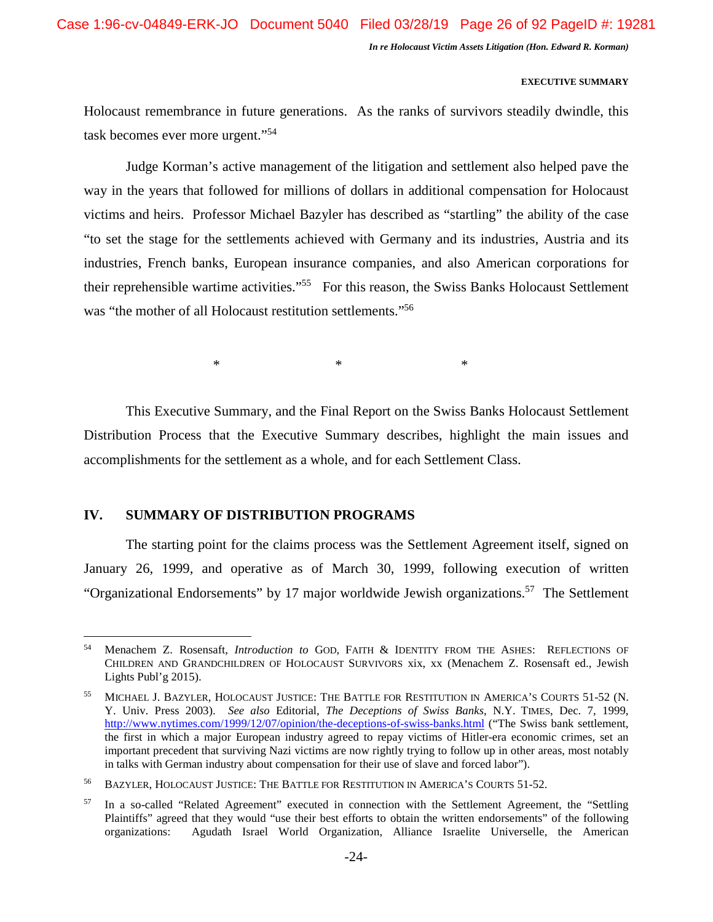Case 1:96-cv-04849-ERK-JO Document 5040 Filed 03/28/19 Page 26 of 92 PageID #: 19281

*In re Holocaust Victim Assets Litigation (Hon. Edward R. Korman)* 

## **EXECUTIVE SUMMARY**

Holocaust remembrance in future generations. As the ranks of survivors steadily dwindle, this task becomes ever more urgent."<sup>54</sup>

Judge Korman's active management of the litigation and settlement also helped pave the way in the years that followed for millions of dollars in additional compensation for Holocaust victims and heirs. Professor Michael Bazyler has described as "startling" the ability of the case "to set the stage for the settlements achieved with Germany and its industries, Austria and its industries, French banks, European insurance companies, and also American corporations for their reprehensible wartime activities."<sup>55</sup> For this reason, the Swiss Banks Holocaust Settlement was "the mother of all Holocaust restitution settlements."<sup>56</sup>

 $*$   $*$   $*$ 

This Executive Summary, and the Final Report on the Swiss Banks Holocaust Settlement Distribution Process that the Executive Summary describes, highlight the main issues and accomplishments for the settlement as a whole, and for each Settlement Class.

# **IV. SUMMARY OF DISTRIBUTION PROGRAMS**

The starting point for the claims process was the Settlement Agreement itself, signed on January 26, 1999, and operative as of March 30, 1999, following execution of written "Organizational Endorsements" by 17 major worldwide Jewish organizations.<sup>57</sup> The Settlement

<sup>54</sup> Menachem Z. Rosensaft, *Introduction to* GOD, FAITH & IDENTITY FROM THE ASHES: REFLECTIONS OF CHILDREN AND GRANDCHILDREN OF HOLOCAUST SURVIVORS xix, xx (Menachem Z. Rosensaft ed., Jewish Lights Publ'g 2015).

<sup>55</sup> MICHAEL J. BAZYLER, HOLOCAUST JUSTICE: THE BATTLE FOR RESTITUTION IN AMERICA'S COURTS 51-52 (N. Y. Univ. Press 2003). *See also* Editorial, *The Deceptions of Swiss Banks*, N.Y. TIMES, Dec. 7, 1999, http://www.nytimes.com/1999/12/07/opinion/the-deceptions-of-swiss-banks.html ("The Swiss bank settlement, the first in which a major European industry agreed to repay victims of Hitler-era economic crimes, set an important precedent that surviving Nazi victims are now rightly trying to follow up in other areas, most notably in talks with German industry about compensation for their use of slave and forced labor").

<sup>56</sup> BAZYLER, HOLOCAUST JUSTICE: THE BATTLE FOR RESTITUTION IN AMERICA'S COURTS 51-52.

In a so-called "Related Agreement" executed in connection with the Settlement Agreement, the "Settling" Plaintiffs" agreed that they would "use their best efforts to obtain the written endorsements" of the following organizations: Agudath Israel World Organization, Alliance Israelite Universelle, the American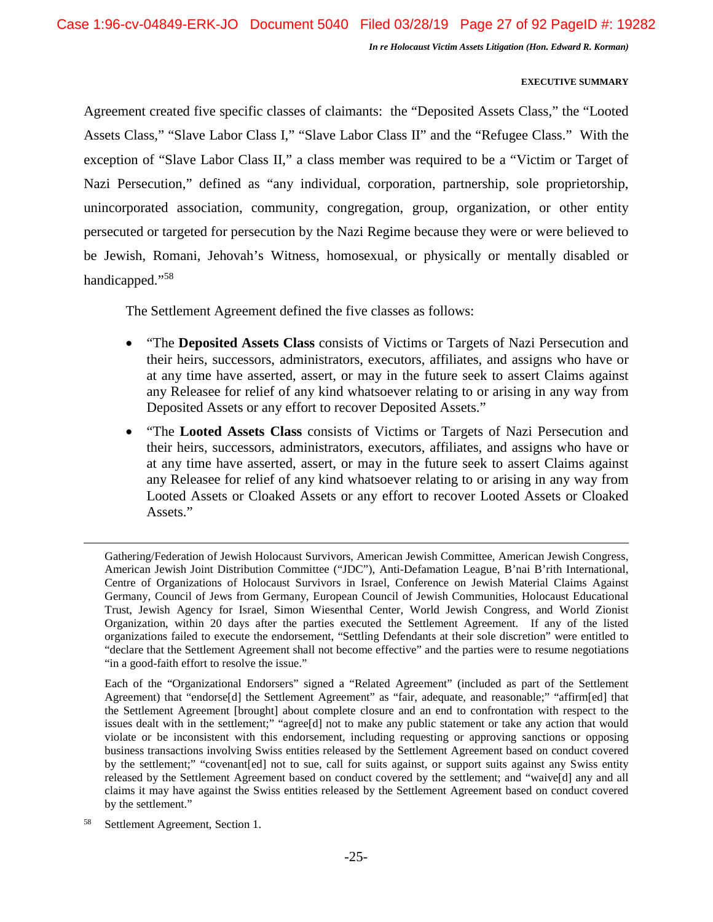## **EXECUTIVE SUMMARY**

Agreement created five specific classes of claimants: the "Deposited Assets Class," the "Looted Assets Class," "Slave Labor Class I," "Slave Labor Class II" and the "Refugee Class." With the exception of "Slave Labor Class II," a class member was required to be a "Victim or Target of Nazi Persecution," defined as "any individual, corporation, partnership, sole proprietorship, unincorporated association, community, congregation, group, organization, or other entity persecuted or targeted for persecution by the Nazi Regime because they were or were believed to be Jewish, Romani, Jehovah's Witness, homosexual, or physically or mentally disabled or handicapped."<sup>58</sup>

The Settlement Agreement defined the five classes as follows:

- "The **Deposited Assets Class** consists of Victims or Targets of Nazi Persecution and their heirs, successors, administrators, executors, affiliates, and assigns who have or at any time have asserted, assert, or may in the future seek to assert Claims against any Releasee for relief of any kind whatsoever relating to or arising in any way from Deposited Assets or any effort to recover Deposited Assets."
- "The **Looted Assets Class** consists of Victims or Targets of Nazi Persecution and their heirs, successors, administrators, executors, affiliates, and assigns who have or at any time have asserted, assert, or may in the future seek to assert Claims against any Releasee for relief of any kind whatsoever relating to or arising in any way from Looted Assets or Cloaked Assets or any effort to recover Looted Assets or Cloaked Assets."

Gathering/Federation of Jewish Holocaust Survivors, American Jewish Committee, American Jewish Congress, American Jewish Joint Distribution Committee ("JDC"), Anti-Defamation League, B'nai B'rith International, Centre of Organizations of Holocaust Survivors in Israel, Conference on Jewish Material Claims Against Germany, Council of Jews from Germany, European Council of Jewish Communities, Holocaust Educational Trust, Jewish Agency for Israel, Simon Wiesenthal Center, World Jewish Congress, and World Zionist Organization, within 20 days after the parties executed the Settlement Agreement. If any of the listed organizations failed to execute the endorsement, "Settling Defendants at their sole discretion" were entitled to "declare that the Settlement Agreement shall not become effective" and the parties were to resume negotiations "in a good-faith effort to resolve the issue."

Each of the "Organizational Endorsers" signed a "Related Agreement" (included as part of the Settlement Agreement) that "endorse[d] the Settlement Agreement" as "fair, adequate, and reasonable;" "affirm[ed] that the Settlement Agreement [brought] about complete closure and an end to confrontation with respect to the issues dealt with in the settlement;" "agree[d] not to make any public statement or take any action that would violate or be inconsistent with this endorsement, including requesting or approving sanctions or opposing business transactions involving Swiss entities released by the Settlement Agreement based on conduct covered by the settlement;" "covenant[ed] not to sue, call for suits against, or support suits against any Swiss entity released by the Settlement Agreement based on conduct covered by the settlement; and "waive[d] any and all claims it may have against the Swiss entities released by the Settlement Agreement based on conduct covered by the settlement."

<sup>58</sup> Settlement Agreement, Section 1.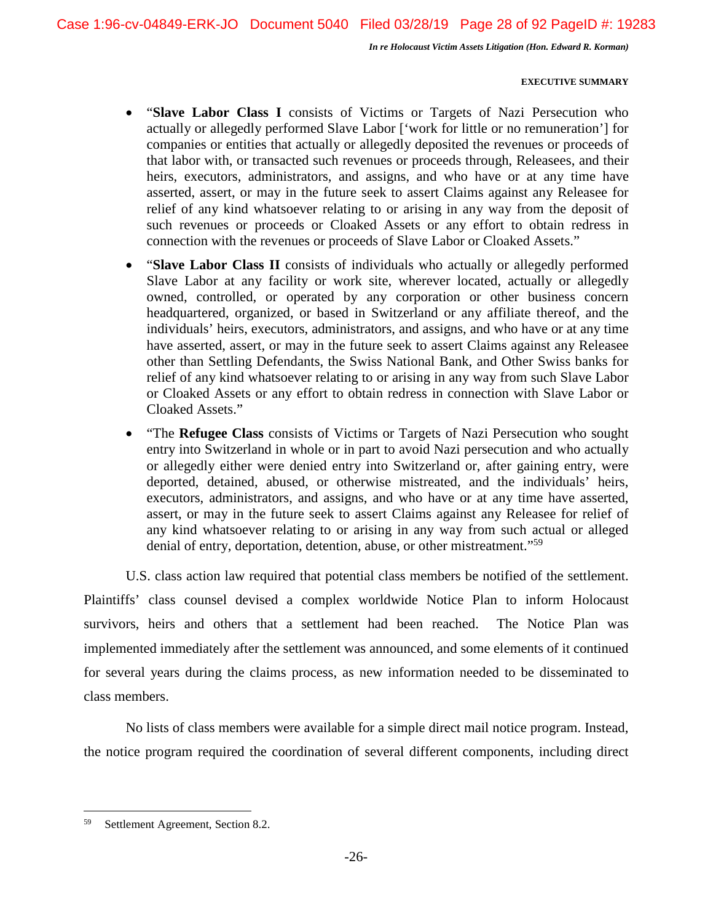## **EXECUTIVE SUMMARY**

- "**Slave Labor Class I** consists of Victims or Targets of Nazi Persecution who actually or allegedly performed Slave Labor ['work for little or no remuneration'] for companies or entities that actually or allegedly deposited the revenues or proceeds of that labor with, or transacted such revenues or proceeds through, Releasees, and their heirs, executors, administrators, and assigns, and who have or at any time have asserted, assert, or may in the future seek to assert Claims against any Releasee for relief of any kind whatsoever relating to or arising in any way from the deposit of such revenues or proceeds or Cloaked Assets or any effort to obtain redress in connection with the revenues or proceeds of Slave Labor or Cloaked Assets."
- "Slave Labor Class II consists of individuals who actually or allegedly performed Slave Labor at any facility or work site, wherever located, actually or allegedly owned, controlled, or operated by any corporation or other business concern headquartered, organized, or based in Switzerland or any affiliate thereof, and the individuals' heirs, executors, administrators, and assigns, and who have or at any time have asserted, assert, or may in the future seek to assert Claims against any Releasee other than Settling Defendants, the Swiss National Bank, and Other Swiss banks for relief of any kind whatsoever relating to or arising in any way from such Slave Labor or Cloaked Assets or any effort to obtain redress in connection with Slave Labor or Cloaked Assets."
- "The **Refugee Class** consists of Victims or Targets of Nazi Persecution who sought entry into Switzerland in whole or in part to avoid Nazi persecution and who actually or allegedly either were denied entry into Switzerland or, after gaining entry, were deported, detained, abused, or otherwise mistreated, and the individuals' heirs, executors, administrators, and assigns, and who have or at any time have asserted, assert, or may in the future seek to assert Claims against any Releasee for relief of any kind whatsoever relating to or arising in any way from such actual or alleged denial of entry, deportation, detention, abuse, or other mistreatment."<sup>59</sup>

U.S. class action law required that potential class members be notified of the settlement. Plaintiffs' class counsel devised a complex worldwide Notice Plan to inform Holocaust survivors, heirs and others that a settlement had been reached. The Notice Plan was implemented immediately after the settlement was announced, and some elements of it continued for several years during the claims process, as new information needed to be disseminated to class members.

No lists of class members were available for a simple direct mail notice program. Instead, the notice program required the coordination of several different components, including direct

<sup>59</sup> Settlement Agreement, Section 8.2.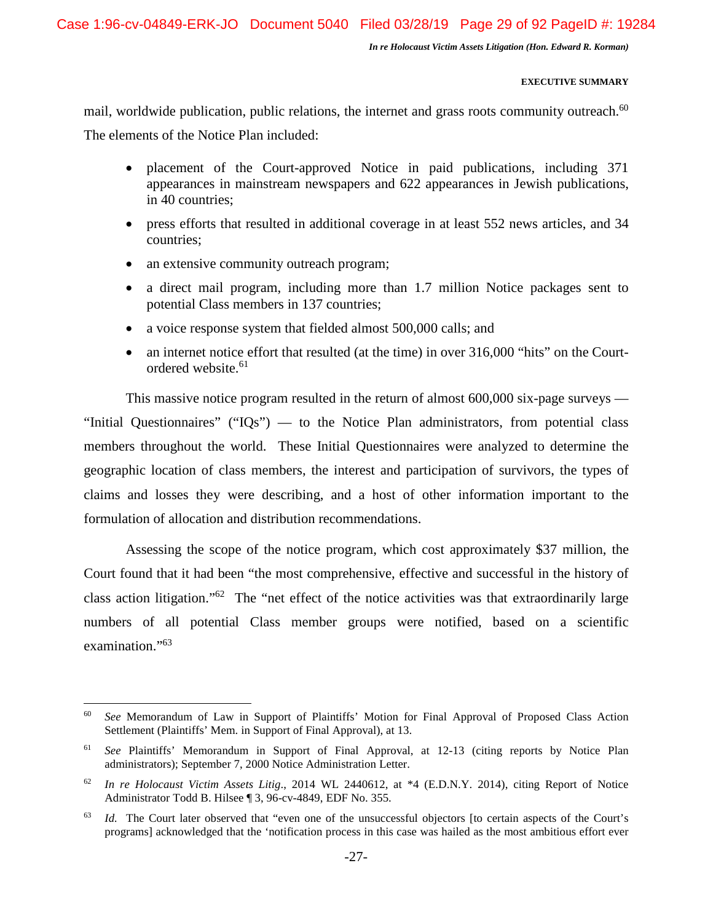## **EXECUTIVE SUMMARY**

mail, worldwide publication, public relations, the internet and grass roots community outreach.<sup>60</sup> The elements of the Notice Plan included:

- placement of the Court-approved Notice in paid publications, including 371 appearances in mainstream newspapers and 622 appearances in Jewish publications, in 40 countries;
- press efforts that resulted in additional coverage in at least 552 news articles, and 34 countries;
- an extensive community outreach program;
- a direct mail program, including more than 1.7 million Notice packages sent to potential Class members in 137 countries;
- a voice response system that fielded almost 500,000 calls; and
- an internet notice effort that resulted (at the time) in over 316,000 "hits" on the Courtordered website.<sup>61</sup>

This massive notice program resulted in the return of almost 600,000 six-page surveys — "Initial Questionnaires" ("IQs") — to the Notice Plan administrators, from potential class members throughout the world. These Initial Questionnaires were analyzed to determine the geographic location of class members, the interest and participation of survivors, the types of claims and losses they were describing, and a host of other information important to the formulation of allocation and distribution recommendations.

Assessing the scope of the notice program, which cost approximately \$37 million, the Court found that it had been "the most comprehensive, effective and successful in the history of class action litigation."<sup>62</sup> The "net effect of the notice activities was that extraordinarily large numbers of all potential Class member groups were notified, based on a scientific examination."<sup>63</sup>

<sup>60</sup> *See* Memorandum of Law in Support of Plaintiffs' Motion for Final Approval of Proposed Class Action Settlement (Plaintiffs' Mem. in Support of Final Approval), at 13.

<sup>61</sup> *See* Plaintiffs' Memorandum in Support of Final Approval, at 12-13 (citing reports by Notice Plan administrators); September 7, 2000 Notice Administration Letter.

<sup>62</sup> *In re Holocaust Victim Assets Litig*., 2014 WL 2440612, at \*4 (E.D.N.Y. 2014), citing Report of Notice Administrator Todd B. Hilsee ¶ 3, 96-cv-4849, EDF No. 355.

<sup>&</sup>lt;sup>63</sup> *Id.* The Court later observed that "even one of the unsuccessful objectors [to certain aspects of the Court's programs] acknowledged that the 'notification process in this case was hailed as the most ambitious effort ever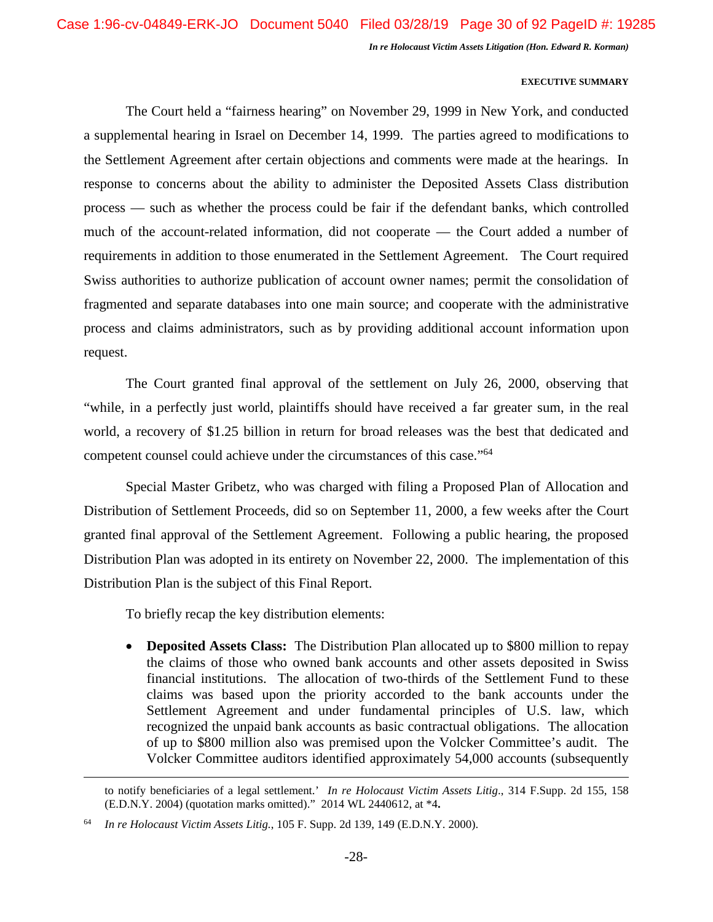## **EXECUTIVE SUMMARY**

The Court held a "fairness hearing" on November 29, 1999 in New York, and conducted a supplemental hearing in Israel on December 14, 1999. The parties agreed to modifications to the Settlement Agreement after certain objections and comments were made at the hearings. In response to concerns about the ability to administer the Deposited Assets Class distribution process — such as whether the process could be fair if the defendant banks, which controlled much of the account-related information, did not cooperate — the Court added a number of requirements in addition to those enumerated in the Settlement Agreement. The Court required Swiss authorities to authorize publication of account owner names; permit the consolidation of fragmented and separate databases into one main source; and cooperate with the administrative process and claims administrators, such as by providing additional account information upon request.

The Court granted final approval of the settlement on July 26, 2000, observing that "while, in a perfectly just world, plaintiffs should have received a far greater sum, in the real world, a recovery of \$1.25 billion in return for broad releases was the best that dedicated and competent counsel could achieve under the circumstances of this case."<sup>64</sup>

Special Master Gribetz, who was charged with filing a Proposed Plan of Allocation and Distribution of Settlement Proceeds, did so on September 11, 2000, a few weeks after the Court granted final approval of the Settlement Agreement. Following a public hearing, the proposed Distribution Plan was adopted in its entirety on November 22, 2000. The implementation of this Distribution Plan is the subject of this Final Report.

To briefly recap the key distribution elements:

 **Deposited Assets Class:** The Distribution Plan allocated up to \$800 million to repay the claims of those who owned bank accounts and other assets deposited in Swiss financial institutions. The allocation of two-thirds of the Settlement Fund to these claims was based upon the priority accorded to the bank accounts under the Settlement Agreement and under fundamental principles of U.S. law, which recognized the unpaid bank accounts as basic contractual obligations. The allocation of up to \$800 million also was premised upon the Volcker Committee's audit. The Volcker Committee auditors identified approximately 54,000 accounts (subsequently

to notify beneficiaries of a legal settlement.' *In re Holocaust Victim Assets Litig*., 314 F.Supp. 2d 155, 158 (E.D.N.Y. 2004) (quotation marks omitted)." 2014 WL 2440612, at \*4**.** 

<sup>64</sup> *In re Holocaust Victim Assets Litig.*, 105 F. Supp. 2d 139, 149 (E.D.N.Y. 2000).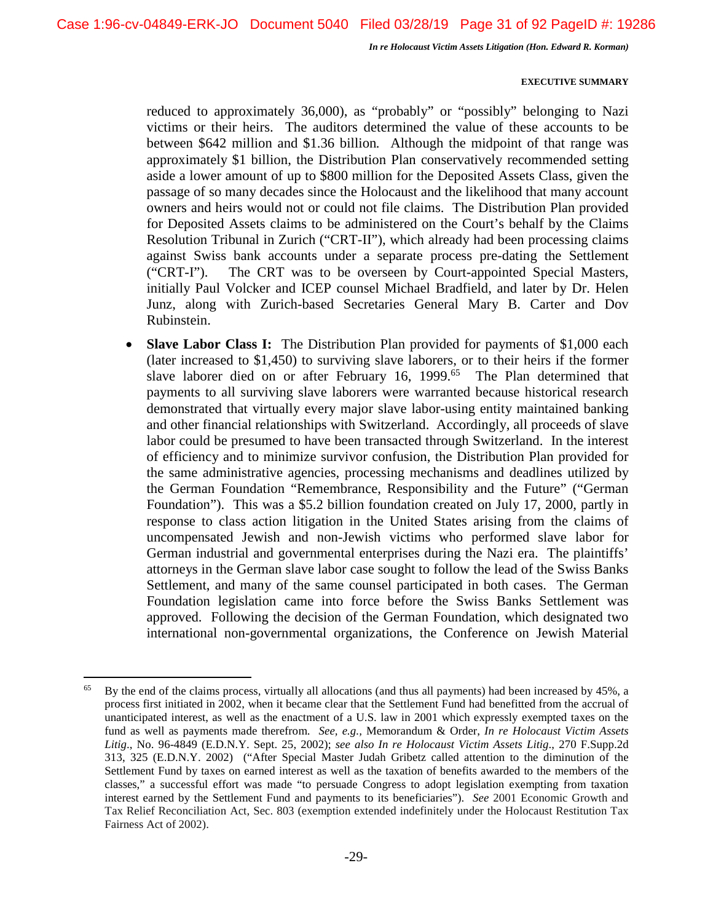## **EXECUTIVE SUMMARY**

reduced to approximately 36,000), as "probably" or "possibly" belonging to Nazi victims or their heirs. The auditors determined the value of these accounts to be between \$642 million and \$1.36 billion*.* Although the midpoint of that range was approximately \$1 billion, the Distribution Plan conservatively recommended setting aside a lower amount of up to \$800 million for the Deposited Assets Class, given the passage of so many decades since the Holocaust and the likelihood that many account owners and heirs would not or could not file claims. The Distribution Plan provided for Deposited Assets claims to be administered on the Court's behalf by the Claims Resolution Tribunal in Zurich ("CRT-II"), which already had been processing claims against Swiss bank accounts under a separate process pre-dating the Settlement ("CRT-I"). The CRT was to be overseen by Court-appointed Special Masters, initially Paul Volcker and ICEP counsel Michael Bradfield, and later by Dr. Helen Junz, along with Zurich-based Secretaries General Mary B. Carter and Dov Rubinstein.

**Slave Labor Class I:** The Distribution Plan provided for payments of \$1,000 each (later increased to \$1,450) to surviving slave laborers, or to their heirs if the former slave laborer died on or after February 16, 1999.<sup>65</sup> The Plan determined that payments to all surviving slave laborers were warranted because historical research demonstrated that virtually every major slave labor-using entity maintained banking and other financial relationships with Switzerland. Accordingly, all proceeds of slave labor could be presumed to have been transacted through Switzerland. In the interest of efficiency and to minimize survivor confusion, the Distribution Plan provided for the same administrative agencies, processing mechanisms and deadlines utilized by the German Foundation "Remembrance, Responsibility and the Future" ("German Foundation"). This was a \$5.2 billion foundation created on July 17, 2000, partly in response to class action litigation in the United States arising from the claims of uncompensated Jewish and non-Jewish victims who performed slave labor for German industrial and governmental enterprises during the Nazi era. The plaintiffs' attorneys in the German slave labor case sought to follow the lead of the Swiss Banks Settlement, and many of the same counsel participated in both cases. The German Foundation legislation came into force before the Swiss Banks Settlement was approved. Following the decision of the German Foundation, which designated two international non-governmental organizations, the Conference on Jewish Material

 $65$  By the end of the claims process, virtually all allocations (and thus all payments) had been increased by 45%, a process first initiated in 2002, when it became clear that the Settlement Fund had benefitted from the accrual of unanticipated interest, as well as the enactment of a U.S. law in 2001 which expressly exempted taxes on the fund as well as payments made therefrom. *See, e.g.,* Memorandum & Order, *In re Holocaust Victim Assets Litig*., No. 96-4849 (E.D.N.Y. Sept. 25, 2002); *see also In re Holocaust Victim Assets Litig*., 270 F.Supp.2d 313, 325 (E.D.N.Y. 2002) ("After Special Master Judah Gribetz called attention to the diminution of the Settlement Fund by taxes on earned interest as well as the taxation of benefits awarded to the members of the classes," a successful effort was made "to persuade Congress to adopt legislation exempting from taxation interest earned by the Settlement Fund and payments to its beneficiaries"). *See* 2001 Economic Growth and Tax Relief Reconciliation Act, Sec. 803 (exemption extended indefinitely under the Holocaust Restitution Tax Fairness Act of 2002).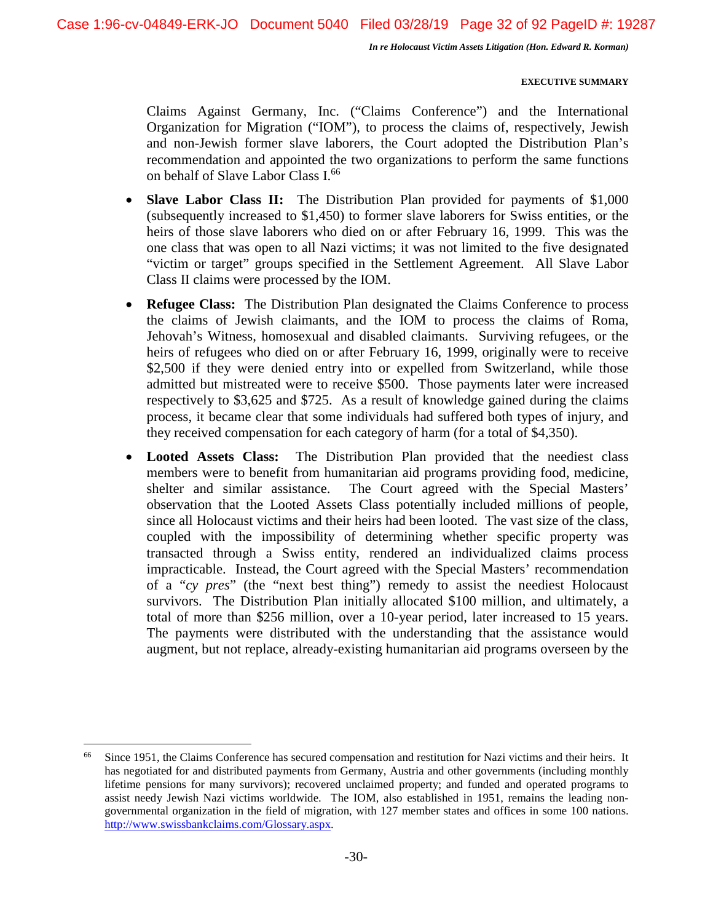## **EXECUTIVE SUMMARY**

Claims Against Germany, Inc. ("Claims Conference") and the International Organization for Migration ("IOM"), to process the claims of, respectively, Jewish and non-Jewish former slave laborers, the Court adopted the Distribution Plan's recommendation and appointed the two organizations to perform the same functions on behalf of Slave Labor Class I.<sup>66</sup>

- **Slave Labor Class II:** The Distribution Plan provided for payments of \$1,000 (subsequently increased to \$1,450) to former slave laborers for Swiss entities, or the heirs of those slave laborers who died on or after February 16, 1999. This was the one class that was open to all Nazi victims; it was not limited to the five designated "victim or target" groups specified in the Settlement Agreement. All Slave Labor Class II claims were processed by the IOM.
- **Refugee Class:** The Distribution Plan designated the Claims Conference to process the claims of Jewish claimants, and the IOM to process the claims of Roma, Jehovah's Witness, homosexual and disabled claimants. Surviving refugees, or the heirs of refugees who died on or after February 16, 1999, originally were to receive \$2,500 if they were denied entry into or expelled from Switzerland, while those admitted but mistreated were to receive \$500. Those payments later were increased respectively to \$3,625 and \$725. As a result of knowledge gained during the claims process, it became clear that some individuals had suffered both types of injury, and they received compensation for each category of harm (for a total of \$4,350).
- **Looted Assets Class:** The Distribution Plan provided that the neediest class members were to benefit from humanitarian aid programs providing food, medicine, shelter and similar assistance. The Court agreed with the Special Masters' observation that the Looted Assets Class potentially included millions of people, since all Holocaust victims and their heirs had been looted. The vast size of the class, coupled with the impossibility of determining whether specific property was transacted through a Swiss entity, rendered an individualized claims process impracticable. Instead, the Court agreed with the Special Masters' recommendation of a "*cy pres*" (the "next best thing") remedy to assist the neediest Holocaust survivors. The Distribution Plan initially allocated \$100 million, and ultimately, a total of more than \$256 million, over a 10-year period, later increased to 15 years. The payments were distributed with the understanding that the assistance would augment, but not replace, already-existing humanitarian aid programs overseen by the

<sup>&</sup>lt;sup>66</sup> Since 1951, the Claims Conference has secured compensation and restitution for Nazi victims and their heirs. It has negotiated for and distributed payments from Germany, Austria and other governments (including monthly lifetime pensions for many survivors); recovered unclaimed property; and funded and operated programs to assist needy Jewish Nazi victims worldwide. The IOM, also established in 1951, remains the leading nongovernmental organization in the field of migration, with 127 member states and offices in some 100 nations. http://www.swissbankclaims.com/Glossary.aspx.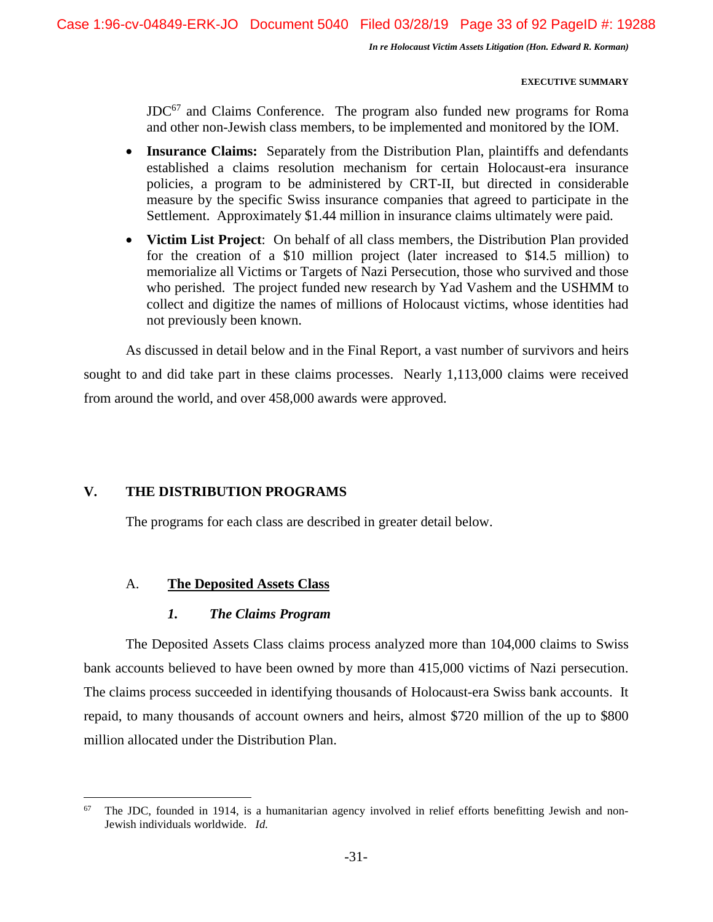## **EXECUTIVE SUMMARY**

 $JDC^{67}$  and Claims Conference. The program also funded new programs for Roma and other non-Jewish class members, to be implemented and monitored by the IOM.

- **Insurance Claims:** Separately from the Distribution Plan, plaintiffs and defendants established a claims resolution mechanism for certain Holocaust-era insurance policies, a program to be administered by CRT-II, but directed in considerable measure by the specific Swiss insurance companies that agreed to participate in the Settlement. Approximately \$1.44 million in insurance claims ultimately were paid.
- **Victim List Project**: On behalf of all class members, the Distribution Plan provided for the creation of a \$10 million project (later increased to \$14.5 million) to memorialize all Victims or Targets of Nazi Persecution, those who survived and those who perished. The project funded new research by Yad Vashem and the USHMM to collect and digitize the names of millions of Holocaust victims, whose identities had not previously been known.

As discussed in detail below and in the Final Report, a vast number of survivors and heirs sought to and did take part in these claims processes. Nearly 1,113,000 claims were received from around the world, and over 458,000 awards were approved.

## **V. THE DISTRIBUTION PROGRAMS**

The programs for each class are described in greater detail below.

## A. **The Deposited Assets Class**

# *1. The Claims Program*

The Deposited Assets Class claims process analyzed more than 104,000 claims to Swiss bank accounts believed to have been owned by more than 415,000 victims of Nazi persecution. The claims process succeeded in identifying thousands of Holocaust-era Swiss bank accounts. It repaid, to many thousands of account owners and heirs, almost \$720 million of the up to \$800 million allocated under the Distribution Plan.

 $67$  The JDC, founded in 1914, is a humanitarian agency involved in relief efforts benefitting Jewish and non-Jewish individuals worldwide. *Id.*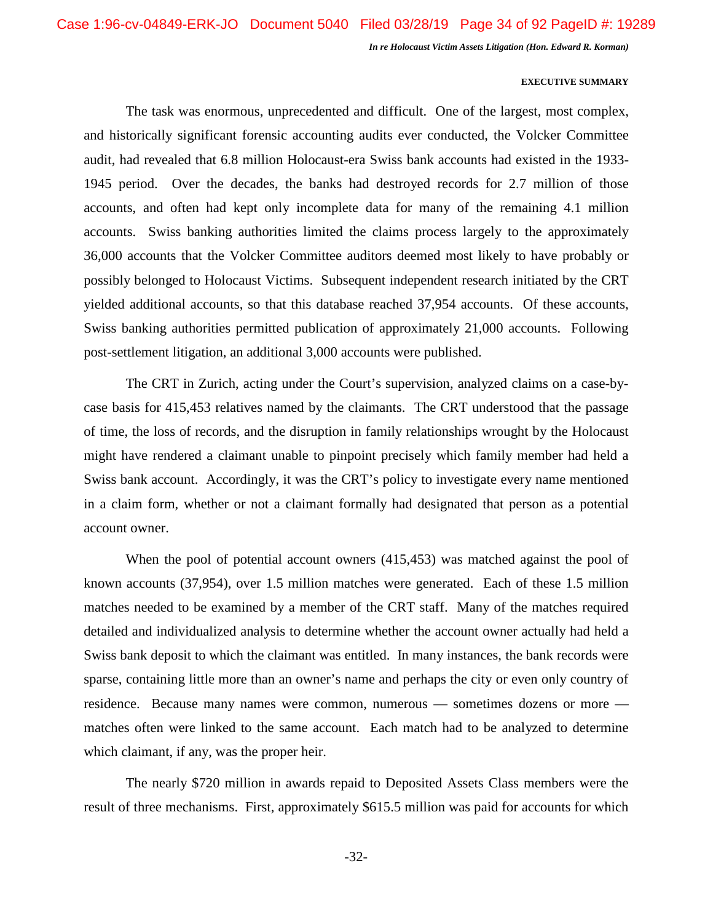## **EXECUTIVE SUMMARY**

The task was enormous, unprecedented and difficult. One of the largest, most complex, and historically significant forensic accounting audits ever conducted, the Volcker Committee audit, had revealed that 6.8 million Holocaust-era Swiss bank accounts had existed in the 1933- 1945 period. Over the decades, the banks had destroyed records for 2.7 million of those accounts, and often had kept only incomplete data for many of the remaining 4.1 million accounts. Swiss banking authorities limited the claims process largely to the approximately 36,000 accounts that the Volcker Committee auditors deemed most likely to have probably or possibly belonged to Holocaust Victims. Subsequent independent research initiated by the CRT yielded additional accounts, so that this database reached 37,954 accounts. Of these accounts, Swiss banking authorities permitted publication of approximately 21,000 accounts. Following post-settlement litigation, an additional 3,000 accounts were published.

The CRT in Zurich, acting under the Court's supervision, analyzed claims on a case-bycase basis for 415,453 relatives named by the claimants. The CRT understood that the passage of time, the loss of records, and the disruption in family relationships wrought by the Holocaust might have rendered a claimant unable to pinpoint precisely which family member had held a Swiss bank account. Accordingly, it was the CRT's policy to investigate every name mentioned in a claim form, whether or not a claimant formally had designated that person as a potential account owner.

When the pool of potential account owners (415,453) was matched against the pool of known accounts (37,954), over 1.5 million matches were generated. Each of these 1.5 million matches needed to be examined by a member of the CRT staff. Many of the matches required detailed and individualized analysis to determine whether the account owner actually had held a Swiss bank deposit to which the claimant was entitled. In many instances, the bank records were sparse, containing little more than an owner's name and perhaps the city or even only country of residence. Because many names were common, numerous — sometimes dozens or more matches often were linked to the same account. Each match had to be analyzed to determine which claimant, if any, was the proper heir.

The nearly \$720 million in awards repaid to Deposited Assets Class members were the result of three mechanisms. First, approximately \$615.5 million was paid for accounts for which

-32-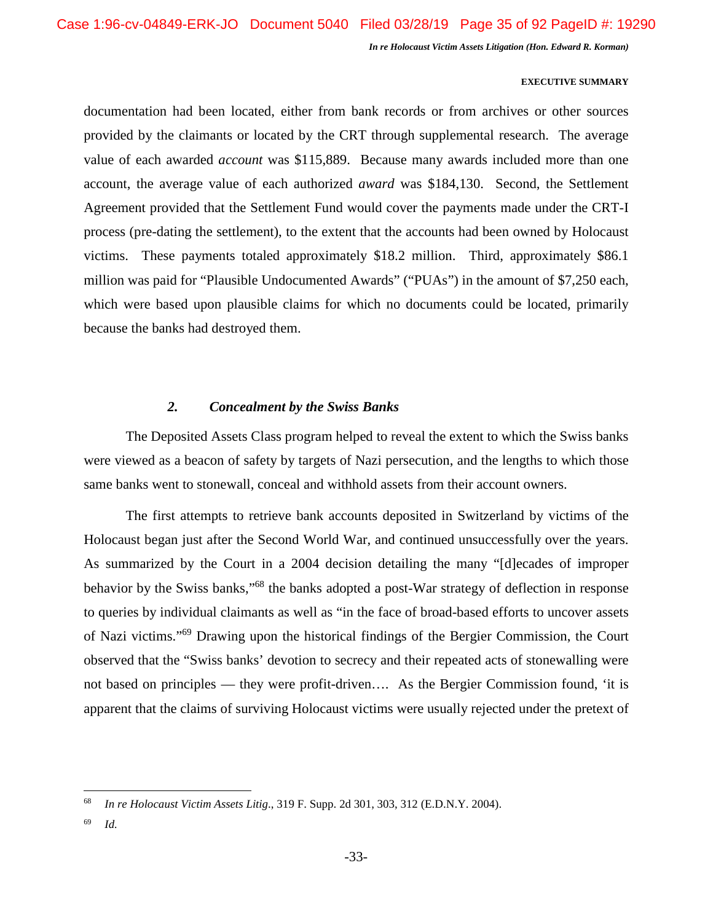## **EXECUTIVE SUMMARY**

documentation had been located, either from bank records or from archives or other sources provided by the claimants or located by the CRT through supplemental research. The average value of each awarded *account* was \$115,889. Because many awards included more than one account, the average value of each authorized *award* was \$184,130. Second, the Settlement Agreement provided that the Settlement Fund would cover the payments made under the CRT-I process (pre-dating the settlement), to the extent that the accounts had been owned by Holocaust victims. These payments totaled approximately \$18.2 million. Third, approximately \$86.1 million was paid for "Plausible Undocumented Awards" ("PUAs") in the amount of \$7,250 each, which were based upon plausible claims for which no documents could be located, primarily because the banks had destroyed them.

## *2. Concealment by the Swiss Banks*

The Deposited Assets Class program helped to reveal the extent to which the Swiss banks were viewed as a beacon of safety by targets of Nazi persecution, and the lengths to which those same banks went to stonewall, conceal and withhold assets from their account owners.

The first attempts to retrieve bank accounts deposited in Switzerland by victims of the Holocaust began just after the Second World War, and continued unsuccessfully over the years. As summarized by the Court in a 2004 decision detailing the many "[d]ecades of improper behavior by the Swiss banks,"<sup>68</sup> the banks adopted a post-War strategy of deflection in response to queries by individual claimants as well as "in the face of broad-based efforts to uncover assets of Nazi victims."<sup>69</sup> Drawing upon the historical findings of the Bergier Commission, the Court observed that the "Swiss banks' devotion to secrecy and their repeated acts of stonewalling were not based on principles — they were profit-driven…. As the Bergier Commission found, 'it is apparent that the claims of surviving Holocaust victims were usually rejected under the pretext of

<sup>68</sup> *In re Holocaust Victim Assets Litig*., 319 F. Supp. 2d 301, 303, 312 (E.D.N.Y. 2004).

<sup>69</sup> *Id.*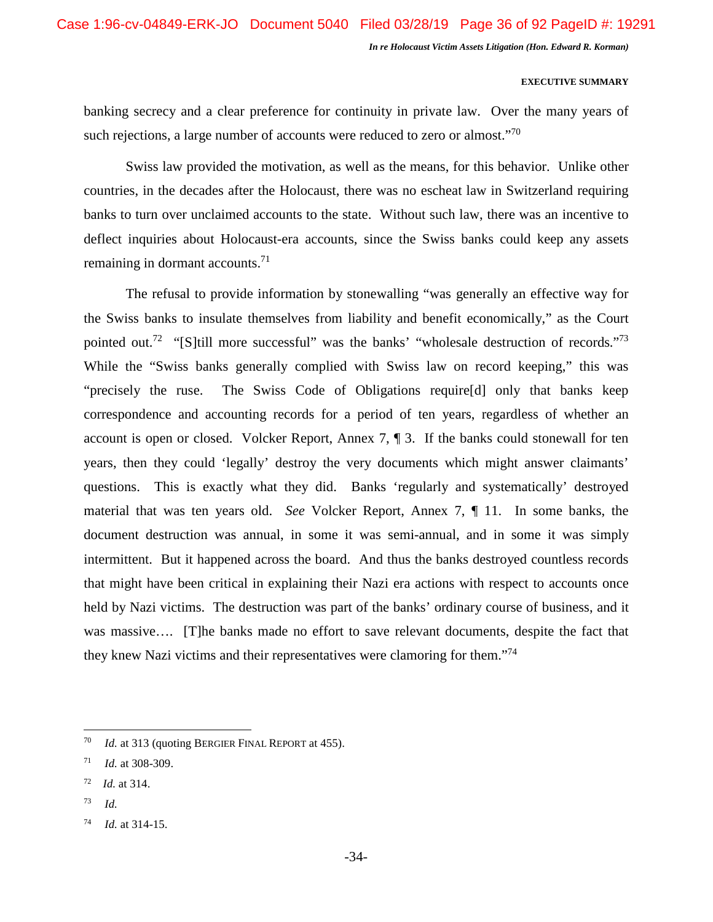## **EXECUTIVE SUMMARY**

banking secrecy and a clear preference for continuity in private law. Over the many years of such rejections, a large number of accounts were reduced to zero or almost."<sup>70</sup>

Swiss law provided the motivation, as well as the means, for this behavior. Unlike other countries, in the decades after the Holocaust, there was no escheat law in Switzerland requiring banks to turn over unclaimed accounts to the state. Without such law, there was an incentive to deflect inquiries about Holocaust-era accounts, since the Swiss banks could keep any assets remaining in dormant accounts.<sup>71</sup>

The refusal to provide information by stonewalling "was generally an effective way for the Swiss banks to insulate themselves from liability and benefit economically," as the Court pointed out.<sup>72</sup> "[S]till more successful" was the banks' "wholesale destruction of records."<sup>73</sup> While the "Swiss banks generally complied with Swiss law on record keeping," this was "precisely the ruse. The Swiss Code of Obligations require[d] only that banks keep correspondence and accounting records for a period of ten years, regardless of whether an account is open or closed. Volcker Report, Annex 7, ¶ 3. If the banks could stonewall for ten years, then they could 'legally' destroy the very documents which might answer claimants' questions. This is exactly what they did. Banks 'regularly and systematically' destroyed material that was ten years old. *See* Volcker Report, Annex 7, ¶ 11. In some banks, the document destruction was annual, in some it was semi-annual, and in some it was simply intermittent. But it happened across the board. And thus the banks destroyed countless records that might have been critical in explaining their Nazi era actions with respect to accounts once held by Nazi victims. The destruction was part of the banks' ordinary course of business, and it was massive.... [T]he banks made no effort to save relevant documents, despite the fact that they knew Nazi victims and their representatives were clamoring for them.<sup>"74</sup>

<sup>73</sup> *Id.*

<sup>70</sup> *Id.* at 313 (quoting BERGIER FINAL REPORT at 455).

<sup>71</sup> *Id.* at 308-309.

<sup>72</sup> *Id.* at 314.

<sup>74</sup> *Id.* at 314-15.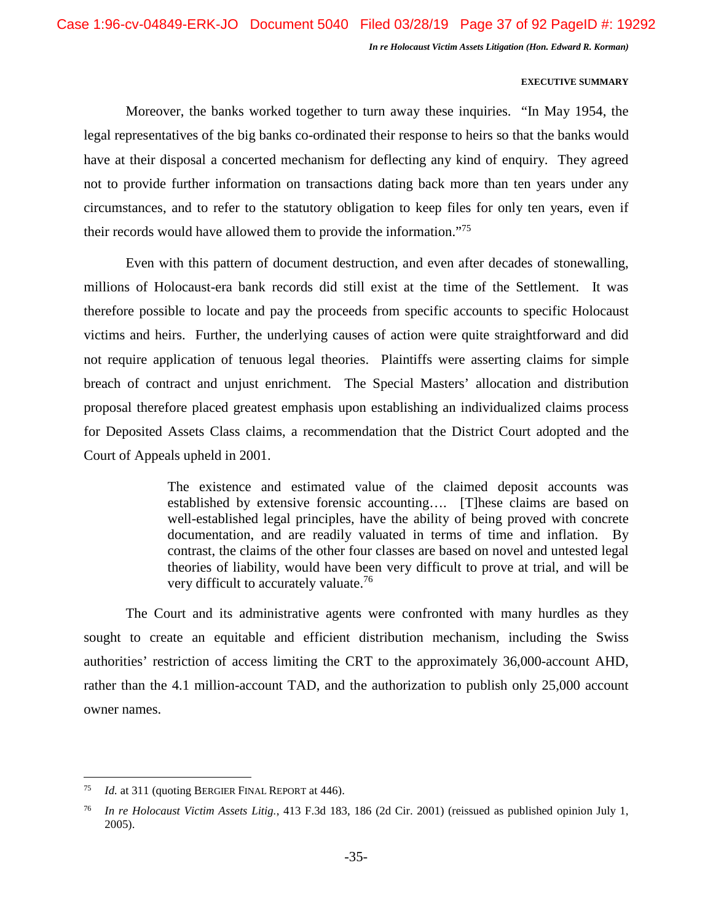# **EXECUTIVE SUMMARY**

Moreover, the banks worked together to turn away these inquiries. "In May 1954, the legal representatives of the big banks co-ordinated their response to heirs so that the banks would have at their disposal a concerted mechanism for deflecting any kind of enquiry. They agreed not to provide further information on transactions dating back more than ten years under any circumstances, and to refer to the statutory obligation to keep files for only ten years, even if their records would have allowed them to provide the information."<sup>75</sup>

Even with this pattern of document destruction, and even after decades of stonewalling, millions of Holocaust-era bank records did still exist at the time of the Settlement. It was therefore possible to locate and pay the proceeds from specific accounts to specific Holocaust victims and heirs. Further, the underlying causes of action were quite straightforward and did not require application of tenuous legal theories. Plaintiffs were asserting claims for simple breach of contract and unjust enrichment. The Special Masters' allocation and distribution proposal therefore placed greatest emphasis upon establishing an individualized claims process for Deposited Assets Class claims, a recommendation that the District Court adopted and the Court of Appeals upheld in 2001.

> The existence and estimated value of the claimed deposit accounts was established by extensive forensic accounting…. [T]hese claims are based on well-established legal principles, have the ability of being proved with concrete documentation, and are readily valuated in terms of time and inflation. By contrast, the claims of the other four classes are based on novel and untested legal theories of liability, would have been very difficult to prove at trial, and will be very difficult to accurately valuate.<sup>76</sup>

The Court and its administrative agents were confronted with many hurdles as they sought to create an equitable and efficient distribution mechanism, including the Swiss authorities' restriction of access limiting the CRT to the approximately 36,000-account AHD, rather than the 4.1 million-account TAD, and the authorization to publish only 25,000 account owner names.

<sup>75</sup> *Id.* at 311 (quoting BERGIER FINAL REPORT at 446).

<sup>76</sup> *In re Holocaust Victim Assets Litig.*, 413 F.3d 183, 186 (2d Cir. 2001) (reissued as published opinion July 1, 2005).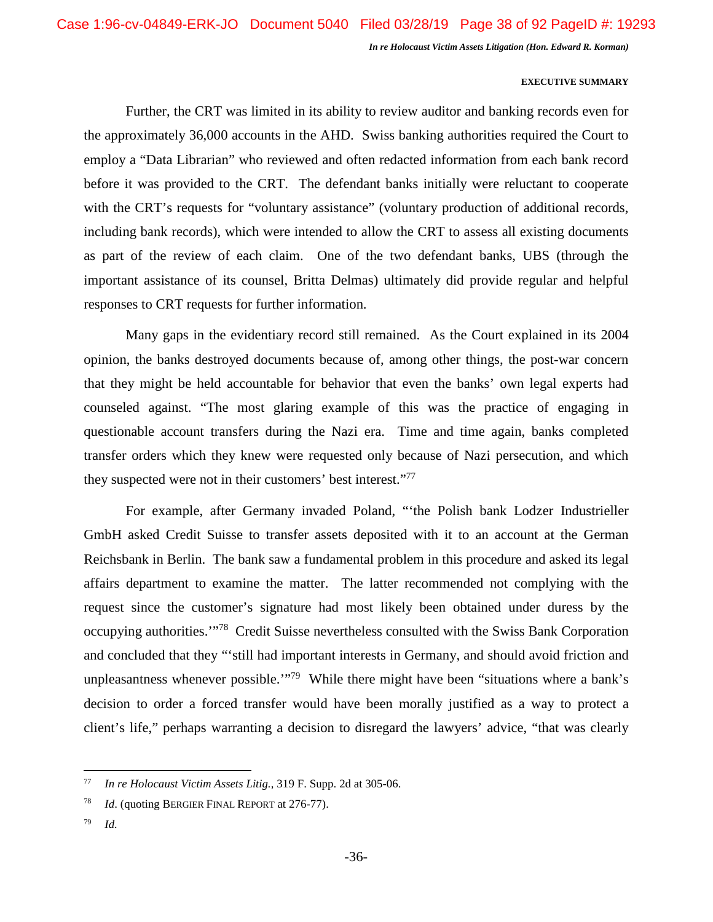# **EXECUTIVE SUMMARY**

Further, the CRT was limited in its ability to review auditor and banking records even for the approximately 36,000 accounts in the AHD. Swiss banking authorities required the Court to employ a "Data Librarian" who reviewed and often redacted information from each bank record before it was provided to the CRT. The defendant banks initially were reluctant to cooperate with the CRT's requests for "voluntary assistance" (voluntary production of additional records, including bank records), which were intended to allow the CRT to assess all existing documents as part of the review of each claim. One of the two defendant banks, UBS (through the important assistance of its counsel, Britta Delmas) ultimately did provide regular and helpful responses to CRT requests for further information.

Many gaps in the evidentiary record still remained. As the Court explained in its 2004 opinion, the banks destroyed documents because of, among other things, the post-war concern that they might be held accountable for behavior that even the banks' own legal experts had counseled against. "The most glaring example of this was the practice of engaging in questionable account transfers during the Nazi era. Time and time again, banks completed transfer orders which they knew were requested only because of Nazi persecution, and which they suspected were not in their customers' best interest."<sup>77</sup>

For example, after Germany invaded Poland, "'the Polish bank Lodzer Industrieller GmbH asked Credit Suisse to transfer assets deposited with it to an account at the German Reichsbank in Berlin. The bank saw a fundamental problem in this procedure and asked its legal affairs department to examine the matter. The latter recommended not complying with the request since the customer's signature had most likely been obtained under duress by the occupying authorities.'"<sup>78</sup> Credit Suisse nevertheless consulted with the Swiss Bank Corporation and concluded that they "'still had important interests in Germany, and should avoid friction and unpleasantness whenever possible."<sup>79</sup> While there might have been "situations where a bank's decision to order a forced transfer would have been morally justified as a way to protect a client's life," perhaps warranting a decision to disregard the lawyers' advice, "that was clearly

<sup>79</sup> *Id.* 

<sup>77</sup> *In re Holocaust Victim Assets Litig.*, 319 F. Supp. 2d at 305-06.

<sup>78</sup> *Id*. (quoting BERGIER FINAL REPORT at 276-77).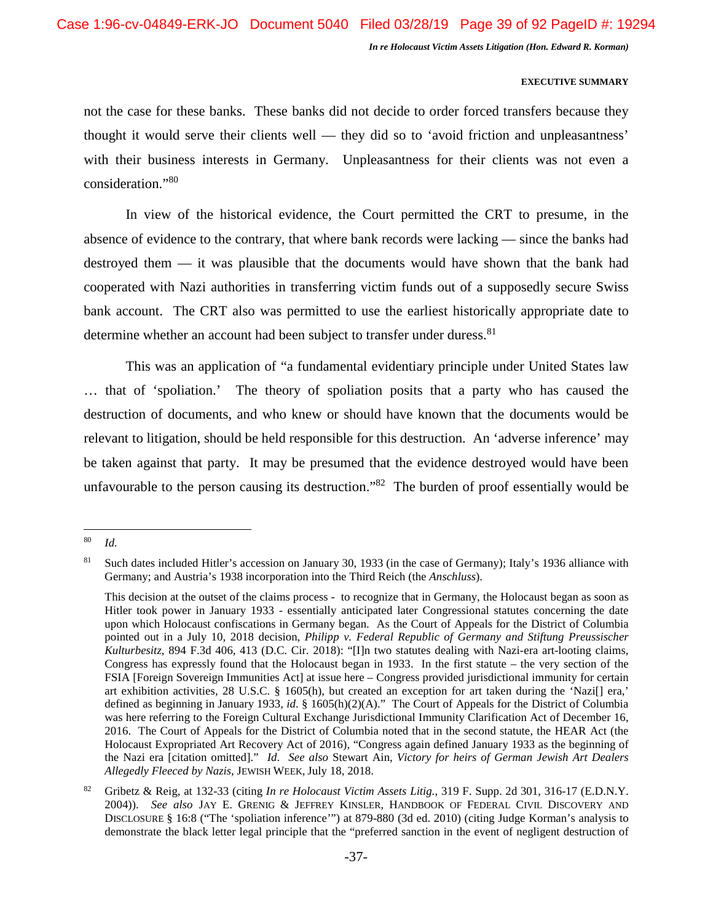# **EXECUTIVE SUMMARY**

not the case for these banks. These banks did not decide to order forced transfers because they thought it would serve their clients well — they did so to 'avoid friction and unpleasantness' with their business interests in Germany. Unpleasantness for their clients was not even a consideration."<sup>80</sup>

In view of the historical evidence, the Court permitted the CRT to presume, in the absence of evidence to the contrary, that where bank records were lacking — since the banks had destroyed them — it was plausible that the documents would have shown that the bank had cooperated with Nazi authorities in transferring victim funds out of a supposedly secure Swiss bank account. The CRT also was permitted to use the earliest historically appropriate date to determine whether an account had been subject to transfer under duress.<sup>81</sup>

This was an application of "a fundamental evidentiary principle under United States law … that of 'spoliation.' The theory of spoliation posits that a party who has caused the destruction of documents, and who knew or should have known that the documents would be relevant to litigation, should be held responsible for this destruction. An 'adverse inference' may be taken against that party. It may be presumed that the evidence destroyed would have been unfavourable to the person causing its destruction.<sup>82</sup> The burden of proof essentially would be

<sup>80</sup> *Id.* 

<sup>&</sup>lt;sup>81</sup> Such dates included Hitler's accession on January 30, 1933 (in the case of Germany); Italy's 1936 alliance with Germany; and Austria's 1938 incorporation into the Third Reich (the *Anschluss*).

This decision at the outset of the claims process - to recognize that in Germany, the Holocaust began as soon as Hitler took power in January 1933 - essentially anticipated later Congressional statutes concerning the date upon which Holocaust confiscations in Germany began. As the Court of Appeals for the District of Columbia pointed out in a July 10, 2018 decision, *Philipp v. Federal Republic of Germany and Stiftung Preussischer Kulturbesitz*, 894 F.3d 406, 413 (D.C. Cir. 2018): "[I]n two statutes dealing with Nazi-era art-looting claims, Congress has expressly found that the Holocaust began in 1933. In the first statute – the very section of the FSIA [Foreign Sovereign Immunities Act] at issue here – Congress provided jurisdictional immunity for certain art exhibition activities, 28 U.S.C. § 1605(h), but created an exception for art taken during the 'Nazi[] era,' defined as beginning in January 1933, *id*. § 1605(h)(2)(A)." The Court of Appeals for the District of Columbia was here referring to the Foreign Cultural Exchange Jurisdictional Immunity Clarification Act of December 16, 2016. The Court of Appeals for the District of Columbia noted that in the second statute, the HEAR Act (the Holocaust Expropriated Art Recovery Act of 2016), "Congress again defined January 1933 as the beginning of the Nazi era [citation omitted]." *Id*. *See also* Stewart Ain, *Victory for heirs of German Jewish Art Dealers Allegedly Fleeced by Nazis*, JEWISH WEEK, July 18, 2018.

<sup>82</sup> Gribetz & Reig, at 132-33 (citing *In re Holocaust Victim Assets Litig.*, 319 F. Supp. 2d 301, 316-17 (E.D.N.Y. 2004)). *See also* JAY E. GRENIG & JEFFREY KINSLER, HANDBOOK OF FEDERAL CIVIL DISCOVERY AND DISCLOSURE § 16:8 ("The 'spoliation inference'") at 879-880 (3d ed. 2010) (citing Judge Korman's analysis to demonstrate the black letter legal principle that the "preferred sanction in the event of negligent destruction of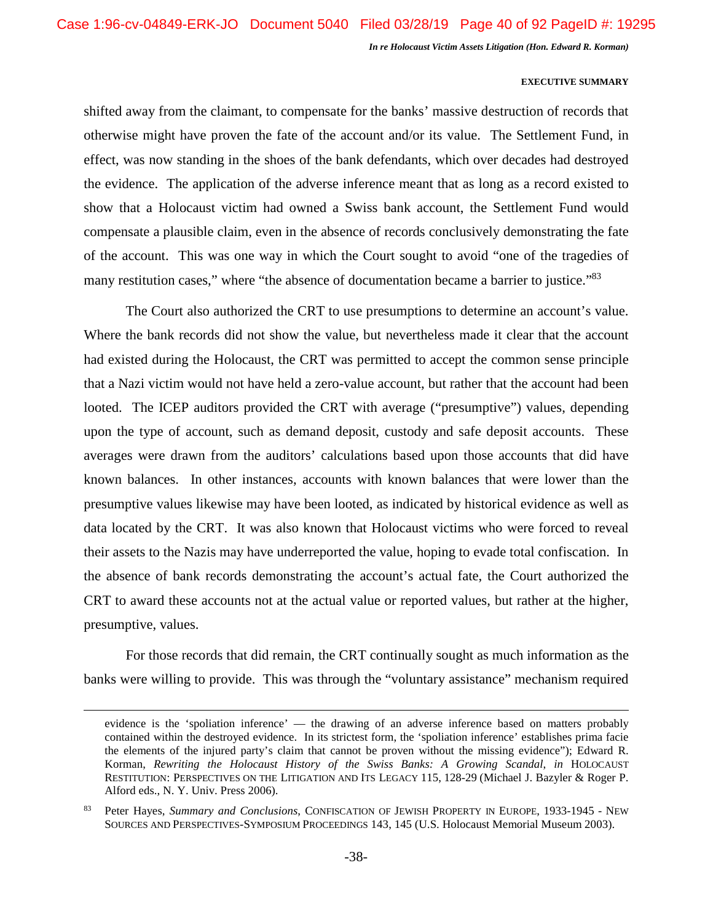#### **EXECUTIVE SUMMARY**

shifted away from the claimant, to compensate for the banks' massive destruction of records that otherwise might have proven the fate of the account and/or its value. The Settlement Fund, in effect, was now standing in the shoes of the bank defendants, which over decades had destroyed the evidence. The application of the adverse inference meant that as long as a record existed to show that a Holocaust victim had owned a Swiss bank account, the Settlement Fund would compensate a plausible claim, even in the absence of records conclusively demonstrating the fate of the account. This was one way in which the Court sought to avoid "one of the tragedies of many restitution cases," where "the absence of documentation became a barrier to justice."<sup>83</sup>

The Court also authorized the CRT to use presumptions to determine an account's value. Where the bank records did not show the value, but nevertheless made it clear that the account had existed during the Holocaust, the CRT was permitted to accept the common sense principle that a Nazi victim would not have held a zero-value account, but rather that the account had been looted. The ICEP auditors provided the CRT with average ("presumptive") values, depending upon the type of account, such as demand deposit, custody and safe deposit accounts. These averages were drawn from the auditors' calculations based upon those accounts that did have known balances. In other instances, accounts with known balances that were lower than the presumptive values likewise may have been looted, as indicated by historical evidence as well as data located by the CRT. It was also known that Holocaust victims who were forced to reveal their assets to the Nazis may have underreported the value, hoping to evade total confiscation. In the absence of bank records demonstrating the account's actual fate, the Court authorized the CRT to award these accounts not at the actual value or reported values, but rather at the higher, presumptive, values.

For those records that did remain, the CRT continually sought as much information as the banks were willing to provide. This was through the "voluntary assistance" mechanism required

evidence is the 'spoliation inference' — the drawing of an adverse inference based on matters probably contained within the destroyed evidence. In its strictest form, the 'spoliation inference' establishes prima facie the elements of the injured party's claim that cannot be proven without the missing evidence"); Edward R. Korman, *Rewriting the Holocaust History of the Swiss Banks: A Growing Scandal*, *in* HOLOCAUST RESTITUTION: PERSPECTIVES ON THE LITIGATION AND ITS LEGACY 115, 128-29 (Michael J. Bazyler & Roger P. Alford eds., N. Y. Univ. Press 2006).

<sup>83</sup> Peter Hayes, *Summary and Conclusions*, CONFISCATION OF JEWISH PROPERTY IN EUROPE, 1933-1945 - NEW SOURCES AND PERSPECTIVES-SYMPOSIUM PROCEEDINGS 143, 145 (U.S. Holocaust Memorial Museum 2003).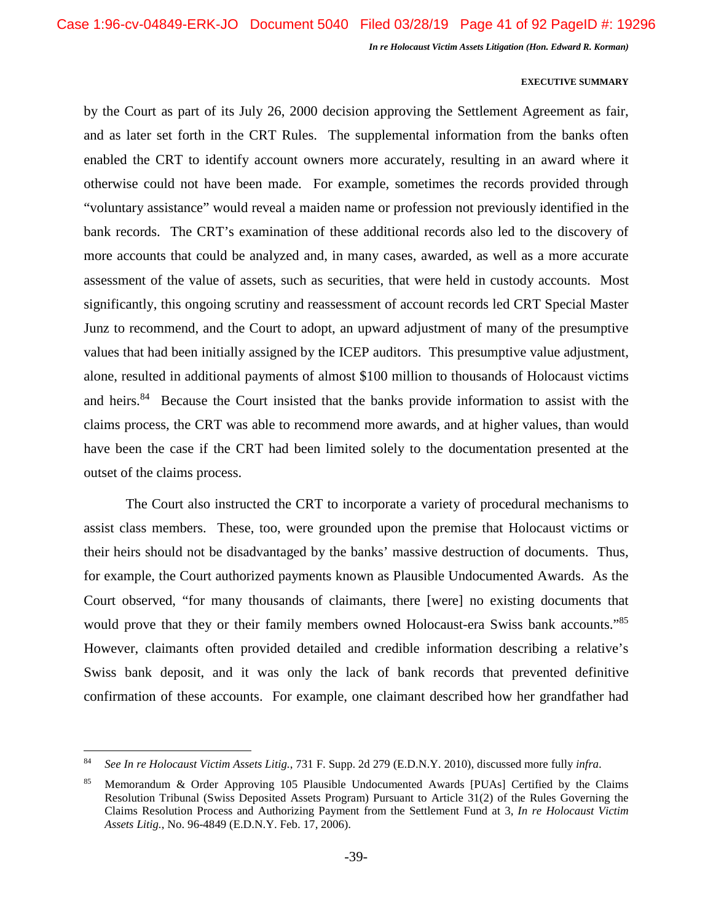#### **EXECUTIVE SUMMARY**

by the Court as part of its July 26, 2000 decision approving the Settlement Agreement as fair, and as later set forth in the CRT Rules. The supplemental information from the banks often enabled the CRT to identify account owners more accurately, resulting in an award where it otherwise could not have been made. For example, sometimes the records provided through "voluntary assistance" would reveal a maiden name or profession not previously identified in the bank records. The CRT's examination of these additional records also led to the discovery of more accounts that could be analyzed and, in many cases, awarded, as well as a more accurate assessment of the value of assets, such as securities, that were held in custody accounts. Most significantly, this ongoing scrutiny and reassessment of account records led CRT Special Master Junz to recommend, and the Court to adopt, an upward adjustment of many of the presumptive values that had been initially assigned by the ICEP auditors. This presumptive value adjustment, alone, resulted in additional payments of almost \$100 million to thousands of Holocaust victims and heirs.<sup>84</sup> Because the Court insisted that the banks provide information to assist with the claims process, the CRT was able to recommend more awards, and at higher values, than would have been the case if the CRT had been limited solely to the documentation presented at the outset of the claims process.

The Court also instructed the CRT to incorporate a variety of procedural mechanisms to assist class members. These, too, were grounded upon the premise that Holocaust victims or their heirs should not be disadvantaged by the banks' massive destruction of documents. Thus, for example, the Court authorized payments known as Plausible Undocumented Awards. As the Court observed, "for many thousands of claimants, there [were] no existing documents that would prove that they or their family members owned Holocaust-era Swiss bank accounts."<sup>85</sup> However, claimants often provided detailed and credible information describing a relative's Swiss bank deposit, and it was only the lack of bank records that prevented definitive confirmation of these accounts. For example, one claimant described how her grandfather had

<sup>84</sup> *See In re Holocaust Victim Assets Litig.*, 731 F. Supp. 2d 279 (E.D.N.Y. 2010), discussed more fully *infra*.

<sup>85</sup> Memorandum & Order Approving 105 Plausible Undocumented Awards [PUAs] Certified by the Claims Resolution Tribunal (Swiss Deposited Assets Program) Pursuant to Article 31(2) of the Rules Governing the Claims Resolution Process and Authorizing Payment from the Settlement Fund at 3, *In re Holocaust Victim Assets Litig.*, No. 96-4849 (E.D.N.Y. Feb. 17, 2006).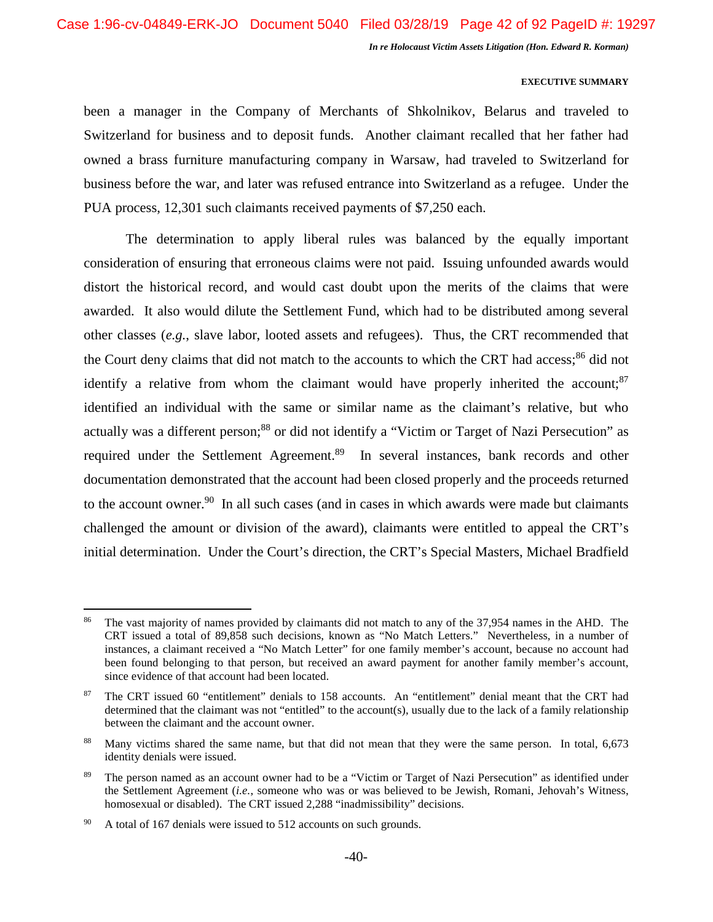# **EXECUTIVE SUMMARY**

been a manager in the Company of Merchants of Shkolnikov, Belarus and traveled to Switzerland for business and to deposit funds. Another claimant recalled that her father had owned a brass furniture manufacturing company in Warsaw, had traveled to Switzerland for business before the war, and later was refused entrance into Switzerland as a refugee. Under the PUA process, 12,301 such claimants received payments of \$7,250 each.

The determination to apply liberal rules was balanced by the equally important consideration of ensuring that erroneous claims were not paid. Issuing unfounded awards would distort the historical record, and would cast doubt upon the merits of the claims that were awarded. It also would dilute the Settlement Fund, which had to be distributed among several other classes (*e.g.*, slave labor, looted assets and refugees). Thus, the CRT recommended that the Court deny claims that did not match to the accounts to which the CRT had access;<sup>86</sup> did not identify a relative from whom the claimant would have properly inherited the account; $87$ identified an individual with the same or similar name as the claimant's relative, but who actually was a different person;<sup>88</sup> or did not identify a "Victim or Target of Nazi Persecution" as required under the Settlement Agreement.<sup>89</sup> In several instances, bank records and other documentation demonstrated that the account had been closed properly and the proceeds returned to the account owner.<sup>90</sup> In all such cases (and in cases in which awards were made but claimants challenged the amount or division of the award), claimants were entitled to appeal the CRT's initial determination. Under the Court's direction, the CRT's Special Masters, Michael Bradfield

The vast majority of names provided by claimants did not match to any of the 37,954 names in the AHD. The CRT issued a total of 89,858 such decisions, known as "No Match Letters." Nevertheless, in a number of instances, a claimant received a "No Match Letter" for one family member's account, because no account had been found belonging to that person, but received an award payment for another family member's account, since evidence of that account had been located.

<sup>87</sup> The CRT issued 60 "entitlement" denials to 158 accounts. An "entitlement" denial meant that the CRT had determined that the claimant was not "entitled" to the account(s), usually due to the lack of a family relationship between the claimant and the account owner.

<sup>88</sup> Many victims shared the same name, but that did not mean that they were the same person. In total, 6,673 identity denials were issued.

<sup>&</sup>lt;sup>89</sup> The person named as an account owner had to be a "Victim or Target of Nazi Persecution" as identified under the Settlement Agreement (*i.e.*, someone who was or was believed to be Jewish, Romani, Jehovah's Witness, homosexual or disabled). The CRT issued 2,288 "inadmissibility" decisions.

<sup>&</sup>lt;sup>90</sup> A total of 167 denials were issued to 512 accounts on such grounds.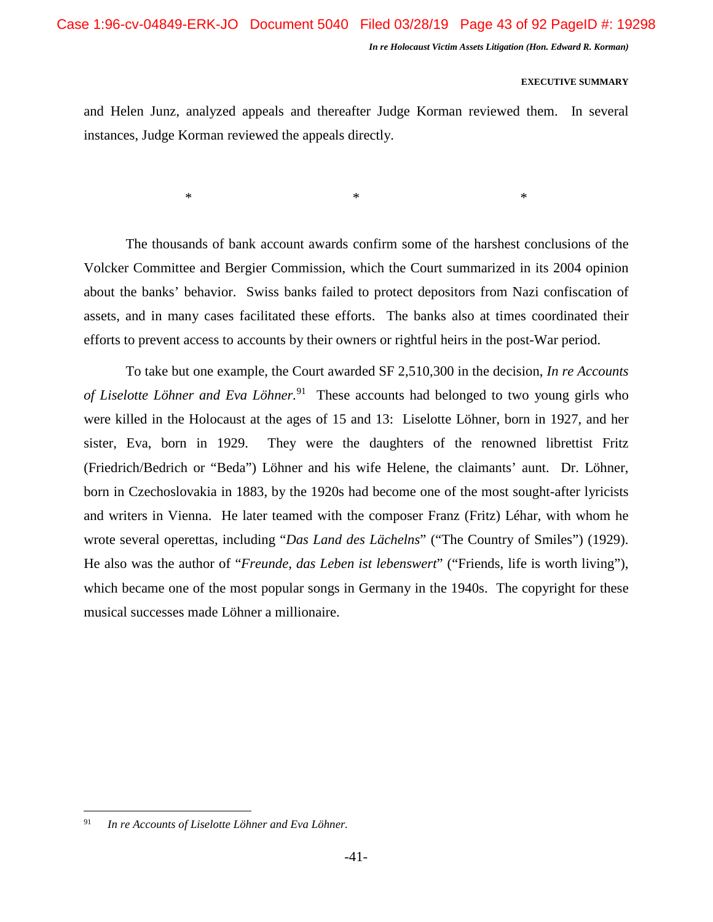#### **EXECUTIVE SUMMARY**

and Helen Junz, analyzed appeals and thereafter Judge Korman reviewed them. In several instances, Judge Korman reviewed the appeals directly.

 $*$   $*$ 

The thousands of bank account awards confirm some of the harshest conclusions of the Volcker Committee and Bergier Commission, which the Court summarized in its 2004 opinion about the banks' behavior. Swiss banks failed to protect depositors from Nazi confiscation of assets, and in many cases facilitated these efforts. The banks also at times coordinated their efforts to prevent access to accounts by their owners or rightful heirs in the post-War period.

To take but one example, the Court awarded SF 2,510,300 in the decision, *In re Accounts of Liselotte Löhner and Eva Löhner.*<sup>91</sup> These accounts had belonged to two young girls who were killed in the Holocaust at the ages of 15 and 13: Liselotte Löhner, born in 1927, and her sister, Eva, born in 1929. They were the daughters of the renowned librettist Fritz (Friedrich/Bedrich or "Beda") Löhner and his wife Helene, the claimants' aunt. Dr. Löhner, born in Czechoslovakia in 1883, by the 1920s had become one of the most sought-after lyricists and writers in Vienna. He later teamed with the composer Franz (Fritz) Léhar, with whom he wrote several operettas, including "*Das Land des Lächelns*" ("The Country of Smiles") (1929). He also was the author of "*Freunde, das Leben ist lebenswert*" ("Friends, life is worth living"), which became one of the most popular songs in Germany in the 1940s. The copyright for these musical successes made Löhner a millionaire.

<sup>91</sup> *In re Accounts of Liselotte Löhner and Eva Löhner.*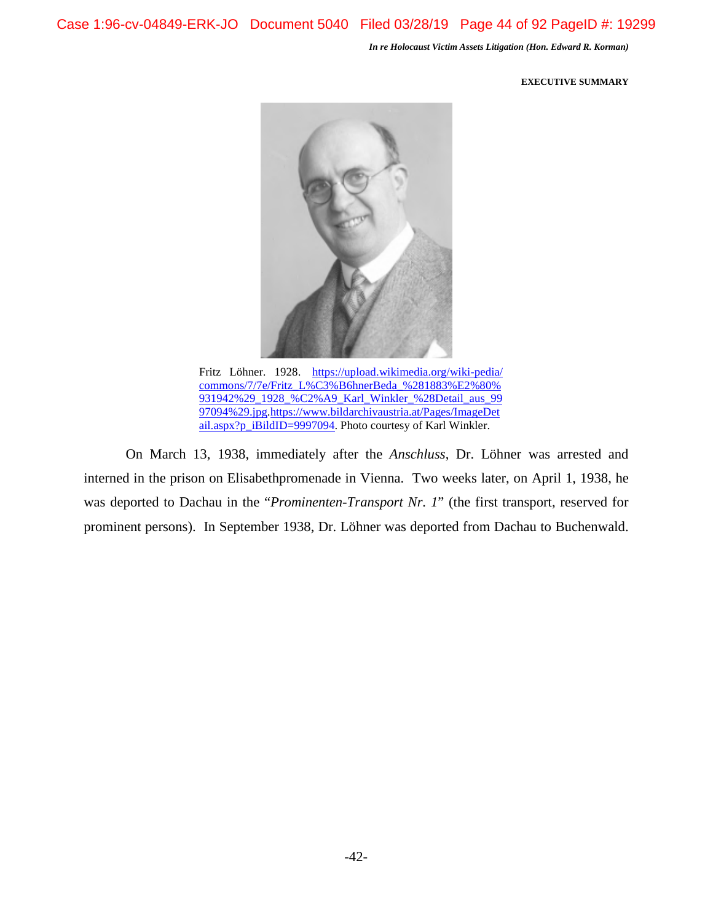Case 1:96-cv-04849-ERK-JO Document 5040 Filed 03/28/19 Page 44 of 92 PageID #: 19299

*In re Holocaust Victim Assets Litigation (Hon. Edward R. Korman)* 

#### **EXECUTIVE SUMMARY**



Fritz Löhner. 1928. https://upload.wikimedia.org/wiki-pedia/ commons/7/7e/Fritz\_L%C3%B6hnerBeda\_%281883%E2%80% 931942%29\_1928\_%C2%A9\_Karl\_Winkler\_%28Detail\_aus\_99 97094%29.jpg.https://www.bildarchivaustria.at/Pages/ImageDet ail.aspx?p\_iBildID=9997094. Photo courtesy of Karl Winkler.

On March 13, 1938, immediately after the *Anschluss*, Dr. Löhner was arrested and interned in the prison on Elisabethpromenade in Vienna. Two weeks later, on April 1, 1938, he was deported to Dachau in the "*Prominenten-Transport Nr. 1*" (the first transport, reserved for prominent persons). In September 1938, Dr. Löhner was deported from Dachau to Buchenwald.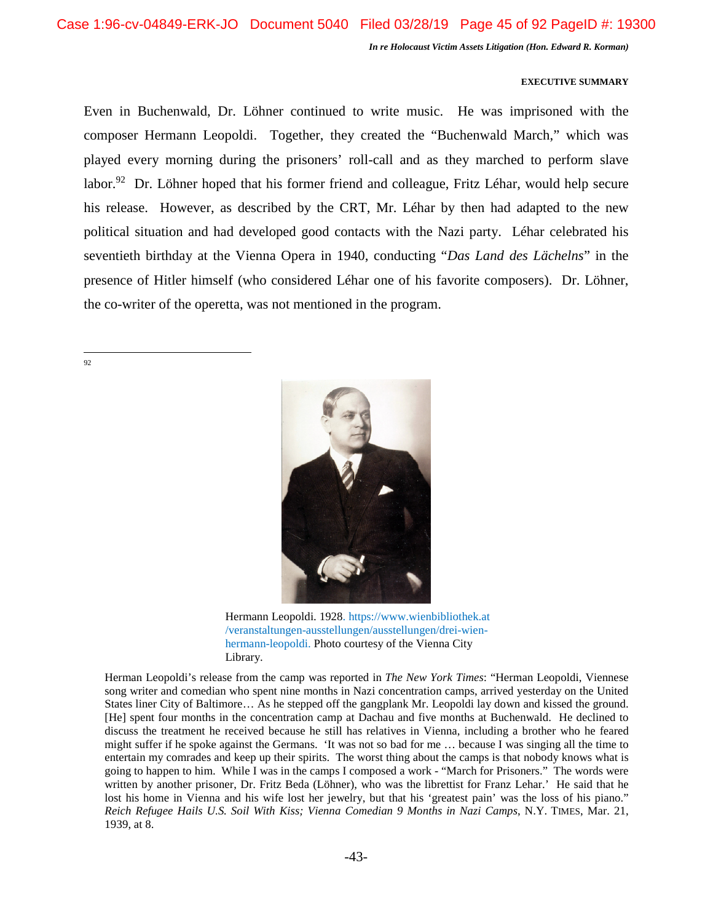# **EXECUTIVE SUMMARY**

Even in Buchenwald, Dr. Löhner continued to write music. He was imprisoned with the composer Hermann Leopoldi. Together, they created the "Buchenwald March," which was played every morning during the prisoners' roll-call and as they marched to perform slave labor.<sup>92</sup> Dr. Löhner hoped that his former friend and colleague, Fritz Léhar, would help secure his release. However, as described by the CRT, Mr. Léhar by then had adapted to the new political situation and had developed good contacts with the Nazi party. Léhar celebrated his seventieth birthday at the Vienna Opera in 1940, conducting "*Das Land des Lächelns*" in the presence of Hitler himself (who considered Léhar one of his favorite composers). Dr. Löhner, the co-writer of the operetta, was not mentioned in the program.

92



Hermann Leopoldi. 1928. https://www.wienbibliothek.at /veranstaltungen-ausstellungen/ausstellungen/drei-wienhermann-leopoldi. Photo courtesy of the Vienna City Library.

Herman Leopoldi's release from the camp was reported in *The New York Times*: "Herman Leopoldi, Viennese song writer and comedian who spent nine months in Nazi concentration camps, arrived yesterday on the United States liner City of Baltimore… As he stepped off the gangplank Mr. Leopoldi lay down and kissed the ground. [He] spent four months in the concentration camp at Dachau and five months at Buchenwald. He declined to discuss the treatment he received because he still has relatives in Vienna, including a brother who he feared might suffer if he spoke against the Germans. 'It was not so bad for me … because I was singing all the time to entertain my comrades and keep up their spirits. The worst thing about the camps is that nobody knows what is going to happen to him. While I was in the camps I composed a work - "March for Prisoners." The words were written by another prisoner, Dr. Fritz Beda (Löhner), who was the librettist for Franz Lehar.' He said that he lost his home in Vienna and his wife lost her jewelry, but that his 'greatest pain' was the loss of his piano." *Reich Refugee Hails U.S. Soil With Kiss; Vienna Comedian 9 Months in Nazi Camps*, N.Y. TIMES, Mar. 21, 1939, at 8.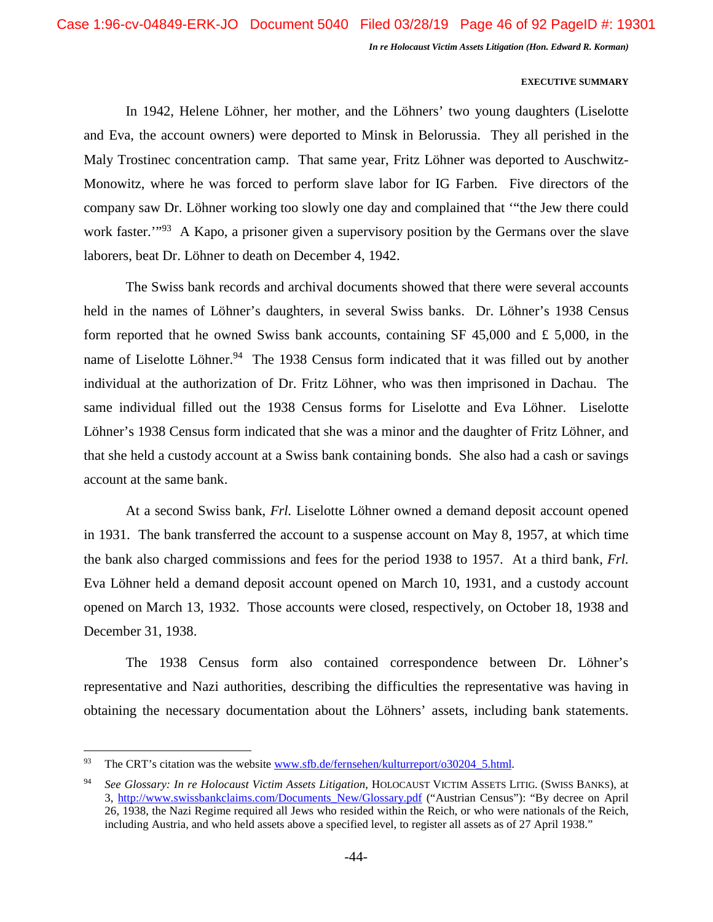#### **EXECUTIVE SUMMARY**

In 1942, Helene Löhner, her mother, and the Löhners' two young daughters (Liselotte and Eva, the account owners) were deported to Minsk in Belorussia. They all perished in the Maly Trostinec concentration camp. That same year, Fritz Löhner was deported to Auschwitz-Monowitz, where he was forced to perform slave labor for IG Farben*.* Five directors of the company saw Dr. Löhner working too slowly one day and complained that '"the Jew there could work faster.<sup>""93</sup> A Kapo, a prisoner given a supervisory position by the Germans over the slave laborers, beat Dr. Löhner to death on December 4, 1942.

The Swiss bank records and archival documents showed that there were several accounts held in the names of Löhner's daughters, in several Swiss banks. Dr. Löhner's 1938 Census form reported that he owned Swiss bank accounts, containing SF 45,000 and £ 5,000, in the name of Liselotte Löhner.<sup>94</sup> The 1938 Census form indicated that it was filled out by another individual at the authorization of Dr. Fritz Löhner, who was then imprisoned in Dachau. The same individual filled out the 1938 Census forms for Liselotte and Eva Löhner. Liselotte Löhner's 1938 Census form indicated that she was a minor and the daughter of Fritz Löhner, and that she held a custody account at a Swiss bank containing bonds. She also had a cash or savings account at the same bank.

At a second Swiss bank, *Frl.* Liselotte Löhner owned a demand deposit account opened in 1931. The bank transferred the account to a suspense account on May 8, 1957, at which time the bank also charged commissions and fees for the period 1938 to 1957. At a third bank, *Frl.* Eva Löhner held a demand deposit account opened on March 10, 1931, and a custody account opened on March 13, 1932. Those accounts were closed, respectively, on October 18, 1938 and December 31, 1938.

The 1938 Census form also contained correspondence between Dr. Löhner's representative and Nazi authorities, describing the difficulties the representative was having in obtaining the necessary documentation about the Löhners' assets, including bank statements.

<sup>&</sup>lt;sup>93</sup> The CRT's citation was the website www.sfb.de/fernsehen/kulturreport/o30204\_5.html.

<sup>94</sup> *See Glossary: In re Holocaust Victim Assets Litigation*, HOLOCAUST VICTIM ASSETS LITIG. (SWISS BANKS), at 3, http://www.swissbankclaims.com/Documents\_New/Glossary.pdf ("Austrian Census"): "By decree on April 26, 1938, the Nazi Regime required all Jews who resided within the Reich, or who were nationals of the Reich, including Austria, and who held assets above a specified level, to register all assets as of 27 April 1938."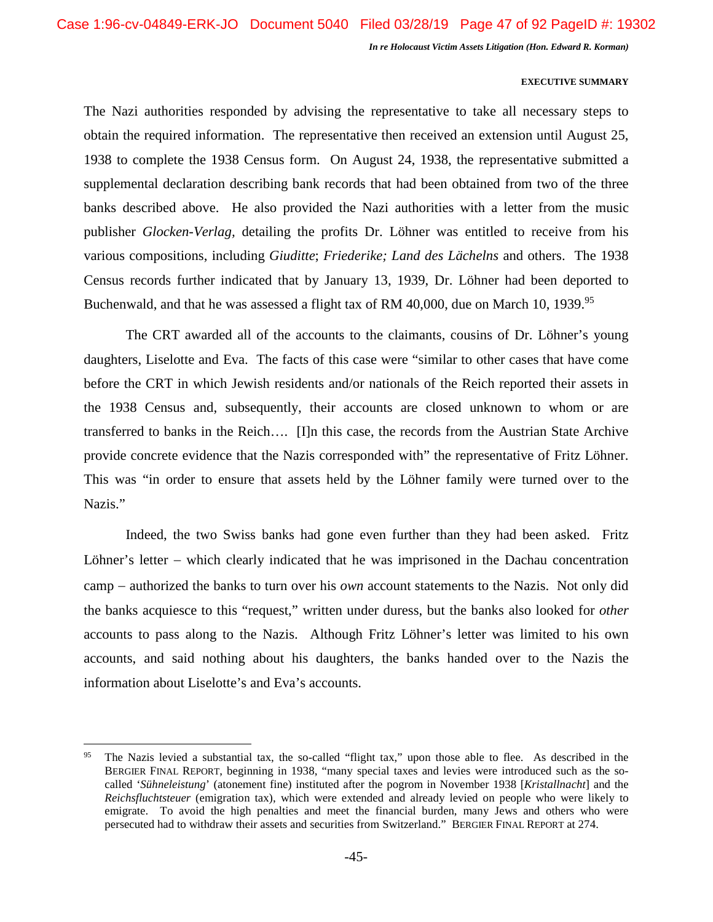#### **EXECUTIVE SUMMARY**

The Nazi authorities responded by advising the representative to take all necessary steps to obtain the required information. The representative then received an extension until August 25, 1938 to complete the 1938 Census form. On August 24, 1938, the representative submitted a supplemental declaration describing bank records that had been obtained from two of the three banks described above. He also provided the Nazi authorities with a letter from the music publisher *Glocken-Verlag,* detailing the profits Dr. Löhner was entitled to receive from his various compositions, including *Giuditte*; *Friederike; Land des Lächelns* and others. The 1938 Census records further indicated that by January 13, 1939, Dr. Löhner had been deported to Buchenwald, and that he was assessed a flight tax of RM 40,000, due on March 10, 1939.<sup>95</sup>

The CRT awarded all of the accounts to the claimants, cousins of Dr. Löhner's young daughters, Liselotte and Eva. The facts of this case were "similar to other cases that have come before the CRT in which Jewish residents and/or nationals of the Reich reported their assets in the 1938 Census and, subsequently, their accounts are closed unknown to whom or are transferred to banks in the Reich…. [I]n this case, the records from the Austrian State Archive provide concrete evidence that the Nazis corresponded with" the representative of Fritz Löhner. This was "in order to ensure that assets held by the Löhner family were turned over to the Nazis."

Indeed, the two Swiss banks had gone even further than they had been asked. Fritz Löhner's letter – which clearly indicated that he was imprisoned in the Dachau concentration camp – authorized the banks to turn over his *own* account statements to the Nazis. Not only did the banks acquiesce to this "request," written under duress, but the banks also looked for *other* accounts to pass along to the Nazis. Although Fritz Löhner's letter was limited to his own accounts, and said nothing about his daughters, the banks handed over to the Nazis the information about Liselotte's and Eva's accounts.

<sup>&</sup>lt;sup>95</sup> The Nazis levied a substantial tax, the so-called "flight tax," upon those able to flee. As described in the BERGIER FINAL REPORT, beginning in 1938, "many special taxes and levies were introduced such as the socalled '*Sühneleistung*' (atonement fine) instituted after the pogrom in November 1938 [*Kristallnacht*] and the *Reichsfluchtsteuer* (emigration tax), which were extended and already levied on people who were likely to emigrate. To avoid the high penalties and meet the financial burden, many Jews and others who were persecuted had to withdraw their assets and securities from Switzerland." BERGIER FINAL REPORT at 274.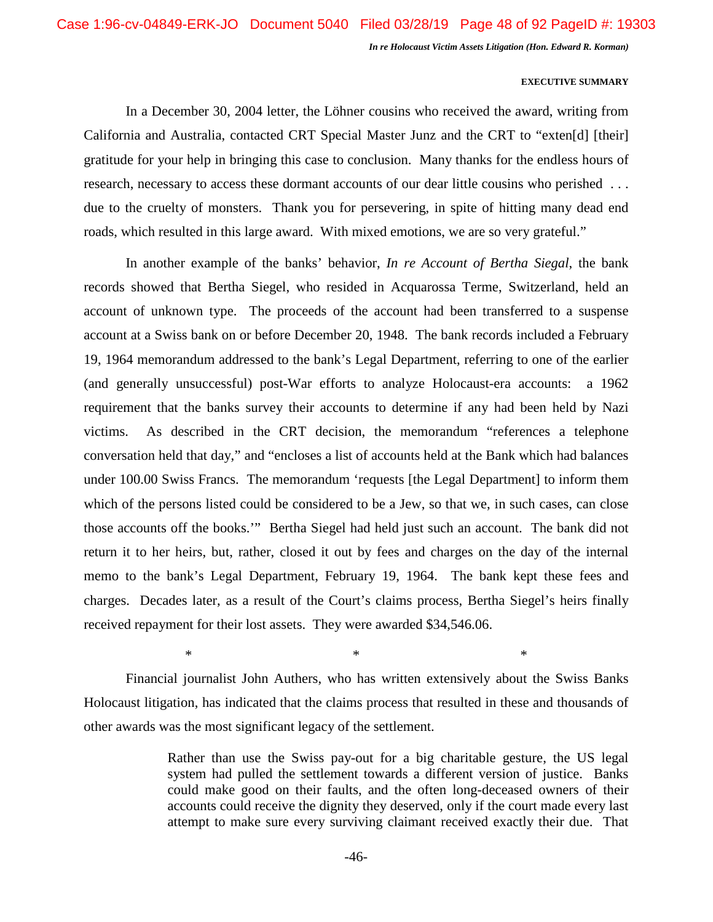# **EXECUTIVE SUMMARY**

In a December 30, 2004 letter, the Löhner cousins who received the award, writing from California and Australia, contacted CRT Special Master Junz and the CRT to "exten[d] [their] gratitude for your help in bringing this case to conclusion. Many thanks for the endless hours of research, necessary to access these dormant accounts of our dear little cousins who perished ... due to the cruelty of monsters. Thank you for persevering, in spite of hitting many dead end roads, which resulted in this large award. With mixed emotions, we are so very grateful."

In another example of the banks' behavior, *In re Account of Bertha Siegal*, the bank records showed that Bertha Siegel, who resided in Acquarossa Terme, Switzerland, held an account of unknown type. The proceeds of the account had been transferred to a suspense account at a Swiss bank on or before December 20, 1948. The bank records included a February 19, 1964 memorandum addressed to the bank's Legal Department, referring to one of the earlier (and generally unsuccessful) post-War efforts to analyze Holocaust-era accounts: a 1962 requirement that the banks survey their accounts to determine if any had been held by Nazi victims. As described in the CRT decision, the memorandum "references a telephone conversation held that day," and "encloses a list of accounts held at the Bank which had balances under 100.00 Swiss Francs. The memorandum 'requests [the Legal Department] to inform them which of the persons listed could be considered to be a Jew, so that we, in such cases, can close those accounts off the books.'" Bertha Siegel had held just such an account. The bank did not return it to her heirs, but, rather, closed it out by fees and charges on the day of the internal memo to the bank's Legal Department, February 19, 1964. The bank kept these fees and charges. Decades later, as a result of the Court's claims process, Bertha Siegel's heirs finally received repayment for their lost assets. They were awarded \$34,546.06.

Financial journalist John Authers, who has written extensively about the Swiss Banks Holocaust litigation, has indicated that the claims process that resulted in these and thousands of other awards was the most significant legacy of the settlement.

 $*$   $*$ 

Rather than use the Swiss pay-out for a big charitable gesture, the US legal system had pulled the settlement towards a different version of justice. Banks could make good on their faults, and the often long-deceased owners of their accounts could receive the dignity they deserved, only if the court made every last attempt to make sure every surviving claimant received exactly their due. That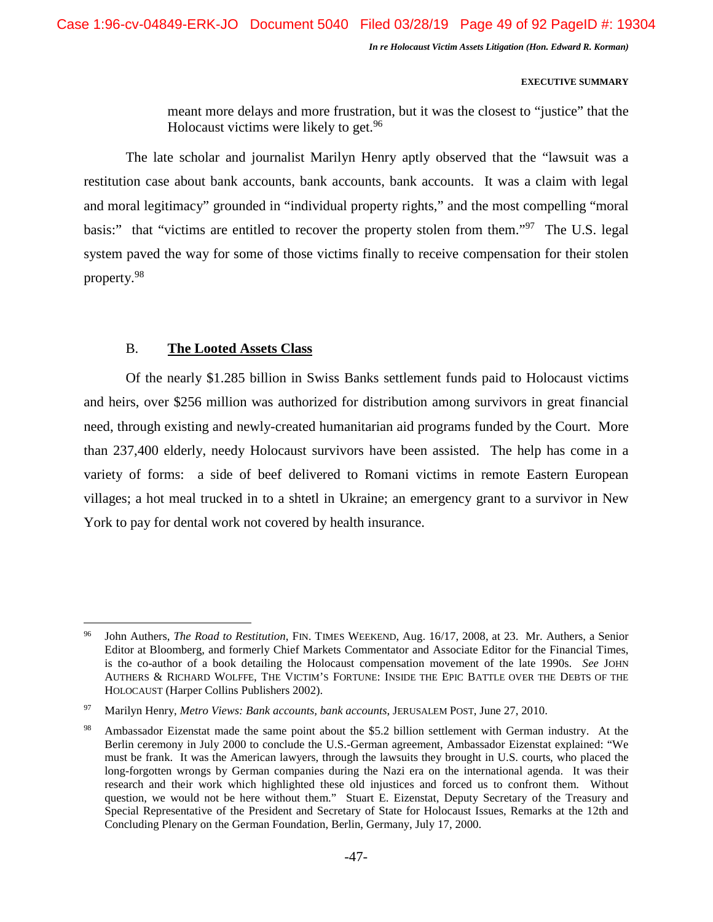#### **EXECUTIVE SUMMARY**

meant more delays and more frustration, but it was the closest to "justice" that the Holocaust victims were likely to get. $96$ 

The late scholar and journalist Marilyn Henry aptly observed that the "lawsuit was a restitution case about bank accounts, bank accounts, bank accounts. It was a claim with legal and moral legitimacy" grounded in "individual property rights," and the most compelling "moral basis:" that "victims are entitled to recover the property stolen from them."<sup>97</sup> The U.S. legal system paved the way for some of those victims finally to receive compensation for their stolen property.<sup>98</sup>

# B. **The Looted Assets Class**

Of the nearly \$1.285 billion in Swiss Banks settlement funds paid to Holocaust victims and heirs, over \$256 million was authorized for distribution among survivors in great financial need, through existing and newly-created humanitarian aid programs funded by the Court. More than 237,400 elderly, needy Holocaust survivors have been assisted. The help has come in a variety of forms: a side of beef delivered to Romani victims in remote Eastern European villages; a hot meal trucked in to a shtetl in Ukraine; an emergency grant to a survivor in New York to pay for dental work not covered by health insurance.

<sup>96</sup> John Authers, *The Road to Restitution*, FIN. TIMES WEEKEND, Aug. 16/17, 2008, at 23. Mr. Authers, a Senior Editor at Bloomberg, and formerly Chief Markets Commentator and Associate Editor for the Financial Times, is the co-author of a book detailing the Holocaust compensation movement of the late 1990s. *See* JOHN AUTHERS & RICHARD WOLFFE, THE VICTIM'S FORTUNE: INSIDE THE EPIC BATTLE OVER THE DEBTS OF THE HOLOCAUST (Harper Collins Publishers 2002).

<sup>97</sup> Marilyn Henry, *Metro Views: Bank accounts, bank accounts*, JERUSALEM POST, June 27, 2010.

Ambassador Eizenstat made the same point about the \$5.2 billion settlement with German industry. At the Berlin ceremony in July 2000 to conclude the U.S.-German agreement, Ambassador Eizenstat explained: "We must be frank. It was the American lawyers, through the lawsuits they brought in U.S. courts, who placed the long-forgotten wrongs by German companies during the Nazi era on the international agenda. It was their research and their work which highlighted these old injustices and forced us to confront them. Without question, we would not be here without them." Stuart E. Eizenstat, Deputy Secretary of the Treasury and Special Representative of the President and Secretary of State for Holocaust Issues, Remarks at the 12th and Concluding Plenary on the German Foundation, Berlin, Germany, July 17, 2000.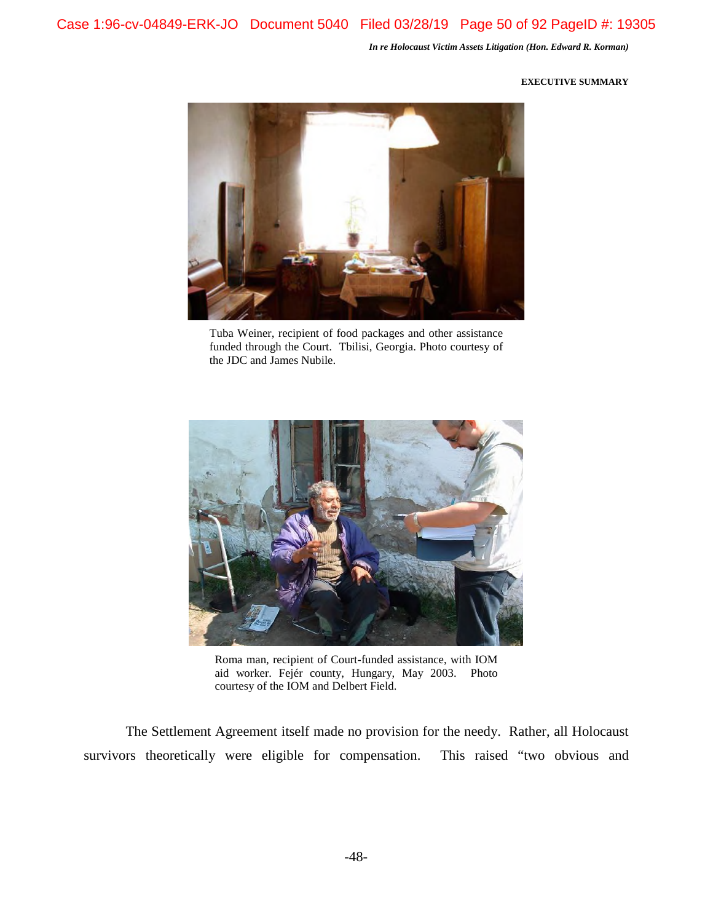# **EXECUTIVE SUMMARY**



Tuba Weiner, recipient of food packages and other assistance funded through the Court. Tbilisi, Georgia. Photo courtesy of the JDC and James Nubile.



Roma man, recipient of Court-funded assistance, with IOM aid worker. Fejér county, Hungary, May 2003. Photo courtesy of the IOM and Delbert Field.

The Settlement Agreement itself made no provision for the needy. Rather, all Holocaust survivors theoretically were eligible for compensation. This raised "two obvious and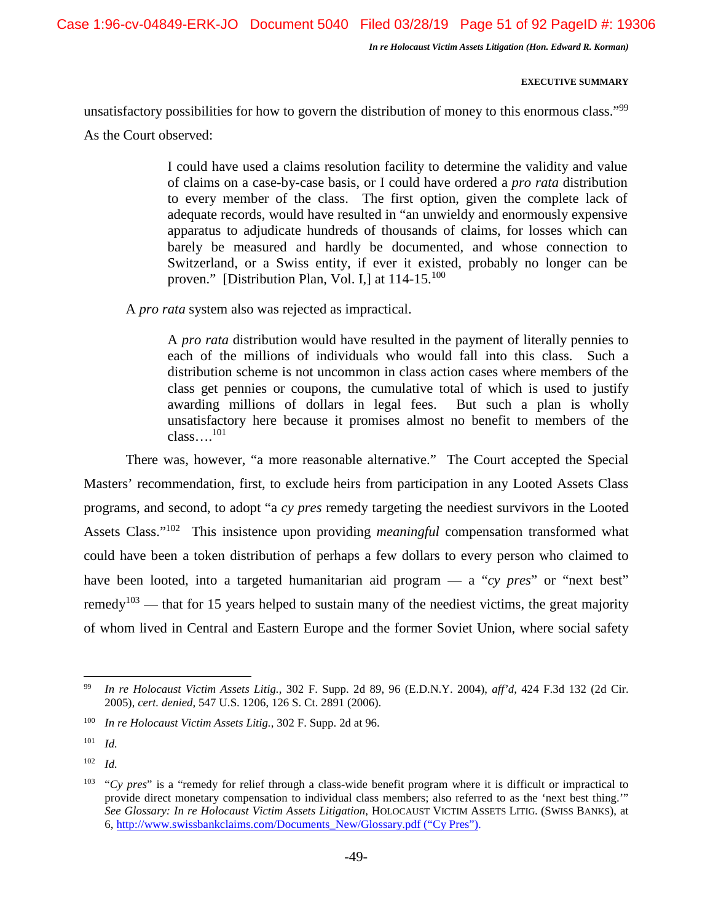Case 1:96-cv-04849-ERK-JO Document 5040 Filed 03/28/19 Page 51 of 92 PageID #: 19306

*In re Holocaust Victim Assets Litigation (Hon. Edward R. Korman)* 

# **EXECUTIVE SUMMARY**

unsatisfactory possibilities for how to govern the distribution of money to this enormous class."<sup>99</sup>

As the Court observed:

I could have used a claims resolution facility to determine the validity and value of claims on a case-by-case basis, or I could have ordered a *pro rata* distribution to every member of the class. The first option, given the complete lack of adequate records, would have resulted in "an unwieldy and enormously expensive apparatus to adjudicate hundreds of thousands of claims, for losses which can barely be measured and hardly be documented, and whose connection to Switzerland, or a Swiss entity, if ever it existed, probably no longer can be proven." [Distribution Plan, Vol. I,] at  $114-15$ .<sup>100</sup>

A *pro rata* system also was rejected as impractical.

A *pro rata* distribution would have resulted in the payment of literally pennies to each of the millions of individuals who would fall into this class. Such a distribution scheme is not uncommon in class action cases where members of the class get pennies or coupons, the cumulative total of which is used to justify awarding millions of dollars in legal fees. But such a plan is wholly unsatisfactory here because it promises almost no benefit to members of the class….<sup>101</sup>

There was, however, "a more reasonable alternative." The Court accepted the Special Masters' recommendation, first, to exclude heirs from participation in any Looted Assets Class programs, and second, to adopt "a *cy pres* remedy targeting the neediest survivors in the Looted Assets Class."<sup>102</sup> This insistence upon providing *meaningful* compensation transformed what could have been a token distribution of perhaps a few dollars to every person who claimed to have been looted, into a targeted humanitarian aid program — a "*cy pres*" or "next best" remedy<sup>103</sup> — that for 15 years helped to sustain many of the neediest victims, the great majority of whom lived in Central and Eastern Europe and the former Soviet Union, where social safety

<sup>99</sup> *In re Holocaust Victim Assets Litig.*, 302 F. Supp. 2d 89, 96 (E.D.N.Y. 2004), *aff'd*, 424 F.3d 132 (2d Cir. 2005), *cert. denied*, 547 U.S. 1206, 126 S. Ct. 2891 (2006).

<sup>100</sup> *In re Holocaust Victim Assets Litig.*, 302 F. Supp. 2d at 96.

<sup>101</sup> *Id.* 

<sup>102</sup> *Id.* 

<sup>&</sup>lt;sup>103</sup> "*Cy pres*" is a "remedy for relief through a class-wide benefit program where it is difficult or impractical to provide direct monetary compensation to individual class members; also referred to as the 'next best thing.'" *See Glossary: In re Holocaust Victim Assets Litigation*, HOLOCAUST VICTIM ASSETS LITIG. (SWISS BANKS), at 6, http://www.swissbankclaims.com/Documents\_New/Glossary.pdf ("Cy Pres").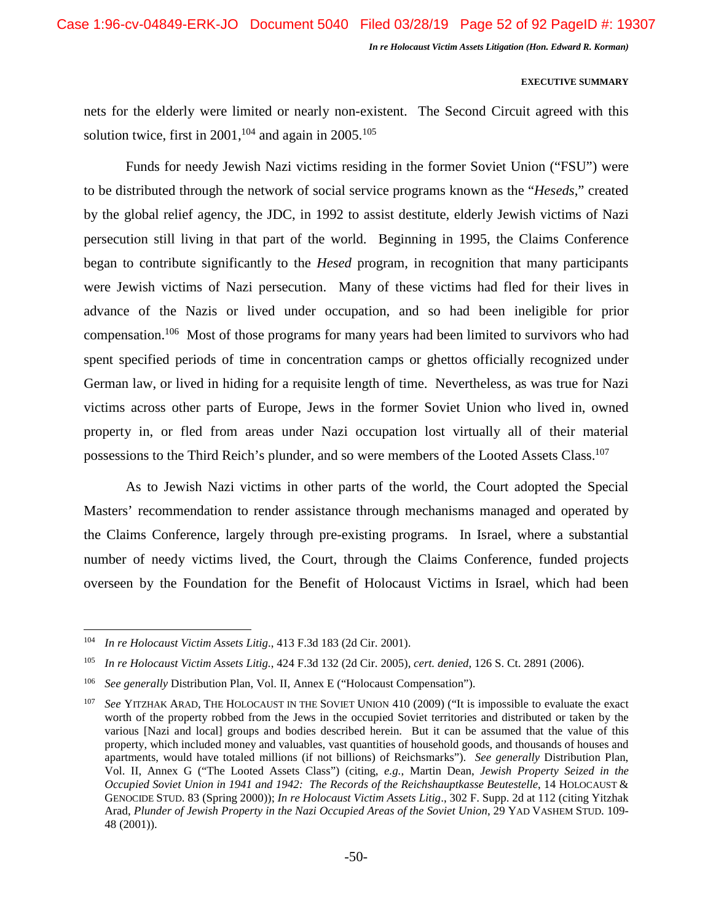# **EXECUTIVE SUMMARY**

nets for the elderly were limited or nearly non-existent. The Second Circuit agreed with this solution twice, first in  $2001$ , <sup>104</sup> and again in  $2005$ .<sup>105</sup>

Funds for needy Jewish Nazi victims residing in the former Soviet Union ("FSU") were to be distributed through the network of social service programs known as the "*Heseds*," created by the global relief agency, the JDC, in 1992 to assist destitute, elderly Jewish victims of Nazi persecution still living in that part of the world. Beginning in 1995, the Claims Conference began to contribute significantly to the *Hesed* program, in recognition that many participants were Jewish victims of Nazi persecution. Many of these victims had fled for their lives in advance of the Nazis or lived under occupation, and so had been ineligible for prior compensation.<sup>106</sup> Most of those programs for many years had been limited to survivors who had spent specified periods of time in concentration camps or ghettos officially recognized under German law, or lived in hiding for a requisite length of time. Nevertheless, as was true for Nazi victims across other parts of Europe, Jews in the former Soviet Union who lived in, owned property in, or fled from areas under Nazi occupation lost virtually all of their material possessions to the Third Reich's plunder, and so were members of the Looted Assets Class.<sup>107</sup>

As to Jewish Nazi victims in other parts of the world, the Court adopted the Special Masters' recommendation to render assistance through mechanisms managed and operated by the Claims Conference, largely through pre-existing programs. In Israel, where a substantial number of needy victims lived, the Court, through the Claims Conference, funded projects overseen by the Foundation for the Benefit of Holocaust Victims in Israel, which had been

<sup>104</sup> *In re Holocaust Victim Assets Litig*., 413 F.3d 183 (2d Cir. 2001).

<sup>105</sup> *In re Holocaust Victim Assets Litig.*, 424 F.3d 132 (2d Cir. 2005), *cert. denied*, 126 S. Ct. 2891 (2006).

<sup>106</sup> *See generally* Distribution Plan, Vol. II, Annex E ("Holocaust Compensation").

<sup>&</sup>lt;sup>107</sup> See YITZHAK ARAD, THE HOLOCAUST IN THE SOVIET UNION 410 (2009) ("It is impossible to evaluate the exact worth of the property robbed from the Jews in the occupied Soviet territories and distributed or taken by the various [Nazi and local] groups and bodies described herein. But it can be assumed that the value of this property, which included money and valuables, vast quantities of household goods, and thousands of houses and apartments, would have totaled millions (if not billions) of Reichsmarks"). *See generally* Distribution Plan, Vol. II, Annex G ("The Looted Assets Class") (citing, *e.g.*, Martin Dean, *Jewish Property Seized in the Occupied Soviet Union in 1941 and 1942: The Records of the Reichshauptkasse Beutestelle*, 14 HOLOCAUST & GENOCIDE STUD. 83 (Spring 2000)); *In re Holocaust Victim Assets Litig*., 302 F. Supp. 2d at 112 (citing Yitzhak Arad, *Plunder of Jewish Property in the Nazi Occupied Areas of the Soviet Union*, 29 YAD VASHEM STUD. 109- 48 (2001)).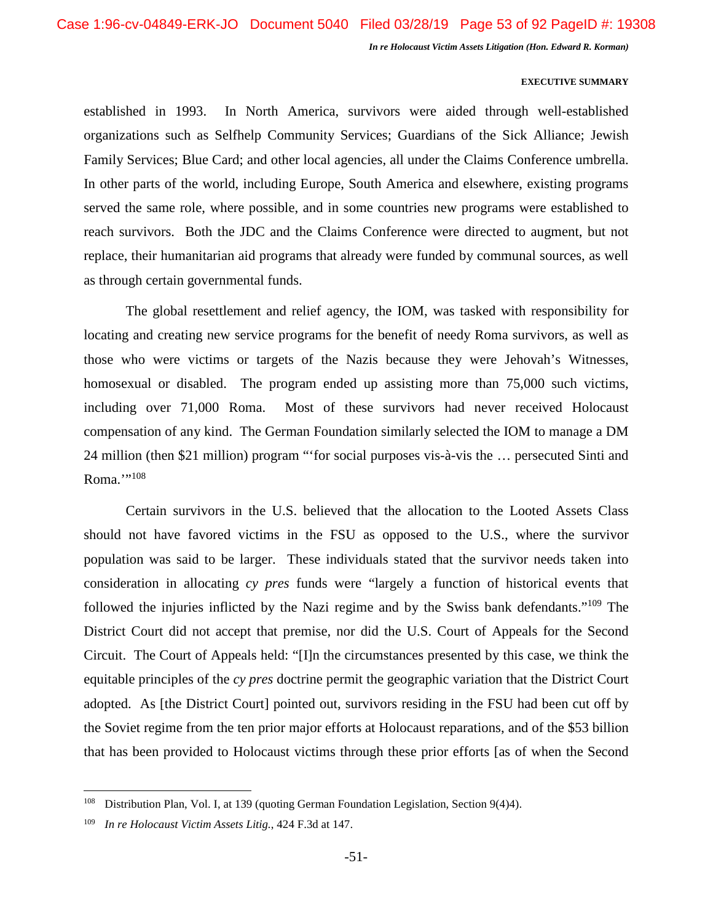# **EXECUTIVE SUMMARY**

established in 1993. In North America, survivors were aided through well-established organizations such as Selfhelp Community Services; Guardians of the Sick Alliance; Jewish Family Services; Blue Card; and other local agencies, all under the Claims Conference umbrella. In other parts of the world, including Europe, South America and elsewhere, existing programs served the same role, where possible, and in some countries new programs were established to reach survivors. Both the JDC and the Claims Conference were directed to augment, but not replace, their humanitarian aid programs that already were funded by communal sources, as well as through certain governmental funds.

The global resettlement and relief agency, the IOM, was tasked with responsibility for locating and creating new service programs for the benefit of needy Roma survivors, as well as those who were victims or targets of the Nazis because they were Jehovah's Witnesses, homosexual or disabled. The program ended up assisting more than 75,000 such victims, including over 71,000 Roma. Most of these survivors had never received Holocaust compensation of any kind. The German Foundation similarly selected the IOM to manage a DM 24 million (then \$21 million) program "'for social purposes vis-à-vis the … persecuted Sinti and Roma."<sup>108</sup>

Certain survivors in the U.S. believed that the allocation to the Looted Assets Class should not have favored victims in the FSU as opposed to the U.S., where the survivor population was said to be larger. These individuals stated that the survivor needs taken into consideration in allocating *cy pres* funds were "largely a function of historical events that followed the injuries inflicted by the Nazi regime and by the Swiss bank defendants."<sup>109</sup> The District Court did not accept that premise, nor did the U.S. Court of Appeals for the Second Circuit. The Court of Appeals held: "[I]n the circumstances presented by this case, we think the equitable principles of the *cy pres* doctrine permit the geographic variation that the District Court adopted. As [the District Court] pointed out, survivors residing in the FSU had been cut off by the Soviet regime from the ten prior major efforts at Holocaust reparations, and of the \$53 billion that has been provided to Holocaust victims through these prior efforts [as of when the Second

<sup>108</sup> Distribution Plan, Vol. I, at 139 (quoting German Foundation Legislation, Section 9(4)4).

<sup>109</sup> *In re Holocaust Victim Assets Litig.*, 424 F.3d at 147.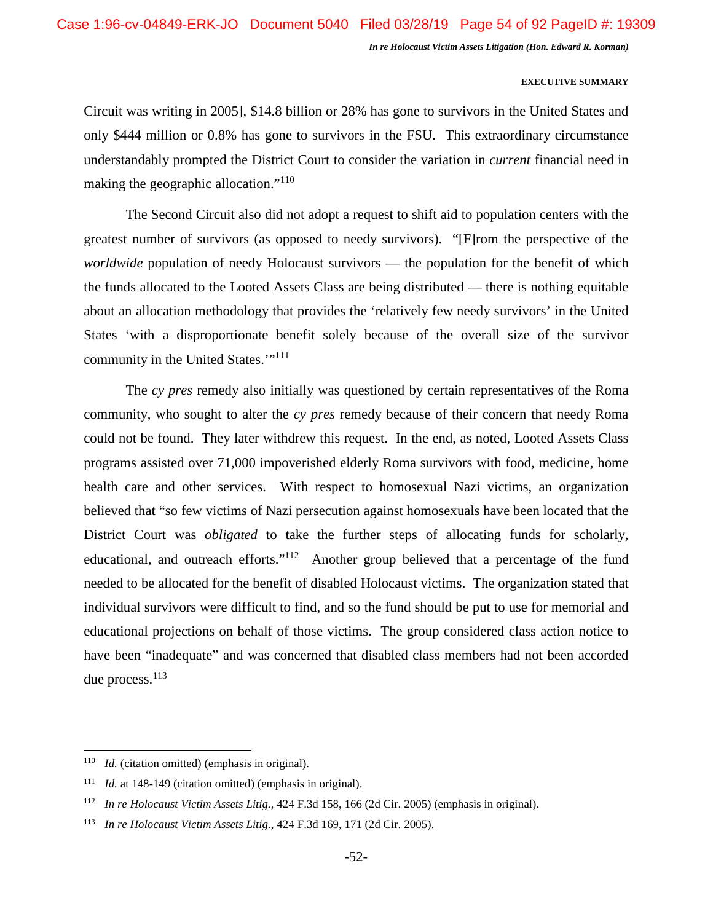# **EXECUTIVE SUMMARY**

Circuit was writing in 2005], \$14.8 billion or 28% has gone to survivors in the United States and only \$444 million or 0.8% has gone to survivors in the FSU. This extraordinary circumstance understandably prompted the District Court to consider the variation in *current* financial need in making the geographic allocation."<sup>110</sup>

The Second Circuit also did not adopt a request to shift aid to population centers with the greatest number of survivors (as opposed to needy survivors). "[F]rom the perspective of the *worldwide* population of needy Holocaust survivors — the population for the benefit of which the funds allocated to the Looted Assets Class are being distributed — there is nothing equitable about an allocation methodology that provides the 'relatively few needy survivors' in the United States 'with a disproportionate benefit solely because of the overall size of the survivor community in the United States."<sup>111</sup>

The *cy pres* remedy also initially was questioned by certain representatives of the Roma community, who sought to alter the *cy pres* remedy because of their concern that needy Roma could not be found. They later withdrew this request. In the end, as noted, Looted Assets Class programs assisted over 71,000 impoverished elderly Roma survivors with food, medicine, home health care and other services. With respect to homosexual Nazi victims, an organization believed that "so few victims of Nazi persecution against homosexuals have been located that the District Court was *obligated* to take the further steps of allocating funds for scholarly, educational, and outreach efforts."<sup>112</sup> Another group believed that a percentage of the fund needed to be allocated for the benefit of disabled Holocaust victims. The organization stated that individual survivors were difficult to find, and so the fund should be put to use for memorial and educational projections on behalf of those victims. The group considered class action notice to have been "inadequate" and was concerned that disabled class members had not been accorded due process.<sup>113</sup>

<sup>&</sup>lt;sup>110</sup> *Id.* (citation omitted) (emphasis in original).

<sup>111</sup> *Id.* at 148-149 (citation omitted) (emphasis in original).

<sup>112</sup> *In re Holocaust Victim Assets Litig.*, 424 F.3d 158, 166 (2d Cir. 2005) (emphasis in original).

<sup>113</sup> *In re Holocaust Victim Assets Litig.*, 424 F.3d 169, 171 (2d Cir. 2005).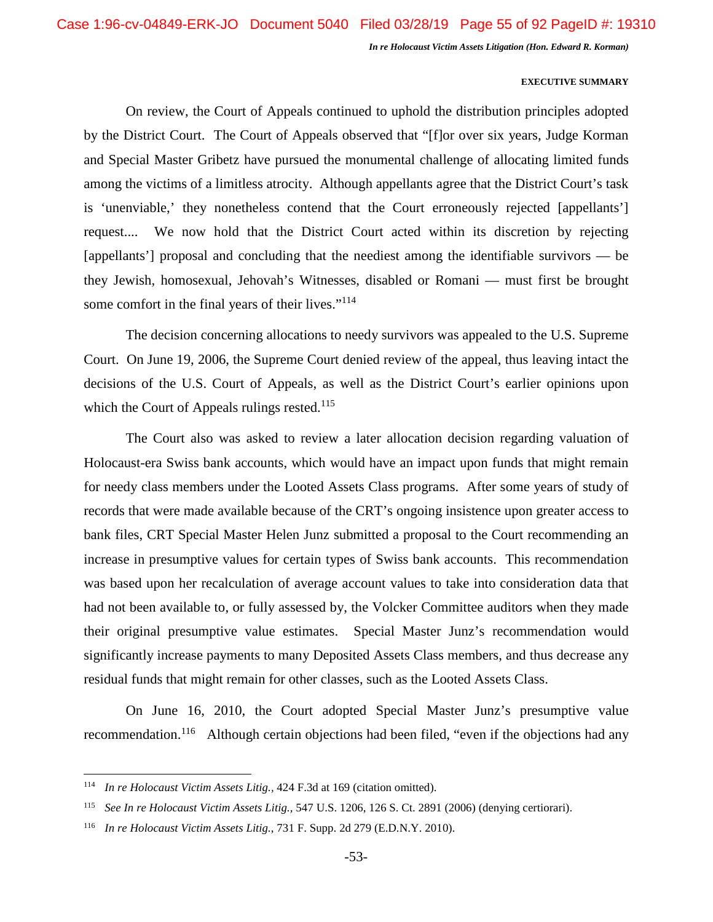#### **EXECUTIVE SUMMARY**

On review, the Court of Appeals continued to uphold the distribution principles adopted by the District Court. The Court of Appeals observed that "[f]or over six years, Judge Korman and Special Master Gribetz have pursued the monumental challenge of allocating limited funds among the victims of a limitless atrocity. Although appellants agree that the District Court's task is 'unenviable,' they nonetheless contend that the Court erroneously rejected [appellants'] request.... We now hold that the District Court acted within its discretion by rejecting [appellants'] proposal and concluding that the neediest among the identifiable survivors — be they Jewish, homosexual, Jehovah's Witnesses, disabled or Romani — must first be brought some comfort in the final years of their lives."<sup>114</sup>

The decision concerning allocations to needy survivors was appealed to the U.S. Supreme Court. On June 19, 2006, the Supreme Court denied review of the appeal, thus leaving intact the decisions of the U.S. Court of Appeals, as well as the District Court's earlier opinions upon which the Court of Appeals rulings rested.<sup>115</sup>

The Court also was asked to review a later allocation decision regarding valuation of Holocaust-era Swiss bank accounts, which would have an impact upon funds that might remain for needy class members under the Looted Assets Class programs. After some years of study of records that were made available because of the CRT's ongoing insistence upon greater access to bank files, CRT Special Master Helen Junz submitted a proposal to the Court recommending an increase in presumptive values for certain types of Swiss bank accounts. This recommendation was based upon her recalculation of average account values to take into consideration data that had not been available to, or fully assessed by, the Volcker Committee auditors when they made their original presumptive value estimates. Special Master Junz's recommendation would significantly increase payments to many Deposited Assets Class members, and thus decrease any residual funds that might remain for other classes, such as the Looted Assets Class.

On June 16, 2010, the Court adopted Special Master Junz's presumptive value recommendation.<sup>116</sup> Although certain objections had been filed, "even if the objections had any

<sup>114</sup> *In re Holocaust Victim Assets Litig.,* 424 F.3d at 169 (citation omitted).

<sup>115</sup> *See In re Holocaust Victim Assets Litig.,* 547 U.S. 1206, 126 S. Ct. 2891 (2006) (denying certiorari).

<sup>116</sup> *In re Holocaust Victim Assets Litig.*, 731 F. Supp. 2d 279 (E.D.N.Y. 2010).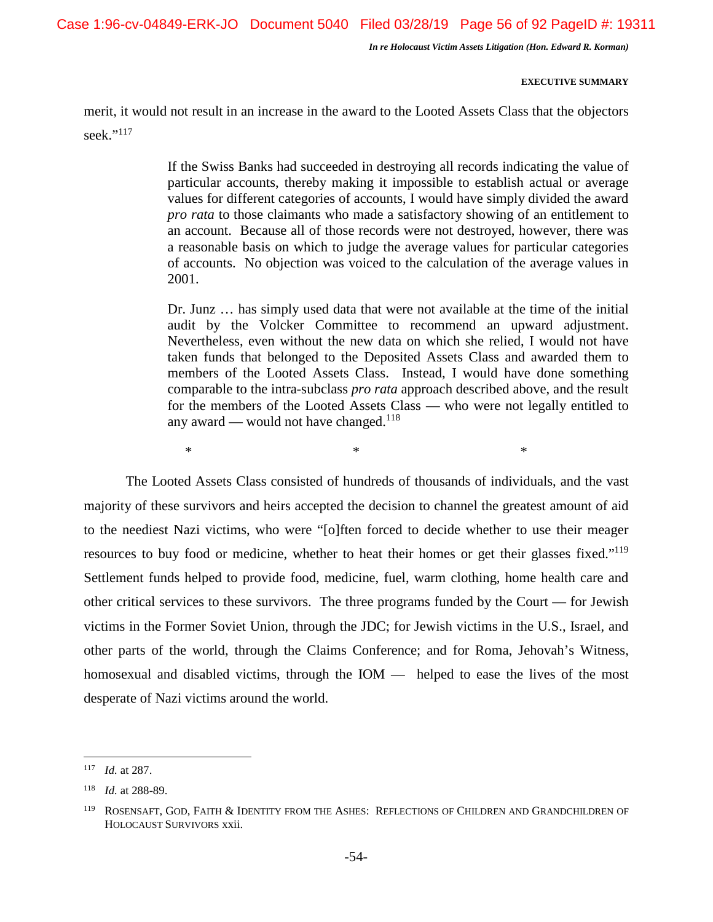Case 1:96-cv-04849-ERK-JO Document 5040 Filed 03/28/19 Page 56 of 92 PageID #: 19311

*In re Holocaust Victim Assets Litigation (Hon. Edward R. Korman)* 

# **EXECUTIVE SUMMARY**

merit, it would not result in an increase in the award to the Looted Assets Class that the objectors seek."<sup>117</sup>

> If the Swiss Banks had succeeded in destroying all records indicating the value of particular accounts, thereby making it impossible to establish actual or average values for different categories of accounts, I would have simply divided the award *pro rata* to those claimants who made a satisfactory showing of an entitlement to an account. Because all of those records were not destroyed, however, there was a reasonable basis on which to judge the average values for particular categories of accounts. No objection was voiced to the calculation of the average values in 2001.

> Dr. Junz … has simply used data that were not available at the time of the initial audit by the Volcker Committee to recommend an upward adjustment. Nevertheless, even without the new data on which she relied, I would not have taken funds that belonged to the Deposited Assets Class and awarded them to members of the Looted Assets Class. Instead, I would have done something comparable to the intra-subclass *pro rata* approach described above, and the result for the members of the Looted Assets Class — who were not legally entitled to any award — would not have changed. $118$

 $*$   $*$ 

The Looted Assets Class consisted of hundreds of thousands of individuals, and the vast majority of these survivors and heirs accepted the decision to channel the greatest amount of aid to the neediest Nazi victims, who were "[o]ften forced to decide whether to use their meager resources to buy food or medicine, whether to heat their homes or get their glasses fixed."<sup>119</sup> Settlement funds helped to provide food, medicine, fuel, warm clothing, home health care and other critical services to these survivors. The three programs funded by the Court — for Jewish victims in the Former Soviet Union, through the JDC; for Jewish victims in the U.S., Israel, and other parts of the world, through the Claims Conference; and for Roma, Jehovah's Witness, homosexual and disabled victims, through the IOM — helped to ease the lives of the most desperate of Nazi victims around the world.

<sup>117</sup> *Id.* at 287.

<sup>118</sup> *Id.* at 288-89.

<sup>119</sup> ROSENSAFT, GOD, FAITH & IDENTITY FROM THE ASHES: REFLECTIONS OF CHILDREN AND GRANDCHILDREN OF HOLOCAUST SURVIVORS xxii.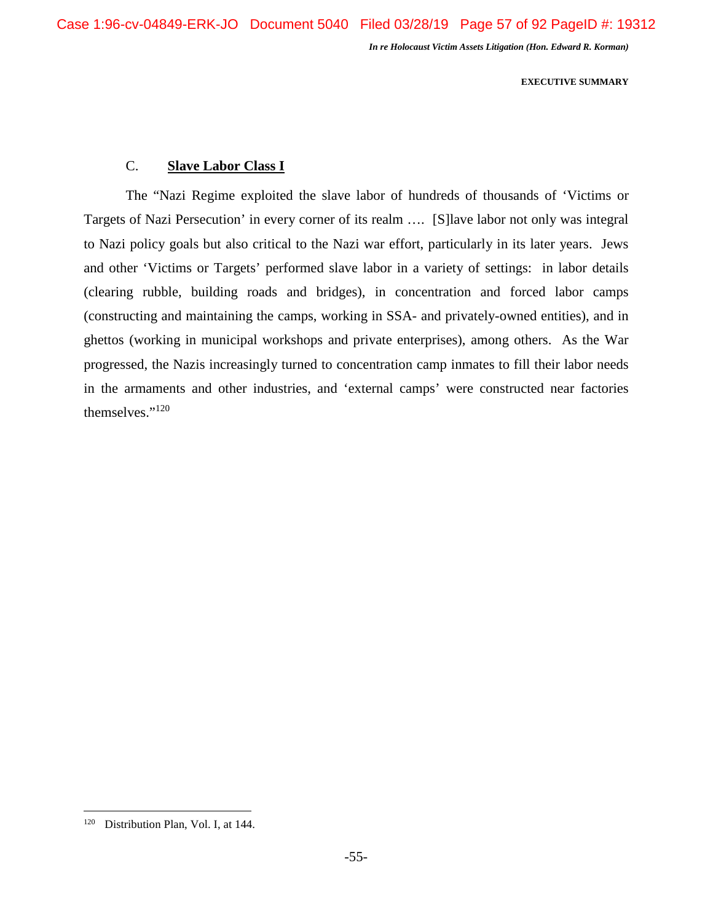**EXECUTIVE SUMMARY** 

# C. **Slave Labor Class I**

The "Nazi Regime exploited the slave labor of hundreds of thousands of 'Victims or Targets of Nazi Persecution' in every corner of its realm …. [S]lave labor not only was integral to Nazi policy goals but also critical to the Nazi war effort, particularly in its later years. Jews and other 'Victims or Targets' performed slave labor in a variety of settings: in labor details (clearing rubble, building roads and bridges), in concentration and forced labor camps (constructing and maintaining the camps, working in SSA- and privately-owned entities), and in ghettos (working in municipal workshops and private enterprises), among others. As the War progressed, the Nazis increasingly turned to concentration camp inmates to fill their labor needs in the armaments and other industries, and 'external camps' were constructed near factories themselves."<sup>120</sup>

<sup>&</sup>lt;sup>120</sup> Distribution Plan, Vol. I, at 144.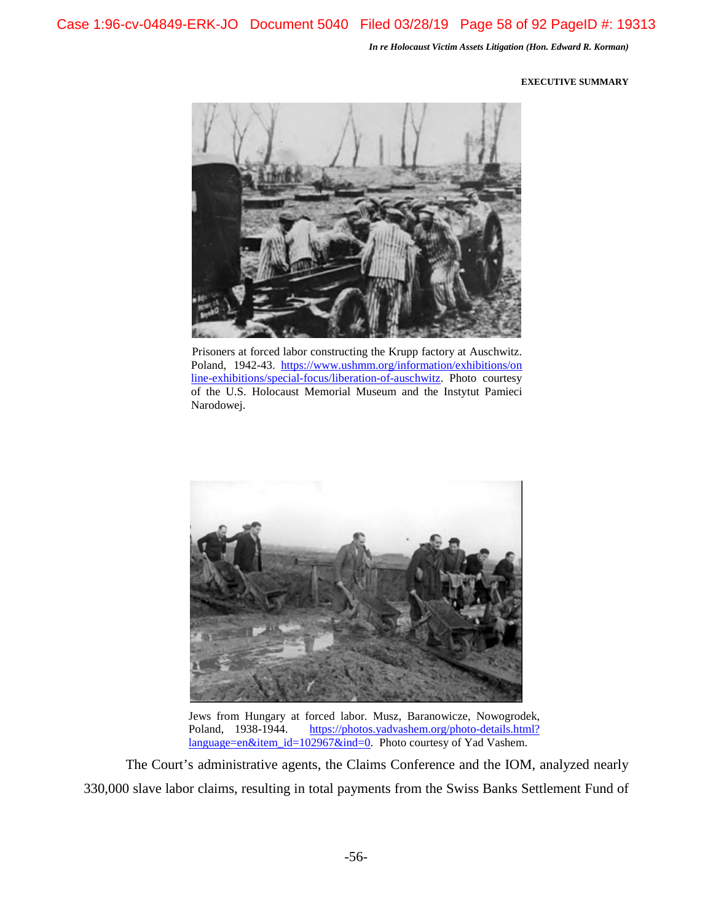#### **EXECUTIVE SUMMARY**



Prisoners at forced labor constructing the Krupp factory at Auschwitz. Poland, 1942-43. https://www.ushmm.org/information/exhibitions/on line-exhibitions/special-focus/liberation-of-auschwitz. Photo courtesy of the U.S. Holocaust Memorial Museum and the Instytut Pamieci Narodowej.



Jews from Hungary at forced labor. Musz, Baranowicze, Nowogrodek, Poland, 1938-1944. https://photos.yadvashem.org/photo-details.html? language=en&item\_id=102967&ind=0. Photo courtesy of Yad Vashem.

The Court's administrative agents, the Claims Conference and the IOM, analyzed nearly 330,000 slave labor claims, resulting in total payments from the Swiss Banks Settlement Fund of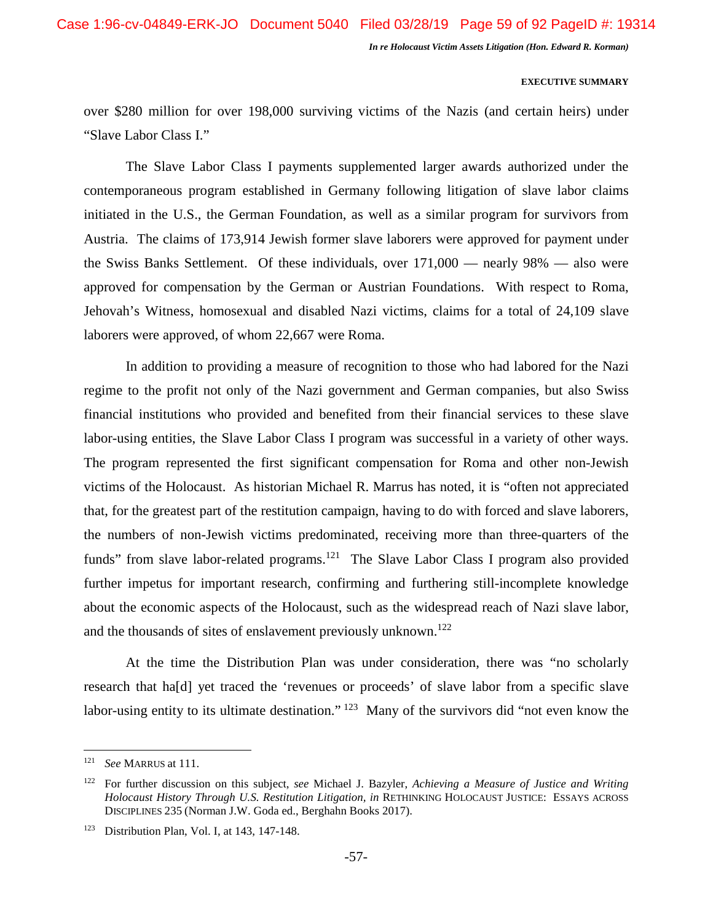#### **EXECUTIVE SUMMARY**

over \$280 million for over 198,000 surviving victims of the Nazis (and certain heirs) under "Slave Labor Class I."

The Slave Labor Class I payments supplemented larger awards authorized under the contemporaneous program established in Germany following litigation of slave labor claims initiated in the U.S., the German Foundation, as well as a similar program for survivors from Austria. The claims of 173,914 Jewish former slave laborers were approved for payment under the Swiss Banks Settlement. Of these individuals, over 171,000 — nearly 98% — also were approved for compensation by the German or Austrian Foundations. With respect to Roma, Jehovah's Witness, homosexual and disabled Nazi victims, claims for a total of 24,109 slave laborers were approved, of whom 22,667 were Roma.

In addition to providing a measure of recognition to those who had labored for the Nazi regime to the profit not only of the Nazi government and German companies, but also Swiss financial institutions who provided and benefited from their financial services to these slave labor-using entities, the Slave Labor Class I program was successful in a variety of other ways. The program represented the first significant compensation for Roma and other non-Jewish victims of the Holocaust. As historian Michael R. Marrus has noted, it is "often not appreciated that, for the greatest part of the restitution campaign, having to do with forced and slave laborers, the numbers of non-Jewish victims predominated, receiving more than three-quarters of the funds" from slave labor-related programs.<sup>121</sup> The Slave Labor Class I program also provided further impetus for important research, confirming and furthering still-incomplete knowledge about the economic aspects of the Holocaust, such as the widespread reach of Nazi slave labor, and the thousands of sites of enslavement previously unknown.<sup>122</sup>

At the time the Distribution Plan was under consideration, there was "no scholarly research that ha[d] yet traced the 'revenues or proceeds' of slave labor from a specific slave labor-using entity to its ultimate destination."<sup>123</sup> Many of the survivors did "not even know the

<sup>121</sup> *See* MARRUS at 111.

<sup>122</sup> For further discussion on this subject, *see* Michael J. Bazyler, *Achieving a Measure of Justice and Writing Holocaust History Through U.S. Restitution Litigation, in* RETHINKING HOLOCAUST JUSTICE: ESSAYS ACROSS DISCIPLINES 235 (Norman J.W. Goda ed., Berghahn Books 2017).

<sup>123</sup> Distribution Plan, Vol. I, at 143, 147-148.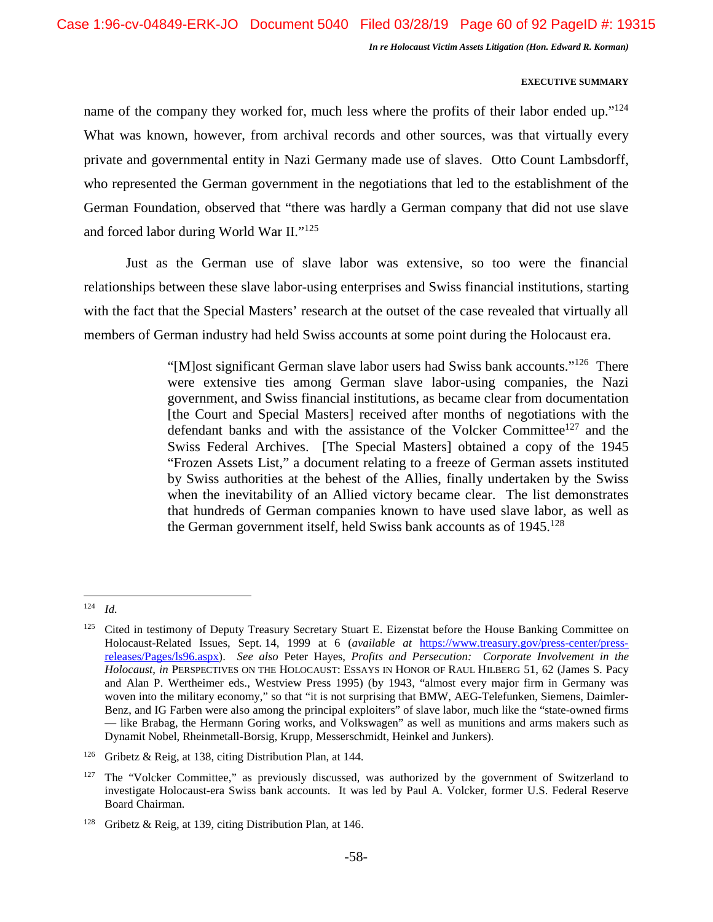# **EXECUTIVE SUMMARY**

name of the company they worked for, much less where the profits of their labor ended up." $124$ What was known, however, from archival records and other sources, was that virtually every private and governmental entity in Nazi Germany made use of slaves. Otto Count Lambsdorff, who represented the German government in the negotiations that led to the establishment of the German Foundation, observed that "there was hardly a German company that did not use slave and forced labor during World War II."<sup>125</sup>

Just as the German use of slave labor was extensive, so too were the financial relationships between these slave labor-using enterprises and Swiss financial institutions, starting with the fact that the Special Masters' research at the outset of the case revealed that virtually all members of German industry had held Swiss accounts at some point during the Holocaust era.

> "[M]ost significant German slave labor users had Swiss bank accounts."<sup>126</sup> There were extensive ties among German slave labor-using companies, the Nazi government, and Swiss financial institutions, as became clear from documentation [the Court and Special Masters] received after months of negotiations with the defendant banks and with the assistance of the Volcker Committee<sup>127</sup> and the Swiss Federal Archives. [The Special Masters] obtained a copy of the 1945 "Frozen Assets List," a document relating to a freeze of German assets instituted by Swiss authorities at the behest of the Allies, finally undertaken by the Swiss when the inevitability of an Allied victory became clear. The list demonstrates that hundreds of German companies known to have used slave labor, as well as the German government itself, held Swiss bank accounts as of  $1945$ <sup>128</sup>

<sup>124</sup> *Id.*

<sup>&</sup>lt;sup>125</sup> Cited in testimony of Deputy Treasury Secretary Stuart E. Eizenstat before the House Banking Committee on Holocaust-Related Issues, Sept. 14, 1999 at 6 (*available at* https://www.treasury.gov/press-center/pressreleases/Pages/ls96.aspx). *See also* Peter Hayes, *Profits and Persecution: Corporate Involvement in the Holocaust*, *in* PERSPECTIVES ON THE HOLOCAUST: ESSAYS IN HONOR OF RAUL HILBERG 51, 62 (James S. Pacy and Alan P. Wertheimer eds., Westview Press 1995) (by 1943, "almost every major firm in Germany was woven into the military economy," so that "it is not surprising that BMW, AEG-Telefunken, Siemens, Daimler-Benz, and IG Farben were also among the principal exploiters" of slave labor, much like the "state-owned firms — like Brabag, the Hermann Goring works, and Volkswagen" as well as munitions and arms makers such as Dynamit Nobel, Rheinmetall-Borsig, Krupp, Messerschmidt, Heinkel and Junkers).

<sup>126</sup> Gribetz & Reig, at 138, citing Distribution Plan, at 144*.*

 $127$  The "Volcker Committee," as previously discussed, was authorized by the government of Switzerland to investigate Holocaust-era Swiss bank accounts. It was led by Paul A. Volcker, former U.S. Federal Reserve Board Chairman.

<sup>&</sup>lt;sup>128</sup> Gribetz & Reig, at 139, citing Distribution Plan, at 146.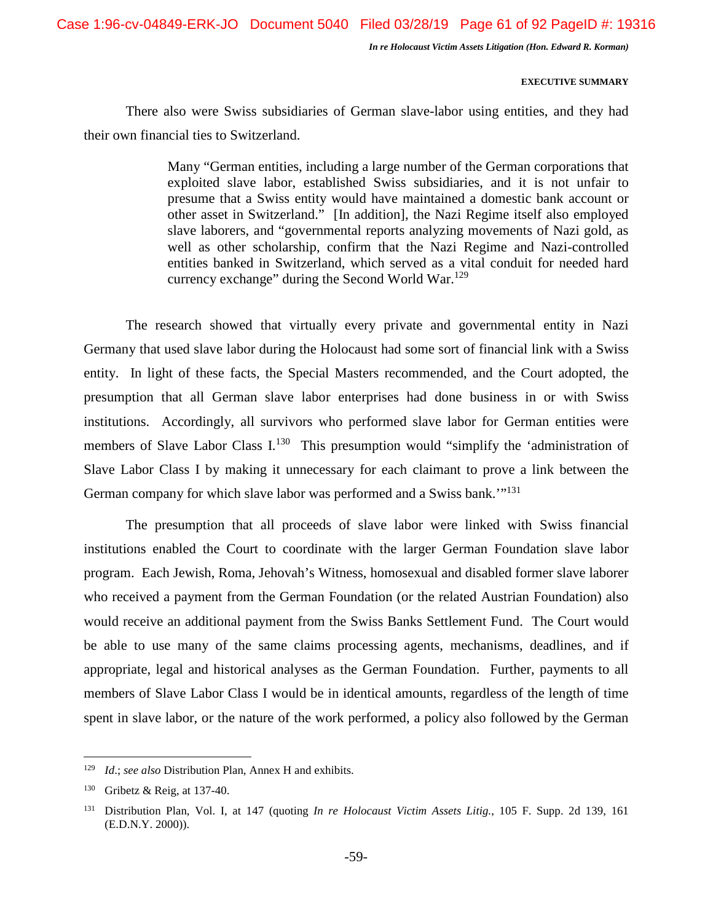Case 1:96-cv-04849-ERK-JO Document 5040 Filed 03/28/19 Page 61 of 92 PageID #: 19316

*In re Holocaust Victim Assets Litigation (Hon. Edward R. Korman)* 

# **EXECUTIVE SUMMARY**

There also were Swiss subsidiaries of German slave-labor using entities, and they had their own financial ties to Switzerland.

> Many "German entities, including a large number of the German corporations that exploited slave labor, established Swiss subsidiaries, and it is not unfair to presume that a Swiss entity would have maintained a domestic bank account or other asset in Switzerland." [In addition], the Nazi Regime itself also employed slave laborers, and "governmental reports analyzing movements of Nazi gold, as well as other scholarship, confirm that the Nazi Regime and Nazi-controlled entities banked in Switzerland, which served as a vital conduit for needed hard currency exchange" during the Second World War.<sup>129</sup>

The research showed that virtually every private and governmental entity in Nazi Germany that used slave labor during the Holocaust had some sort of financial link with a Swiss entity. In light of these facts, the Special Masters recommended, and the Court adopted, the presumption that all German slave labor enterprises had done business in or with Swiss institutions. Accordingly, all survivors who performed slave labor for German entities were members of Slave Labor Class I.<sup>130</sup> This presumption would "simplify the 'administration of Slave Labor Class I by making it unnecessary for each claimant to prove a link between the German company for which slave labor was performed and a Swiss bank.'"<sup>131</sup>

The presumption that all proceeds of slave labor were linked with Swiss financial institutions enabled the Court to coordinate with the larger German Foundation slave labor program. Each Jewish, Roma, Jehovah's Witness, homosexual and disabled former slave laborer who received a payment from the German Foundation (or the related Austrian Foundation) also would receive an additional payment from the Swiss Banks Settlement Fund. The Court would be able to use many of the same claims processing agents, mechanisms, deadlines, and if appropriate, legal and historical analyses as the German Foundation. Further, payments to all members of Slave Labor Class I would be in identical amounts, regardless of the length of time spent in slave labor, or the nature of the work performed, a policy also followed by the German

<sup>129</sup> *Id*.; *see also* Distribution Plan, Annex H and exhibits.

<sup>130</sup> Gribetz & Reig, at 137-40.

<sup>131</sup> Distribution Plan, Vol. I, at 147 (quoting *In re Holocaust Victim Assets Litig.*, 105 F. Supp. 2d 139, 161 (E.D.N.Y. 2000)).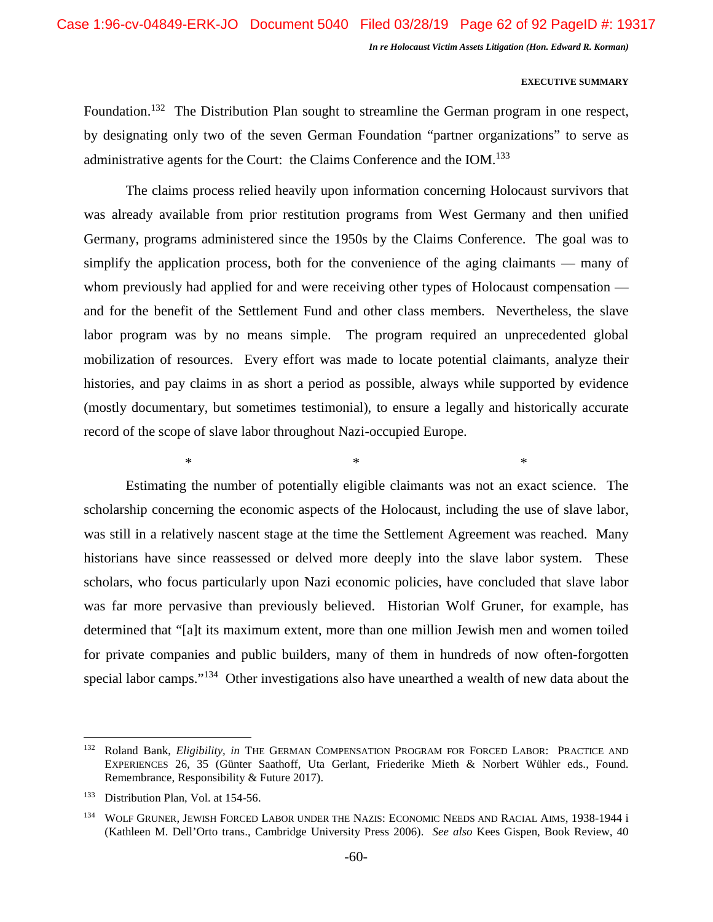#### **EXECUTIVE SUMMARY**

Foundation.<sup>132</sup> The Distribution Plan sought to streamline the German program in one respect, by designating only two of the seven German Foundation "partner organizations" to serve as administrative agents for the Court: the Claims Conference and the IOM.<sup>133</sup>

The claims process relied heavily upon information concerning Holocaust survivors that was already available from prior restitution programs from West Germany and then unified Germany, programs administered since the 1950s by the Claims Conference. The goal was to simplify the application process, both for the convenience of the aging claimants — many of whom previously had applied for and were receiving other types of Holocaust compensation and for the benefit of the Settlement Fund and other class members. Nevertheless, the slave labor program was by no means simple. The program required an unprecedented global mobilization of resources. Every effort was made to locate potential claimants, analyze their histories, and pay claims in as short a period as possible, always while supported by evidence (mostly documentary, but sometimes testimonial), to ensure a legally and historically accurate record of the scope of slave labor throughout Nazi-occupied Europe.

 $*$   $*$ 

Estimating the number of potentially eligible claimants was not an exact science. The scholarship concerning the economic aspects of the Holocaust, including the use of slave labor, was still in a relatively nascent stage at the time the Settlement Agreement was reached. Many historians have since reassessed or delved more deeply into the slave labor system. These scholars, who focus particularly upon Nazi economic policies, have concluded that slave labor was far more pervasive than previously believed. Historian Wolf Gruner, for example, has determined that "[a]t its maximum extent, more than one million Jewish men and women toiled for private companies and public builders, many of them in hundreds of now often-forgotten special labor camps."<sup>134</sup> Other investigations also have unearthed a wealth of new data about the

<sup>132</sup> Roland Bank, *Eligibility, in* THE GERMAN COMPENSATION PROGRAM FOR FORCED LABOR: PRACTICE AND EXPERIENCES 26, 35 (Günter Saathoff, Uta Gerlant, Friederike Mieth & Norbert Wühler eds., Found. Remembrance, Responsibility & Future 2017).

<sup>&</sup>lt;sup>133</sup> Distribution Plan, Vol. at 154-56.

<sup>&</sup>lt;sup>134</sup> WOLF GRUNER, JEWISH FORCED LABOR UNDER THE NAZIS: ECONOMIC NEEDS AND RACIAL AIMS, 1938-1944 i (Kathleen M. Dell'Orto trans., Cambridge University Press 2006). *See also* Kees Gispen, Book Review, 40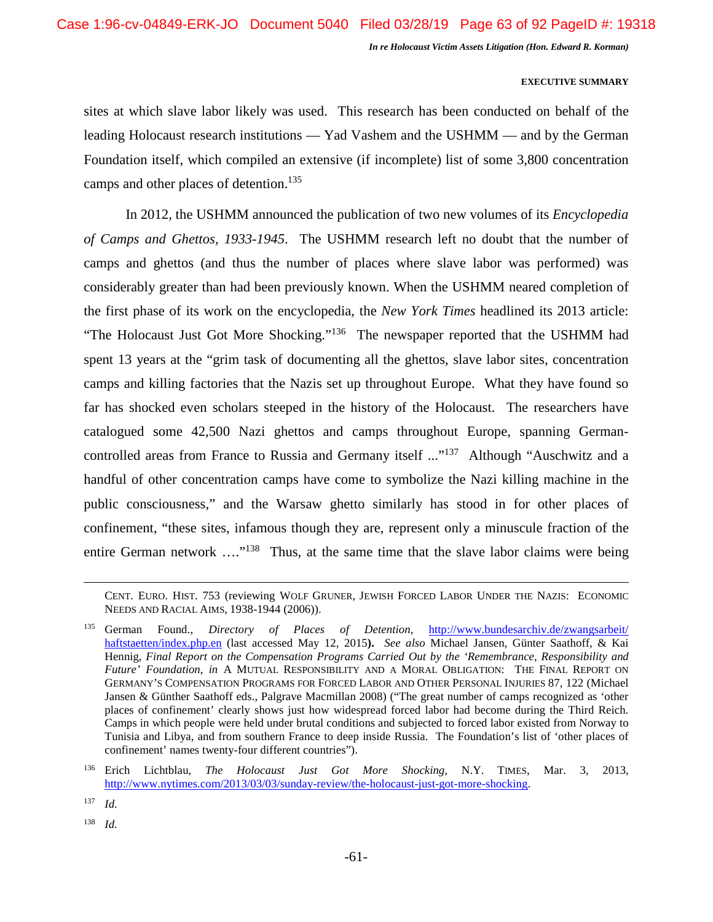# **EXECUTIVE SUMMARY**

sites at which slave labor likely was used. This research has been conducted on behalf of the leading Holocaust research institutions — Yad Vashem and the USHMM — and by the German Foundation itself, which compiled an extensive (if incomplete) list of some 3,800 concentration camps and other places of detention.<sup>135</sup>

In 2012, the USHMM announced the publication of two new volumes of its *Encyclopedia of Camps and Ghettos, 1933-1945*. The USHMM research left no doubt that the number of camps and ghettos (and thus the number of places where slave labor was performed) was considerably greater than had been previously known. When the USHMM neared completion of the first phase of its work on the encyclopedia, the *New York Times* headlined its 2013 article: "The Holocaust Just Got More Shocking."<sup>136</sup> The newspaper reported that the USHMM had spent 13 years at the "grim task of documenting all the ghettos, slave labor sites, concentration camps and killing factories that the Nazis set up throughout Europe. What they have found so far has shocked even scholars steeped in the history of the Holocaust. The researchers have catalogued some 42,500 Nazi ghettos and camps throughout Europe, spanning Germancontrolled areas from France to Russia and Germany itself ..."<sup>137</sup> Although "Auschwitz and a handful of other concentration camps have come to symbolize the Nazi killing machine in the public consciousness," and the Warsaw ghetto similarly has stood in for other places of confinement, "these sites, infamous though they are, represent only a minuscule fraction of the entire German network ....<sup>"138</sup> Thus, at the same time that the slave labor claims were being

CENT. EURO. HIST. 753 (reviewing WOLF GRUNER, JEWISH FORCED LABOR UNDER THE NAZIS: ECONOMIC NEEDS AND RACIAL AIMS, 1938-1944 (2006)).

<sup>138</sup> *Id.* 

<sup>135</sup> German Found., *Directory of Places of Detention*, http://www.bundesarchiv.de/zwangsarbeit/ haftstaetten/index.php.en (last accessed May 12, 2015**).** *See also* Michael Jansen, Günter Saathoff, & Kai Hennig, *Final Report on the Compensation Programs Carried Out by the 'Remembrance, Responsibility and Future' Foundation*, *in* A MUTUAL RESPONSIBILITY AND A MORAL OBLIGATION: THE FINAL REPORT ON GERMANY'S COMPENSATION PROGRAMS FOR FORCED LABOR AND OTHER PERSONAL INJURIES 87, 122 (Michael Jansen & Günther Saathoff eds., Palgrave Macmillan 2008) ("The great number of camps recognized as 'other places of confinement' clearly shows just how widespread forced labor had become during the Third Reich. Camps in which people were held under brutal conditions and subjected to forced labor existed from Norway to Tunisia and Libya, and from southern France to deep inside Russia. The Foundation's list of 'other places of confinement' names twenty-four different countries").

<sup>136</sup> Erich Lichtblau, *The Holocaust Just Got More Shocking,* N.Y. TIMES, Mar. 3, 2013, http://www.nytimes.com/2013/03/03/sunday-review/the-holocaust-just-got-more-shocking.

 $137$  *Id.*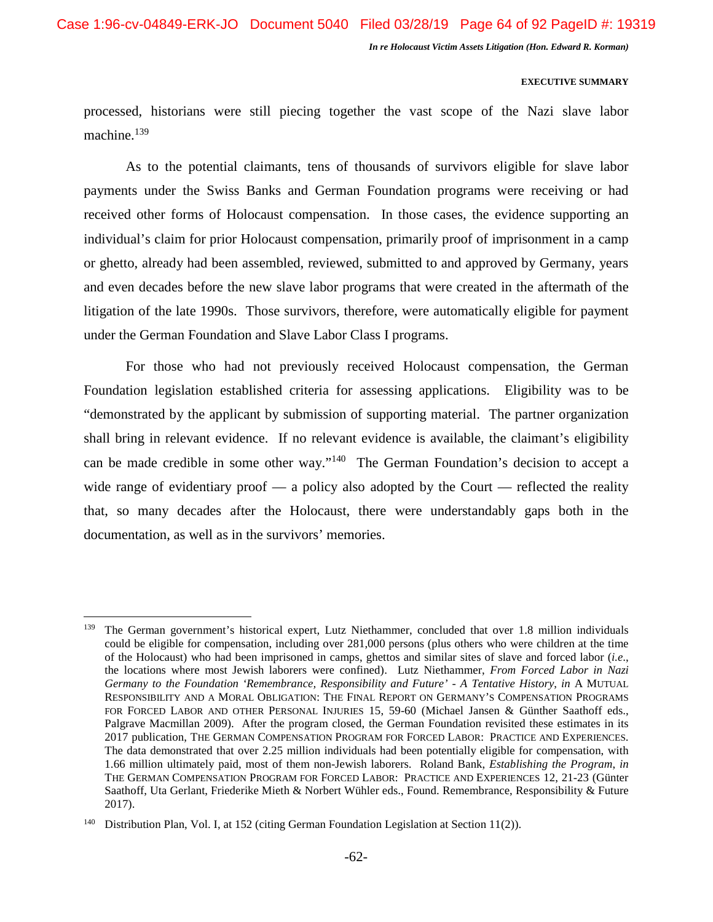# **EXECUTIVE SUMMARY**

processed, historians were still piecing together the vast scope of the Nazi slave labor machine.<sup>139</sup>

As to the potential claimants, tens of thousands of survivors eligible for slave labor payments under the Swiss Banks and German Foundation programs were receiving or had received other forms of Holocaust compensation. In those cases, the evidence supporting an individual's claim for prior Holocaust compensation, primarily proof of imprisonment in a camp or ghetto, already had been assembled, reviewed, submitted to and approved by Germany, years and even decades before the new slave labor programs that were created in the aftermath of the litigation of the late 1990s. Those survivors, therefore, were automatically eligible for payment under the German Foundation and Slave Labor Class I programs.

For those who had not previously received Holocaust compensation, the German Foundation legislation established criteria for assessing applications. Eligibility was to be "demonstrated by the applicant by submission of supporting material. The partner organization shall bring in relevant evidence. If no relevant evidence is available, the claimant's eligibility can be made credible in some other way."<sup>140</sup> The German Foundation's decision to accept a wide range of evidentiary proof  $\frac{1}{2}$  a policy also adopted by the Court  $\frac{1}{2}$  reflected the reality that, so many decades after the Holocaust, there were understandably gaps both in the documentation, as well as in the survivors' memories.

<sup>139</sup> The German government's historical expert, Lutz Niethammer, concluded that over 1.8 million individuals could be eligible for compensation, including over 281,000 persons (plus others who were children at the time of the Holocaust) who had been imprisoned in camps, ghettos and similar sites of slave and forced labor (*i.e*., the locations where most Jewish laborers were confined). Lutz Niethammer, *From Forced Labor in Nazi Germany to the Foundation 'Remembrance, Responsibility and Future' - A Tentative History*, *in* A MUTUAL RESPONSIBILITY AND A MORAL OBLIGATION: THE FINAL REPORT ON GERMANY'S COMPENSATION PROGRAMS FOR FORCED LABOR AND OTHER PERSONAL INJURIES 15, 59-60 (Michael Jansen & Günther Saathoff eds., Palgrave Macmillan 2009). After the program closed, the German Foundation revisited these estimates in its 2017 publication, THE GERMAN COMPENSATION PROGRAM FOR FORCED LABOR: PRACTICE AND EXPERIENCES. The data demonstrated that over 2.25 million individuals had been potentially eligible for compensation, with 1.66 million ultimately paid, most of them non-Jewish laborers. Roland Bank, *Establishing the Program*, *in* THE GERMAN COMPENSATION PROGRAM FOR FORCED LABOR: PRACTICE AND EXPERIENCES 12, 21-23 (Günter Saathoff, Uta Gerlant, Friederike Mieth & Norbert Wühler eds., Found. Remembrance, Responsibility & Future 2017).

<sup>&</sup>lt;sup>140</sup> Distribution Plan, Vol. I, at 152 (citing German Foundation Legislation at Section 11(2)).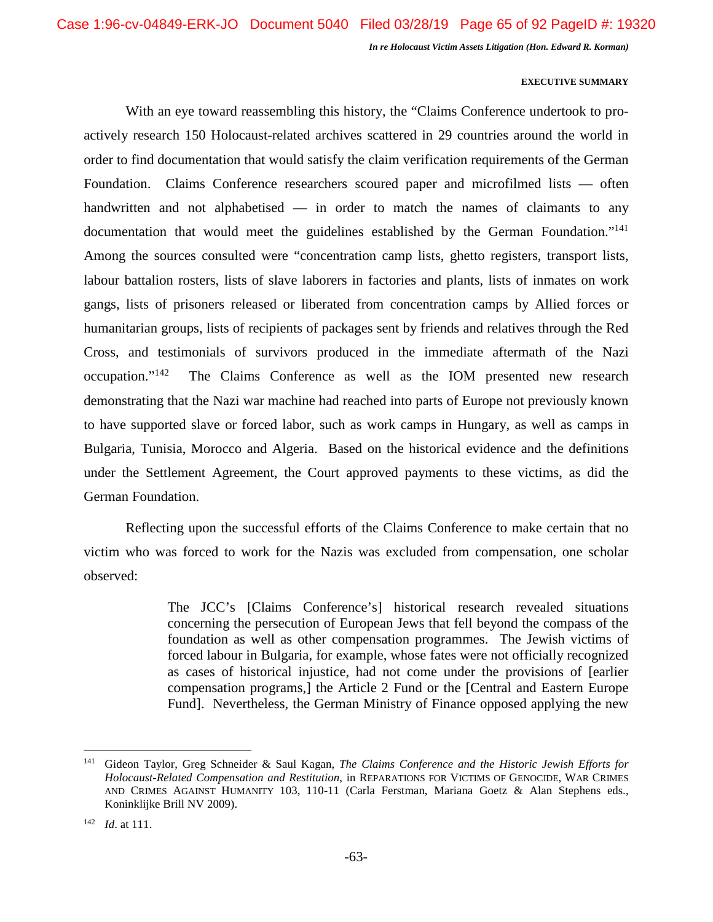#### **EXECUTIVE SUMMARY**

With an eye toward reassembling this history, the "Claims Conference undertook to proactively research 150 Holocaust-related archives scattered in 29 countries around the world in order to find documentation that would satisfy the claim verification requirements of the German Foundation. Claims Conference researchers scoured paper and microfilmed lists — often handwritten and not alphabetised — in order to match the names of claimants to any documentation that would meet the guidelines established by the German Foundation."<sup>141</sup> Among the sources consulted were "concentration camp lists, ghetto registers, transport lists, labour battalion rosters, lists of slave laborers in factories and plants, lists of inmates on work gangs, lists of prisoners released or liberated from concentration camps by Allied forces or humanitarian groups, lists of recipients of packages sent by friends and relatives through the Red Cross, and testimonials of survivors produced in the immediate aftermath of the Nazi occupation."<sup>142</sup> The Claims Conference as well as the IOM presented new research demonstrating that the Nazi war machine had reached into parts of Europe not previously known to have supported slave or forced labor, such as work camps in Hungary, as well as camps in Bulgaria, Tunisia, Morocco and Algeria. Based on the historical evidence and the definitions under the Settlement Agreement, the Court approved payments to these victims, as did the German Foundation.

Reflecting upon the successful efforts of the Claims Conference to make certain that no victim who was forced to work for the Nazis was excluded from compensation, one scholar observed:

> The JCC's [Claims Conference's] historical research revealed situations concerning the persecution of European Jews that fell beyond the compass of the foundation as well as other compensation programmes. The Jewish victims of forced labour in Bulgaria, for example, whose fates were not officially recognized as cases of historical injustice, had not come under the provisions of [earlier compensation programs,] the Article 2 Fund or the [Central and Eastern Europe Fund]. Nevertheless, the German Ministry of Finance opposed applying the new

<sup>141</sup> Gideon Taylor, Greg Schneider & Saul Kagan, *The Claims Conference and the Historic Jewish Efforts for Holocaust-Related Compensation and Restitution*, in REPARATIONS FOR VICTIMS OF GENOCIDE, WAR CRIMES AND CRIMES AGAINST HUMANITY 103, 110-11 (Carla Ferstman, Mariana Goetz & Alan Stephens eds., Koninklijke Brill NV 2009).

<sup>142</sup> *Id*. at 111.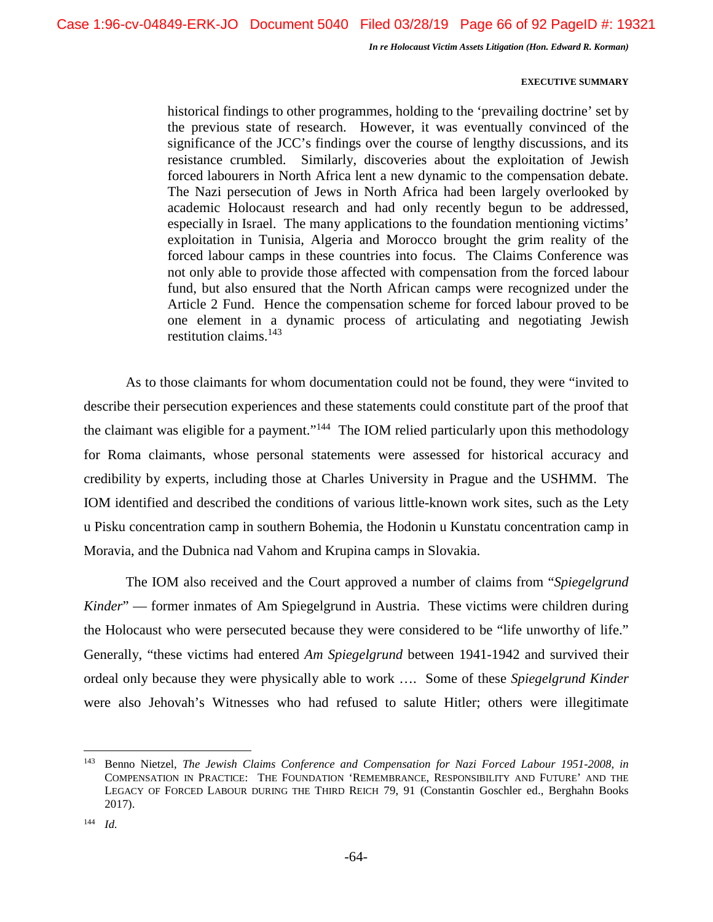#### **EXECUTIVE SUMMARY**

historical findings to other programmes, holding to the 'prevailing doctrine' set by the previous state of research. However, it was eventually convinced of the significance of the JCC's findings over the course of lengthy discussions, and its resistance crumbled. Similarly, discoveries about the exploitation of Jewish forced labourers in North Africa lent a new dynamic to the compensation debate. The Nazi persecution of Jews in North Africa had been largely overlooked by academic Holocaust research and had only recently begun to be addressed, especially in Israel. The many applications to the foundation mentioning victims' exploitation in Tunisia, Algeria and Morocco brought the grim reality of the forced labour camps in these countries into focus. The Claims Conference was not only able to provide those affected with compensation from the forced labour fund, but also ensured that the North African camps were recognized under the Article 2 Fund. Hence the compensation scheme for forced labour proved to be one element in a dynamic process of articulating and negotiating Jewish restitution claims.<sup>143</sup>

As to those claimants for whom documentation could not be found, they were "invited to describe their persecution experiences and these statements could constitute part of the proof that the claimant was eligible for a payment."<sup>144</sup> The IOM relied particularly upon this methodology for Roma claimants, whose personal statements were assessed for historical accuracy and credibility by experts, including those at Charles University in Prague and the USHMM. The IOM identified and described the conditions of various little-known work sites, such as the Lety u Pisku concentration camp in southern Bohemia, the Hodonin u Kunstatu concentration camp in Moravia, and the Dubnica nad Vahom and Krupina camps in Slovakia.

The IOM also received and the Court approved a number of claims from "*Spiegelgrund Kinder*" — former inmates of Am Spiegelgrund in Austria. These victims were children during the Holocaust who were persecuted because they were considered to be "life unworthy of life." Generally, "these victims had entered *Am Spiegelgrund* between 1941-1942 and survived their ordeal only because they were physically able to work …. Some of these *Spiegelgrund Kinder* were also Jehovah's Witnesses who had refused to salute Hitler; others were illegitimate

<sup>143</sup> Benno Nietzel, *The Jewish Claims Conference and Compensation for Nazi Forced Labour 1951-2008*, *in*  COMPENSATION IN PRACTICE: THE FOUNDATION 'REMEMBRANCE, RESPONSIBILITY AND FUTURE' AND THE LEGACY OF FORCED LABOUR DURING THE THIRD REICH 79, 91 (Constantin Goschler ed., Berghahn Books 2017).

<sup>144</sup> *Id.*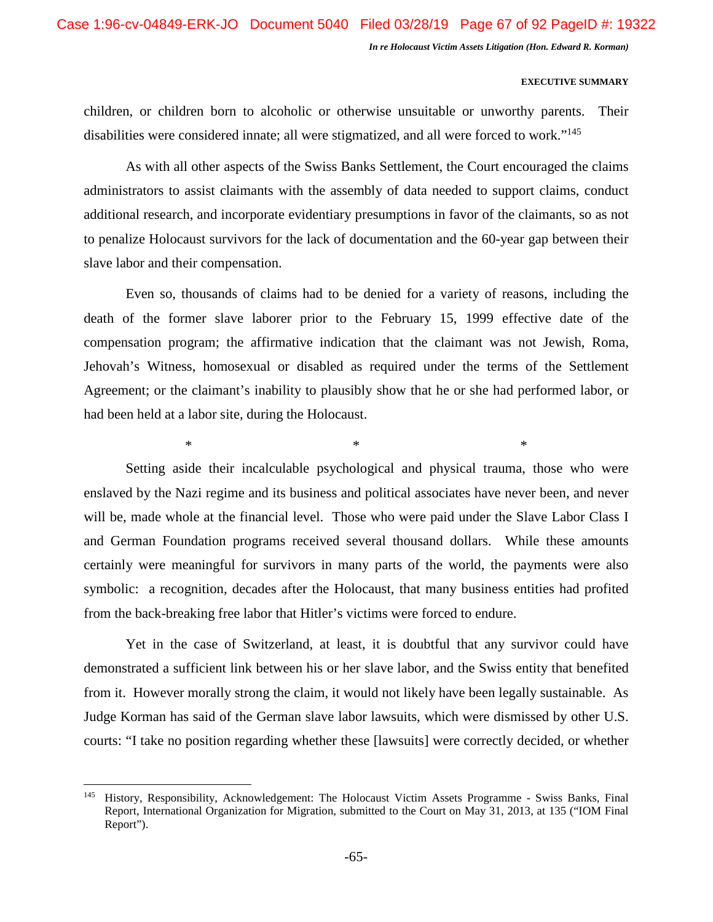#### **EXECUTIVE SUMMARY**

children, or children born to alcoholic or otherwise unsuitable or unworthy parents. Their disabilities were considered innate; all were stigmatized, and all were forced to work."<sup>145</sup>

As with all other aspects of the Swiss Banks Settlement, the Court encouraged the claims administrators to assist claimants with the assembly of data needed to support claims, conduct additional research, and incorporate evidentiary presumptions in favor of the claimants, so as not to penalize Holocaust survivors for the lack of documentation and the 60-year gap between their slave labor and their compensation.

Even so, thousands of claims had to be denied for a variety of reasons, including the death of the former slave laborer prior to the February 15, 1999 effective date of the compensation program; the affirmative indication that the claimant was not Jewish, Roma, Jehovah's Witness, homosexual or disabled as required under the terms of the Settlement Agreement; or the claimant's inability to plausibly show that he or she had performed labor, or had been held at a labor site, during the Holocaust.

 $*$   $*$ 

Setting aside their incalculable psychological and physical trauma, those who were enslaved by the Nazi regime and its business and political associates have never been, and never will be, made whole at the financial level. Those who were paid under the Slave Labor Class I and German Foundation programs received several thousand dollars. While these amounts certainly were meaningful for survivors in many parts of the world, the payments were also symbolic: a recognition, decades after the Holocaust, that many business entities had profited from the back-breaking free labor that Hitler's victims were forced to endure.

Yet in the case of Switzerland, at least, it is doubtful that any survivor could have demonstrated a sufficient link between his or her slave labor, and the Swiss entity that benefited from it. However morally strong the claim, it would not likely have been legally sustainable. As Judge Korman has said of the German slave labor lawsuits, which were dismissed by other U.S. courts: "I take no position regarding whether these [lawsuits] were correctly decided, or whether

<sup>145</sup> History, Responsibility, Acknowledgement: The Holocaust Victim Assets Programme - Swiss Banks, Final Report, International Organization for Migration, submitted to the Court on May 31, 2013, at 135 ("IOM Final Report").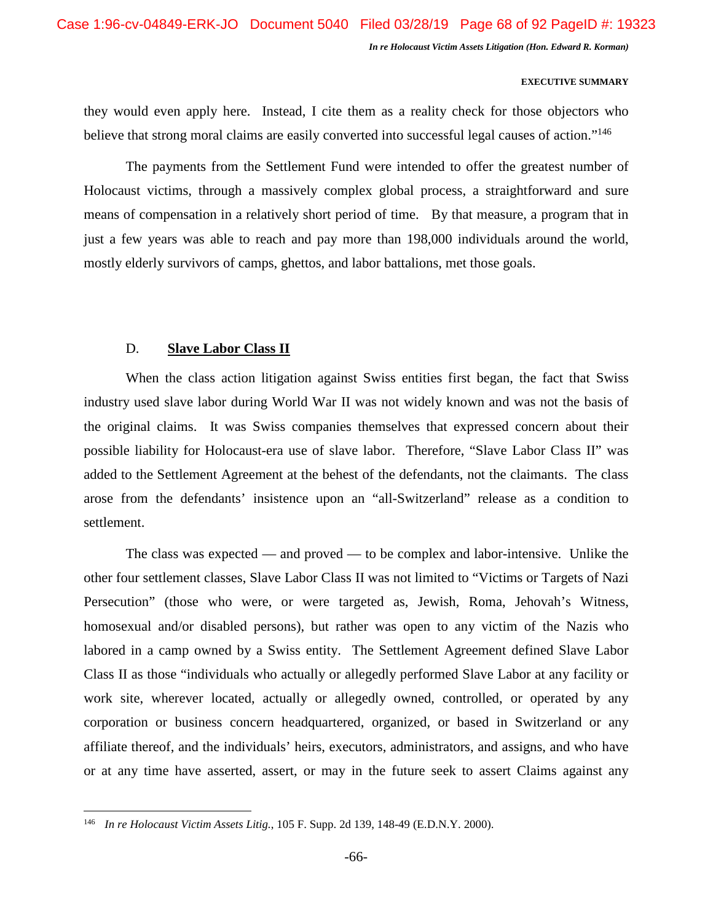# **EXECUTIVE SUMMARY**

they would even apply here. Instead, I cite them as a reality check for those objectors who believe that strong moral claims are easily converted into successful legal causes of action."<sup>146</sup>

The payments from the Settlement Fund were intended to offer the greatest number of Holocaust victims, through a massively complex global process, a straightforward and sure means of compensation in a relatively short period of time. By that measure, a program that in just a few years was able to reach and pay more than 198,000 individuals around the world, mostly elderly survivors of camps, ghettos, and labor battalions, met those goals.

# D. **Slave Labor Class II**

When the class action litigation against Swiss entities first began, the fact that Swiss industry used slave labor during World War II was not widely known and was not the basis of the original claims. It was Swiss companies themselves that expressed concern about their possible liability for Holocaust-era use of slave labor. Therefore, "Slave Labor Class II" was added to the Settlement Agreement at the behest of the defendants, not the claimants. The class arose from the defendants' insistence upon an "all-Switzerland" release as a condition to settlement.

The class was expected — and proved — to be complex and labor-intensive. Unlike the other four settlement classes, Slave Labor Class II was not limited to "Victims or Targets of Nazi Persecution" (those who were, or were targeted as, Jewish, Roma, Jehovah's Witness, homosexual and/or disabled persons), but rather was open to any victim of the Nazis who labored in a camp owned by a Swiss entity. The Settlement Agreement defined Slave Labor Class II as those "individuals who actually or allegedly performed Slave Labor at any facility or work site, wherever located, actually or allegedly owned, controlled, or operated by any corporation or business concern headquartered, organized, or based in Switzerland or any affiliate thereof, and the individuals' heirs, executors, administrators, and assigns, and who have or at any time have asserted, assert, or may in the future seek to assert Claims against any

<sup>146</sup> *In re Holocaust Victim Assets Litig.*, 105 F. Supp. 2d 139, 148-49 (E.D.N.Y. 2000).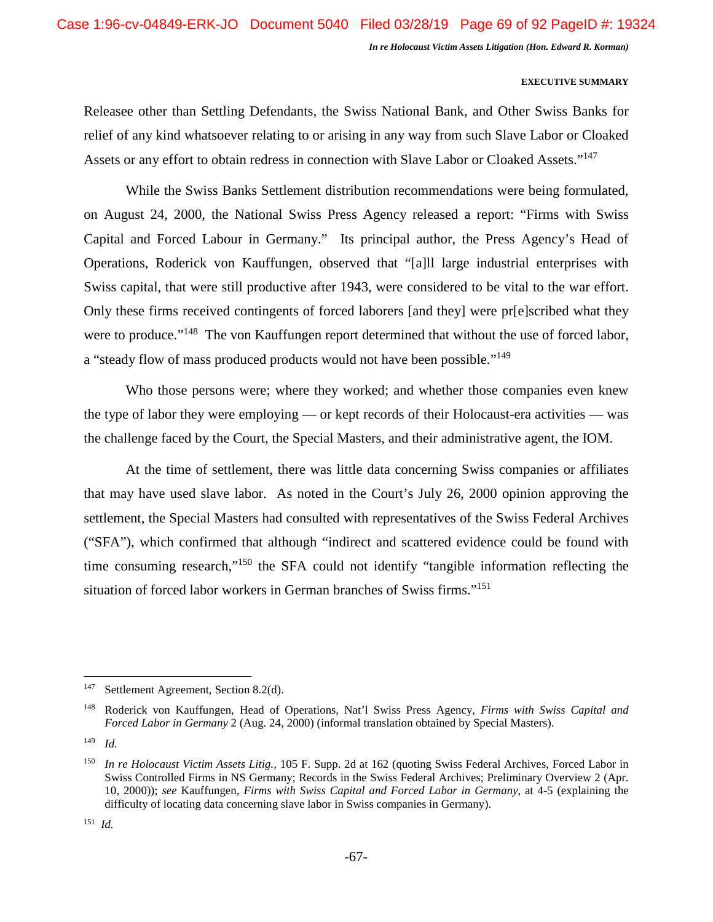#### **EXECUTIVE SUMMARY**

Releasee other than Settling Defendants, the Swiss National Bank, and Other Swiss Banks for relief of any kind whatsoever relating to or arising in any way from such Slave Labor or Cloaked Assets or any effort to obtain redress in connection with Slave Labor or Cloaked Assets."<sup>147</sup>

While the Swiss Banks Settlement distribution recommendations were being formulated, on August 24, 2000, the National Swiss Press Agency released a report: "Firms with Swiss Capital and Forced Labour in Germany." Its principal author, the Press Agency's Head of Operations, Roderick von Kauffungen, observed that "[a]ll large industrial enterprises with Swiss capital, that were still productive after 1943, were considered to be vital to the war effort. Only these firms received contingents of forced laborers [and they] were pr[e]scribed what they were to produce."<sup>148</sup> The von Kauffungen report determined that without the use of forced labor, a "steady flow of mass produced products would not have been possible."<sup>149</sup>

Who those persons were; where they worked; and whether those companies even knew the type of labor they were employing — or kept records of their Holocaust-era activities — was the challenge faced by the Court, the Special Masters, and their administrative agent, the IOM.

At the time of settlement, there was little data concerning Swiss companies or affiliates that may have used slave labor. As noted in the Court's July 26, 2000 opinion approving the settlement, the Special Masters had consulted with representatives of the Swiss Federal Archives ("SFA"), which confirmed that although "indirect and scattered evidence could be found with time consuming research,"<sup>150</sup> the SFA could not identify "tangible information reflecting the situation of forced labor workers in German branches of Swiss firms."<sup>151</sup>

<sup>147</sup> Settlement Agreement, Section 8.2(d).

<sup>148</sup> Roderick von Kauffungen, Head of Operations, Nat'l Swiss Press Agency, *Firms with Swiss Capital and Forced Labor in Germany* 2 (Aug. 24, 2000) (informal translation obtained by Special Masters).

<sup>149</sup> *Id.* 

<sup>150</sup> *In re Holocaust Victim Assets Litig.,* 105 F. Supp. 2d at 162 (quoting Swiss Federal Archives, Forced Labor in Swiss Controlled Firms in NS Germany; Records in the Swiss Federal Archives; Preliminary Overview 2 (Apr. 10, 2000)); *see* Kauffungen, *Firms with Swiss Capital and Forced Labor in Germany*, at 4-5 (explaining the difficulty of locating data concerning slave labor in Swiss companies in Germany).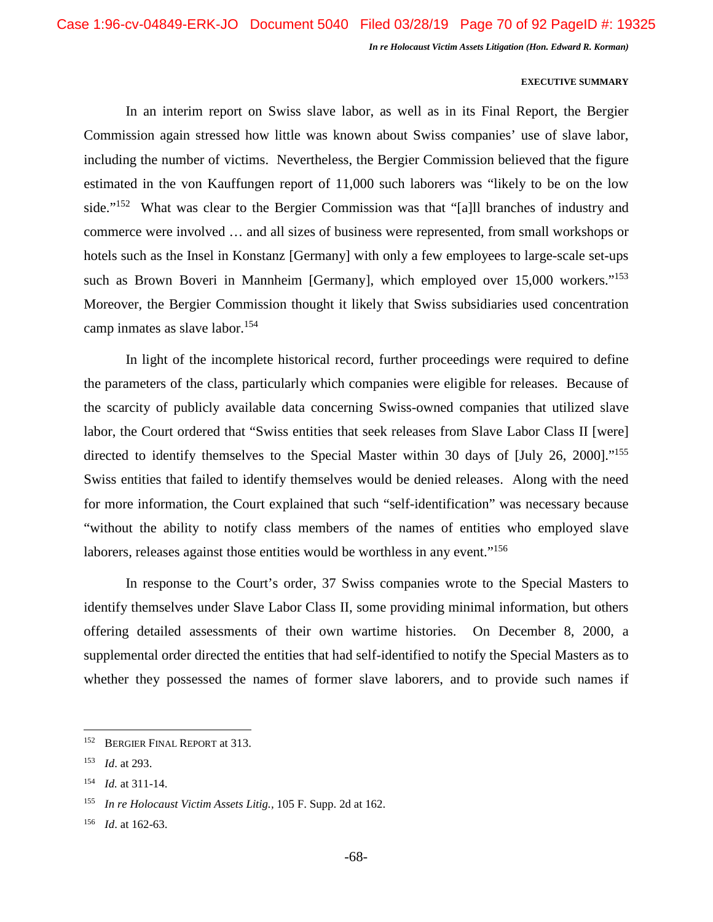#### **EXECUTIVE SUMMARY**

In an interim report on Swiss slave labor, as well as in its Final Report, the Bergier Commission again stressed how little was known about Swiss companies' use of slave labor, including the number of victims. Nevertheless, the Bergier Commission believed that the figure estimated in the von Kauffungen report of 11,000 such laborers was "likely to be on the low side."<sup>152</sup> What was clear to the Bergier Commission was that "[a]ll branches of industry and commerce were involved … and all sizes of business were represented, from small workshops or hotels such as the Insel in Konstanz [Germany] with only a few employees to large-scale set-ups such as Brown Boveri in Mannheim [Germany], which employed over 15,000 workers."<sup>153</sup> Moreover, the Bergier Commission thought it likely that Swiss subsidiaries used concentration camp inmates as slave labor.<sup>154</sup>

In light of the incomplete historical record, further proceedings were required to define the parameters of the class, particularly which companies were eligible for releases. Because of the scarcity of publicly available data concerning Swiss-owned companies that utilized slave labor, the Court ordered that "Swiss entities that seek releases from Slave Labor Class II [were] directed to identify themselves to the Special Master within 30 days of [July 26, 2000]."<sup>155</sup> Swiss entities that failed to identify themselves would be denied releases. Along with the need for more information, the Court explained that such "self-identification" was necessary because "without the ability to notify class members of the names of entities who employed slave laborers, releases against those entities would be worthless in any event."<sup>156</sup>

In response to the Court's order, 37 Swiss companies wrote to the Special Masters to identify themselves under Slave Labor Class II, some providing minimal information, but others offering detailed assessments of their own wartime histories. On December 8, 2000, a supplemental order directed the entities that had self-identified to notify the Special Masters as to whether they possessed the names of former slave laborers, and to provide such names if

<sup>152</sup> BERGIER FINAL REPORT at 313.

<sup>153</sup> *Id*. at 293.

<sup>154</sup> *Id.* at 311-14.

<sup>155</sup> *In re Holocaust Victim Assets Litig.,* 105 F. Supp. 2d at 162.

<sup>156</sup> *Id*. at 162-63.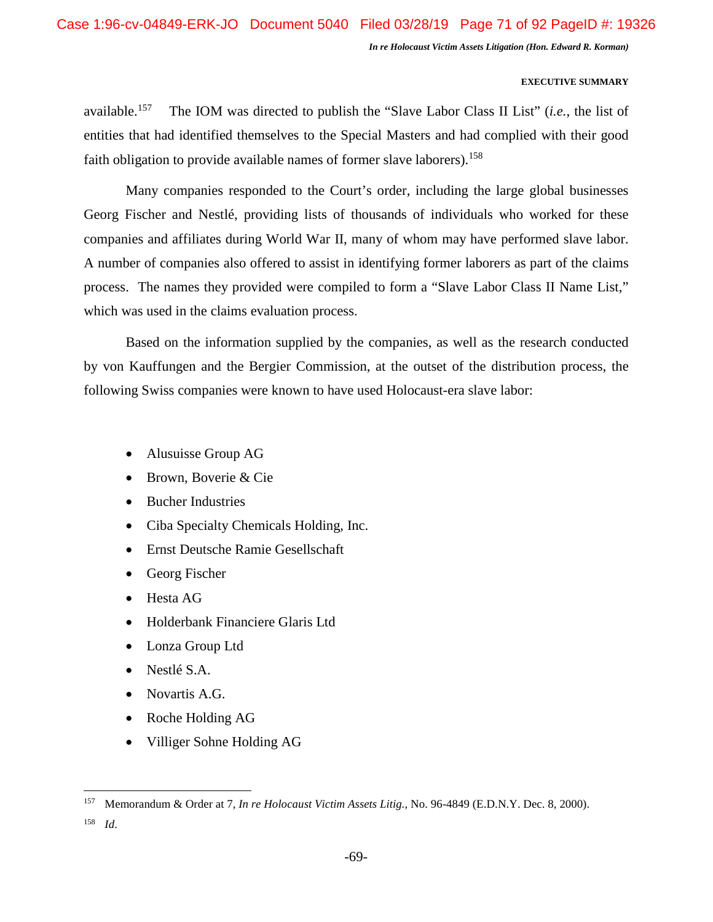# **EXECUTIVE SUMMARY**

available.<sup>157</sup> The IOM was directed to publish the "Slave Labor Class II List" (*i.e.*, the list of entities that had identified themselves to the Special Masters and had complied with their good faith obligation to provide available names of former slave laborers).<sup>158</sup>

Many companies responded to the Court's order, including the large global businesses Georg Fischer and Nestlé, providing lists of thousands of individuals who worked for these companies and affiliates during World War II, many of whom may have performed slave labor. A number of companies also offered to assist in identifying former laborers as part of the claims process. The names they provided were compiled to form a "Slave Labor Class II Name List," which was used in the claims evaluation process.

Based on the information supplied by the companies, as well as the research conducted by von Kauffungen and the Bergier Commission, at the outset of the distribution process, the following Swiss companies were known to have used Holocaust-era slave labor:

- Alusuisse Group AG
- Brown, Boverie & Cie
- Bucher Industries
- Ciba Specialty Chemicals Holding, Inc.
- Ernst Deutsche Ramie Gesellschaft
- Georg Fischer
- Hesta AG
- Holderbank Financiere Glaris Ltd
- Lonza Group Ltd
- Nestlé S.A.
- Novartis A.G.
- Roche Holding AG
- Villiger Sohne Holding AG

<sup>158</sup> *Id*.

<sup>157</sup> Memorandum & Order at 7, *In re Holocaust Victim Assets Litig.*, No. 96-4849 (E.D.N.Y. Dec. 8, 2000).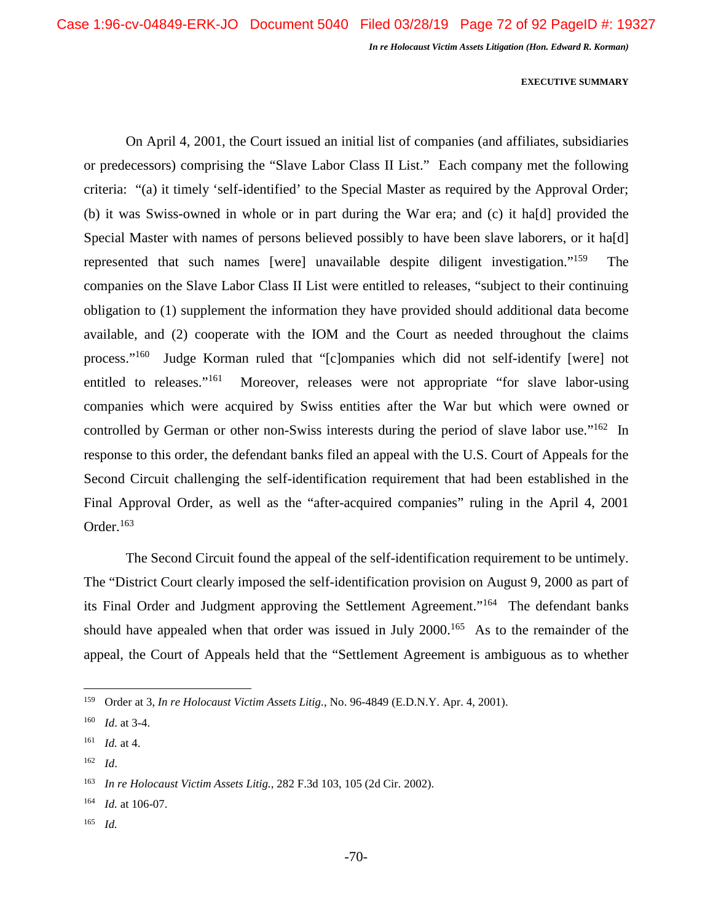#### **EXECUTIVE SUMMARY**

On April 4, 2001, the Court issued an initial list of companies (and affiliates, subsidiaries or predecessors) comprising the "Slave Labor Class II List." Each company met the following criteria: "(a) it timely 'self-identified' to the Special Master as required by the Approval Order; (b) it was Swiss-owned in whole or in part during the War era; and (c) it ha[d] provided the Special Master with names of persons believed possibly to have been slave laborers, or it ha[d] represented that such names [were] unavailable despite diligent investigation."<sup>159</sup> The companies on the Slave Labor Class II List were entitled to releases, "subject to their continuing obligation to (1) supplement the information they have provided should additional data become available, and (2) cooperate with the IOM and the Court as needed throughout the claims process."<sup>160</sup> Judge Korman ruled that "[c]ompanies which did not self-identify [were] not entitled to releases."<sup>161</sup> Moreover, releases were not appropriate "for slave labor-using companies which were acquired by Swiss entities after the War but which were owned or controlled by German or other non-Swiss interests during the period of slave labor use."<sup>162</sup> In response to this order, the defendant banks filed an appeal with the U.S. Court of Appeals for the Second Circuit challenging the self-identification requirement that had been established in the Final Approval Order, as well as the "after-acquired companies" ruling in the April 4, 2001 Order.<sup>163</sup>

The Second Circuit found the appeal of the self-identification requirement to be untimely. The "District Court clearly imposed the self-identification provision on August 9, 2000 as part of its Final Order and Judgment approving the Settlement Agreement."<sup>164</sup> The defendant banks should have appealed when that order was issued in July 2000.<sup>165</sup> As to the remainder of the appeal, the Court of Appeals held that the "Settlement Agreement is ambiguous as to whether

<sup>162</sup> *Id*.

<sup>165</sup> *Id.* 

<sup>159</sup> Order at 3, *In re Holocaust Victim Assets Litig.*, No. 96-4849 (E.D.N.Y. Apr. 4, 2001).

<sup>160</sup> *Id*. at 3-4.

<sup>161</sup> *Id.* at 4.

<sup>163</sup> *In re Holocaust Victim Assets Litig.*, 282 F.3d 103, 105 (2d Cir. 2002).

<sup>164</sup> *Id.* at 106-07.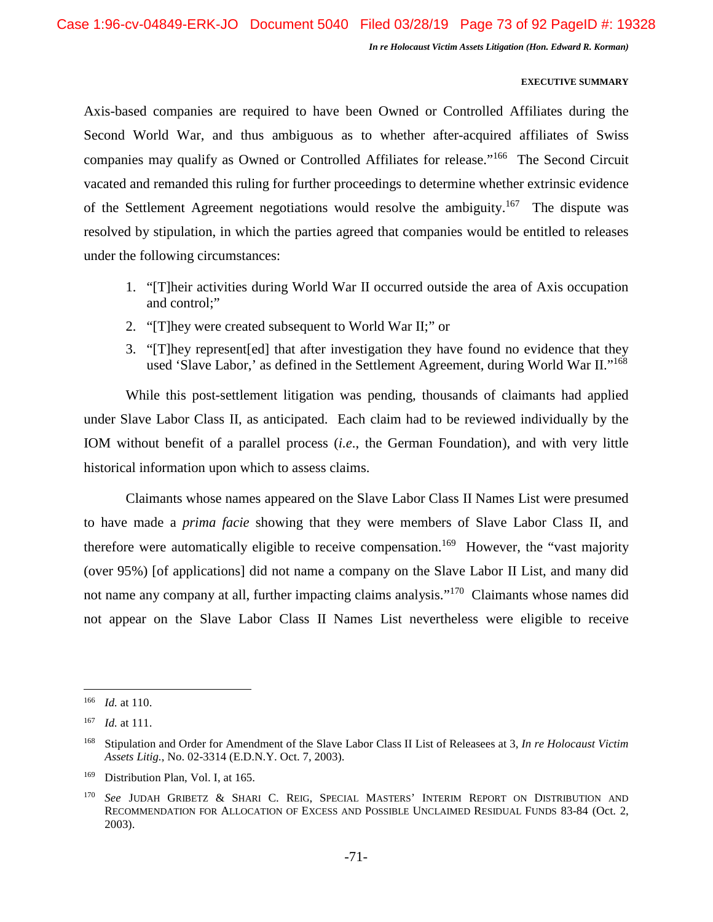### **EXECUTIVE SUMMARY**

Axis-based companies are required to have been Owned or Controlled Affiliates during the Second World War, and thus ambiguous as to whether after-acquired affiliates of Swiss companies may qualify as Owned or Controlled Affiliates for release."<sup>166</sup> The Second Circuit vacated and remanded this ruling for further proceedings to determine whether extrinsic evidence of the Settlement Agreement negotiations would resolve the ambiguity.<sup>167</sup> The dispute was resolved by stipulation, in which the parties agreed that companies would be entitled to releases under the following circumstances:

- 1. "[T]heir activities during World War II occurred outside the area of Axis occupation and control;"
- 2. "[T]hey were created subsequent to World War II;" or
- 3. "[T]hey represent[ed] that after investigation they have found no evidence that they used 'Slave Labor,' as defined in the Settlement Agreement, during World War II."<sup>168</sup>

While this post-settlement litigation was pending, thousands of claimants had applied under Slave Labor Class II, as anticipated. Each claim had to be reviewed individually by the IOM without benefit of a parallel process (*i.e*., the German Foundation), and with very little historical information upon which to assess claims.

Claimants whose names appeared on the Slave Labor Class II Names List were presumed to have made a *prima facie* showing that they were members of Slave Labor Class II, and therefore were automatically eligible to receive compensation.<sup>169</sup> However, the "vast majority" (over 95%) [of applications] did not name a company on the Slave Labor II List, and many did not name any company at all, further impacting claims analysis."<sup>170</sup> Claimants whose names did not appear on the Slave Labor Class II Names List nevertheless were eligible to receive

<sup>166</sup> *Id.* at 110.

<sup>167</sup> *Id.* at 111.

<sup>168</sup> Stipulation and Order for Amendment of the Slave Labor Class II List of Releasees at 3, *In re Holocaust Victim Assets Litig.*, No. 02-3314 (E.D.N.Y. Oct. 7, 2003).

<sup>&</sup>lt;sup>169</sup> Distribution Plan, Vol. I, at 165.

<sup>170</sup> *See* JUDAH GRIBETZ & SHARI C. REIG, SPECIAL MASTERS' INTERIM REPORT ON DISTRIBUTION AND RECOMMENDATION FOR ALLOCATION OF EXCESS AND POSSIBLE UNCLAIMED RESIDUAL FUNDS 83-84 (Oct. 2, 2003).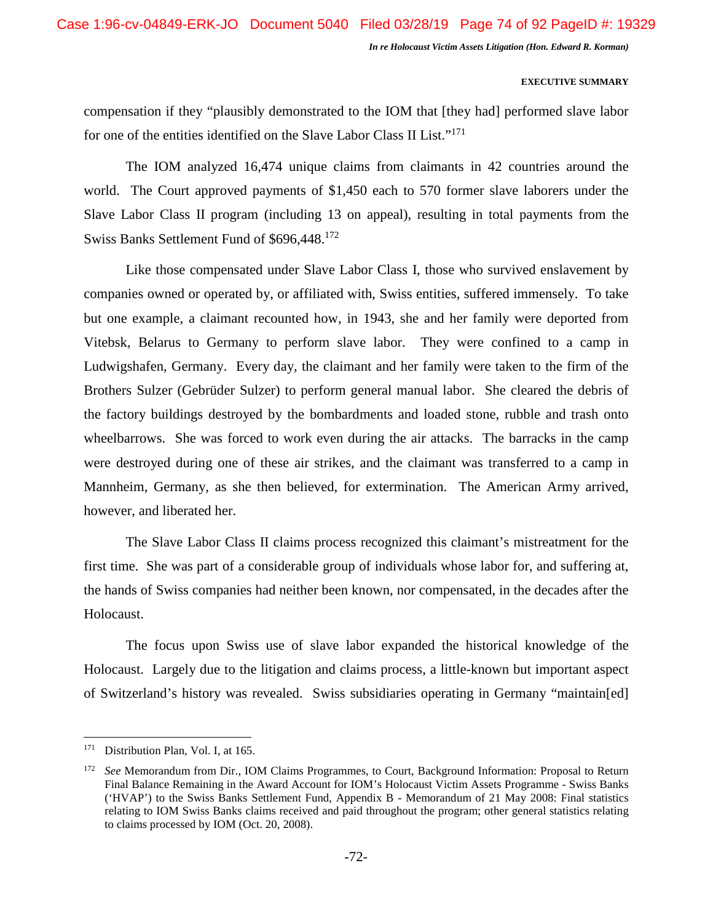#### **EXECUTIVE SUMMARY**

compensation if they "plausibly demonstrated to the IOM that [they had] performed slave labor for one of the entities identified on the Slave Labor Class II List."<sup>171</sup>

The IOM analyzed 16,474 unique claims from claimants in 42 countries around the world. The Court approved payments of \$1,450 each to 570 former slave laborers under the Slave Labor Class II program (including 13 on appeal), resulting in total payments from the Swiss Banks Settlement Fund of \$696,448.<sup>172</sup>

Like those compensated under Slave Labor Class I, those who survived enslavement by companies owned or operated by, or affiliated with, Swiss entities, suffered immensely. To take but one example, a claimant recounted how, in 1943, she and her family were deported from Vitebsk, Belarus to Germany to perform slave labor. They were confined to a camp in Ludwigshafen, Germany. Every day, the claimant and her family were taken to the firm of the Brothers Sulzer (Gebrüder Sulzer) to perform general manual labor. She cleared the debris of the factory buildings destroyed by the bombardments and loaded stone, rubble and trash onto wheelbarrows. She was forced to work even during the air attacks. The barracks in the camp were destroyed during one of these air strikes, and the claimant was transferred to a camp in Mannheim, Germany, as she then believed, for extermination. The American Army arrived, however, and liberated her.

The Slave Labor Class II claims process recognized this claimant's mistreatment for the first time. She was part of a considerable group of individuals whose labor for, and suffering at, the hands of Swiss companies had neither been known, nor compensated, in the decades after the Holocaust.

The focus upon Swiss use of slave labor expanded the historical knowledge of the Holocaust. Largely due to the litigation and claims process, a little-known but important aspect of Switzerland's history was revealed. Swiss subsidiaries operating in Germany "maintain[ed]

<sup>&</sup>lt;sup>171</sup> Distribution Plan, Vol. I, at 165.

<sup>172</sup> *See* Memorandum from Dir., IOM Claims Programmes, to Court, Background Information: Proposal to Return Final Balance Remaining in the Award Account for IOM's Holocaust Victim Assets Programme - Swiss Banks ('HVAP') to the Swiss Banks Settlement Fund, Appendix B - Memorandum of 21 May 2008: Final statistics relating to IOM Swiss Banks claims received and paid throughout the program; other general statistics relating to claims processed by IOM (Oct. 20, 2008).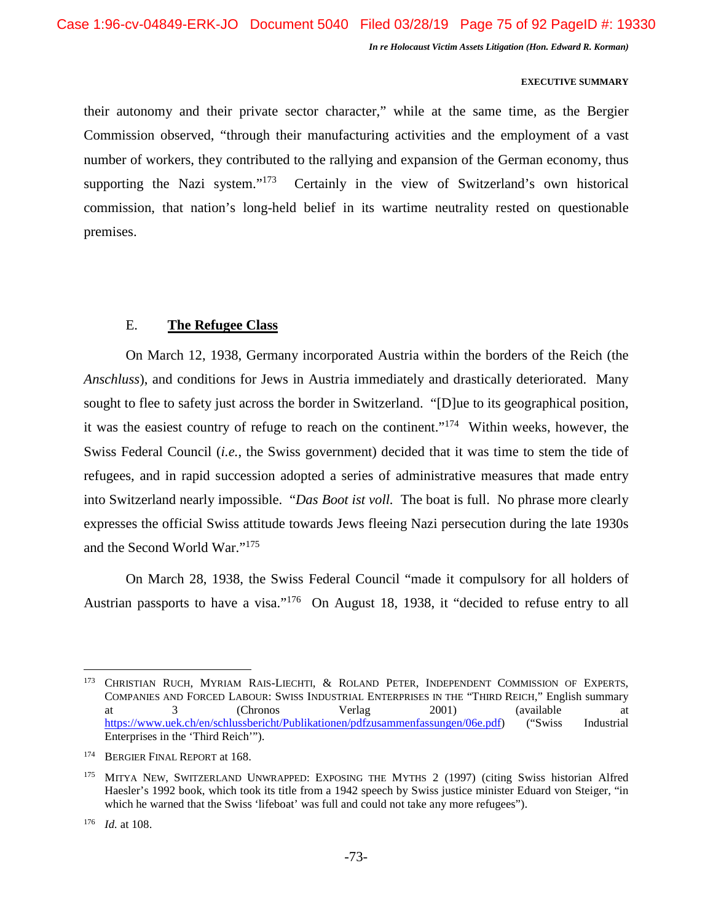#### **EXECUTIVE SUMMARY**

their autonomy and their private sector character," while at the same time, as the Bergier Commission observed, "through their manufacturing activities and the employment of a vast number of workers, they contributed to the rallying and expansion of the German economy, thus supporting the Nazi system."<sup>173</sup> Certainly in the view of Switzerland's own historical commission, that nation's long-held belief in its wartime neutrality rested on questionable premises.

# E. **The Refugee Class**

On March 12, 1938, Germany incorporated Austria within the borders of the Reich (the *Anschluss*), and conditions for Jews in Austria immediately and drastically deteriorated. Many sought to flee to safety just across the border in Switzerland. "[D]ue to its geographical position, it was the easiest country of refuge to reach on the continent."<sup>174</sup> Within weeks, however, the Swiss Federal Council (*i.e.*, the Swiss government) decided that it was time to stem the tide of refugees, and in rapid succession adopted a series of administrative measures that made entry into Switzerland nearly impossible. "*Das Boot ist voll.* The boat is full. No phrase more clearly expresses the official Swiss attitude towards Jews fleeing Nazi persecution during the late 1930s and the Second World War."<sup>175</sup>

On March 28, 1938, the Swiss Federal Council "made it compulsory for all holders of Austrian passports to have a visa."<sup>176</sup> On August 18, 1938, it "decided to refuse entry to all

<sup>&</sup>lt;sup>173</sup> CHRISTIAN RUCH, MYRIAM RAIS-LIECHTI, & ROLAND PETER, INDEPENDENT COMMISSION OF EXPERTS, COMPANIES AND FORCED LABOUR: SWISS INDUSTRIAL ENTERPRISES IN THE "THIRD REICH," English summary at 3 (Chronos Verlag 2001) (available at https://www.uek.ch/en/schlussbericht/Publikationen/pdfzusammenfassungen/06e.pdf) ("Swiss Industrial Enterprises in the 'Third Reich'").

<sup>&</sup>lt;sup>174</sup> BERGIER FINAL REPORT at 168.

<sup>175</sup> MITYA NEW, SWITZERLAND UNWRAPPED: EXPOSING THE MYTHS 2 (1997) (citing Swiss historian Alfred Haesler's 1992 book, which took its title from a 1942 speech by Swiss justice minister Eduard von Steiger, "in which he warned that the Swiss 'lifeboat' was full and could not take any more refugees").

<sup>176</sup> *Id.* at 108.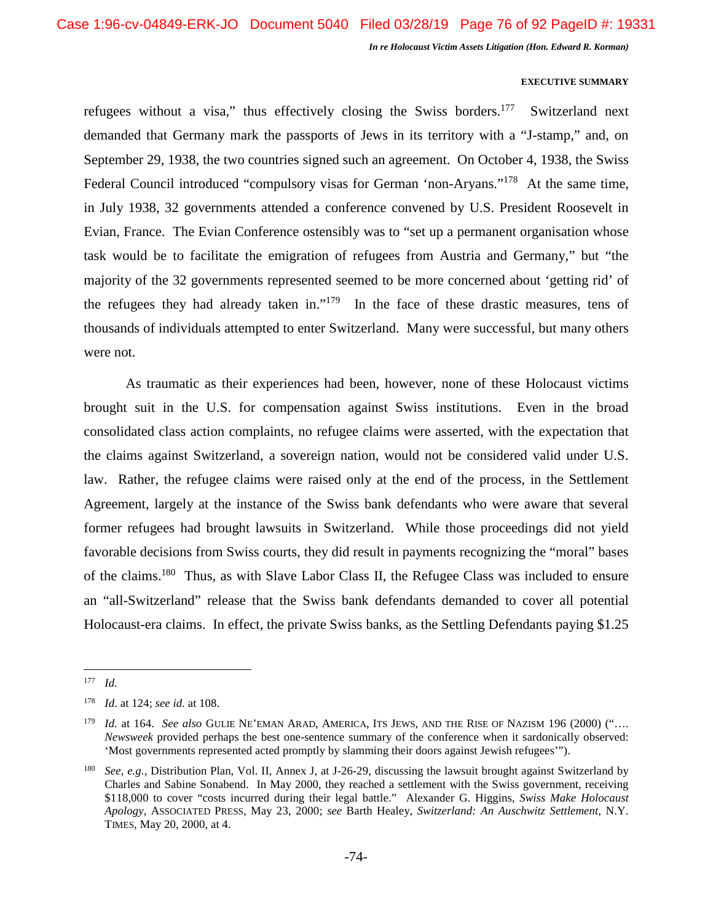#### **EXECUTIVE SUMMARY**

refugees without a visa," thus effectively closing the Swiss borders.<sup>177</sup> Switzerland next demanded that Germany mark the passports of Jews in its territory with a "J-stamp," and, on September 29, 1938, the two countries signed such an agreement. On October 4, 1938, the Swiss Federal Council introduced "compulsory visas for German 'non-Aryans."<sup>178</sup> At the same time, in July 1938, 32 governments attended a conference convened by U.S. President Roosevelt in Evian, France. The Evian Conference ostensibly was to "set up a permanent organisation whose task would be to facilitate the emigration of refugees from Austria and Germany," but "the majority of the 32 governments represented seemed to be more concerned about 'getting rid' of the refugees they had already taken in."<sup>179</sup> In the face of these drastic measures, tens of thousands of individuals attempted to enter Switzerland. Many were successful, but many others were not.

As traumatic as their experiences had been, however, none of these Holocaust victims brought suit in the U.S. for compensation against Swiss institutions. Even in the broad consolidated class action complaints, no refugee claims were asserted, with the expectation that the claims against Switzerland, a sovereign nation, would not be considered valid under U.S. law. Rather, the refugee claims were raised only at the end of the process, in the Settlement Agreement, largely at the instance of the Swiss bank defendants who were aware that several former refugees had brought lawsuits in Switzerland. While those proceedings did not yield favorable decisions from Swiss courts, they did result in payments recognizing the "moral" bases of the claims.<sup>180</sup> Thus, as with Slave Labor Class II, the Refugee Class was included to ensure an "all-Switzerland" release that the Swiss bank defendants demanded to cover all potential Holocaust-era claims. In effect, the private Swiss banks, as the Settling Defendants paying \$1.25

 $177$  *Id.* 

<sup>178</sup> *Id*. at 124; *see id.* at 108.

<sup>179</sup> *Id.* at 164. *See also* GULIE NE'EMAN ARAD, AMERICA, ITS JEWS, AND THE RISE OF NAZISM 196 (2000) ("…. *Newsweek* provided perhaps the best one-sentence summary of the conference when it sardonically observed: 'Most governments represented acted promptly by slamming their doors against Jewish refugees'").

<sup>180</sup> *See, e.g.*, Distribution Plan, Vol. II, Annex J, at J-26-29, discussing the lawsuit brought against Switzerland by Charles and Sabine Sonabend. In May 2000, they reached a settlement with the Swiss government, receiving \$118,000 to cover "costs incurred during their legal battle." Alexander G. Higgins, *Swiss Make Holocaust Apology*, ASSOCIATED PRESS, May 23, 2000; *see* Barth Healey, *Switzerland: An Auschwitz Settlement*, N.Y. TIMES, May 20, 2000, at 4.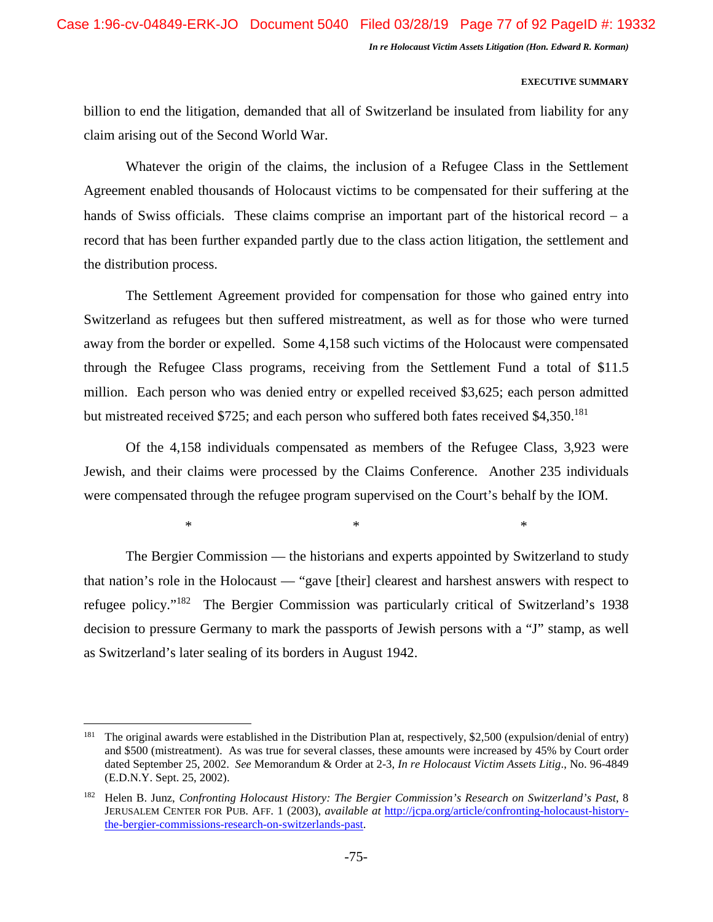### **EXECUTIVE SUMMARY**

billion to end the litigation, demanded that all of Switzerland be insulated from liability for any claim arising out of the Second World War.

Whatever the origin of the claims, the inclusion of a Refugee Class in the Settlement Agreement enabled thousands of Holocaust victims to be compensated for their suffering at the hands of Swiss officials. These claims comprise an important part of the historical record  $-$  a record that has been further expanded partly due to the class action litigation, the settlement and the distribution process.

The Settlement Agreement provided for compensation for those who gained entry into Switzerland as refugees but then suffered mistreatment, as well as for those who were turned away from the border or expelled. Some 4,158 such victims of the Holocaust were compensated through the Refugee Class programs, receiving from the Settlement Fund a total of \$11.5 million. Each person who was denied entry or expelled received \$3,625; each person admitted but mistreated received \$725; and each person who suffered both fates received \$4,350.<sup>181</sup>

Of the 4,158 individuals compensated as members of the Refugee Class, 3,923 were Jewish, and their claims were processed by the Claims Conference. Another 235 individuals were compensated through the refugee program supervised on the Court's behalf by the IOM.

 $*$   $*$ 

The Bergier Commission — the historians and experts appointed by Switzerland to study that nation's role in the Holocaust — "gave [their] clearest and harshest answers with respect to refugee policy."<sup>182</sup> The Bergier Commission was particularly critical of Switzerland's 1938 decision to pressure Germany to mark the passports of Jewish persons with a "J" stamp, as well as Switzerland's later sealing of its borders in August 1942.

<sup>&</sup>lt;sup>181</sup> The original awards were established in the Distribution Plan at, respectively, \$2,500 (expulsion/denial of entry) and \$500 (mistreatment). As was true for several classes, these amounts were increased by 45% by Court order dated September 25, 2002. *See* Memorandum & Order at 2-3, *In re Holocaust Victim Assets Litig*., No. 96-4849 (E.D.N.Y. Sept. 25, 2002).

<sup>182</sup> Helen B. Junz, *Confronting Holocaust History: The Bergier Commission's Research on Switzerland's Past*, 8 JERUSALEM CENTER FOR PUB. AFF. 1 (2003), *available at* http://jcpa.org/article/confronting-holocaust-historythe-bergier-commissions-research-on-switzerlands-past.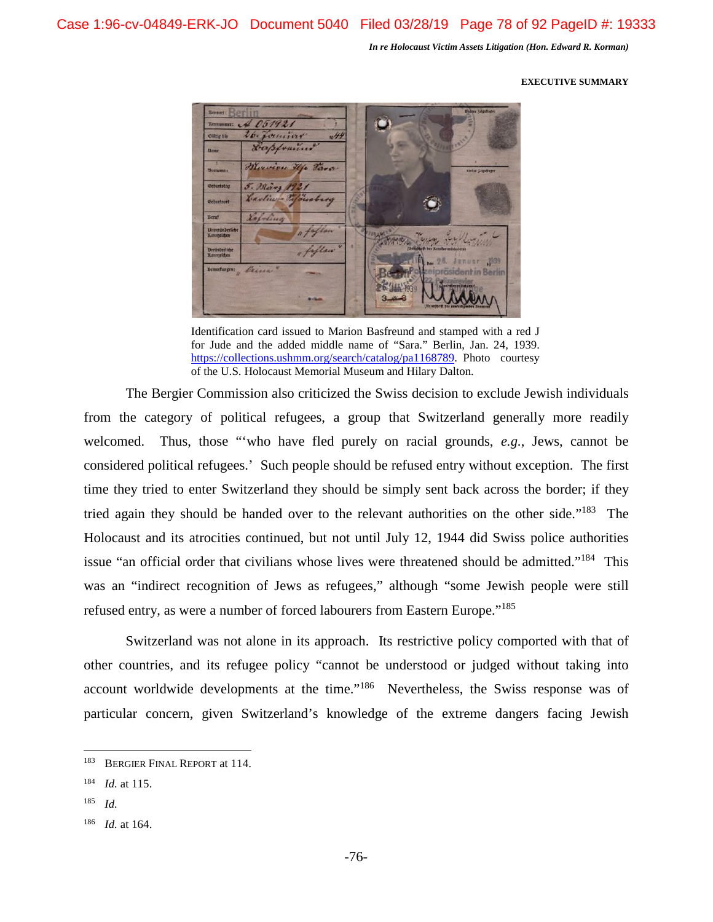#### **EXECUTIVE SUMMARY**



Identification card issued to Marion Basfreund and stamped with a red J for Jude and the added middle name of "Sara." Berlin, Jan. 24, 1939. https://collections.ushmm.org/search/catalog/pa1168789. Photo courtesy of the U.S. Holocaust Memorial Museum and Hilary Dalton.

The Bergier Commission also criticized the Swiss decision to exclude Jewish individuals from the category of political refugees, a group that Switzerland generally more readily welcomed. Thus, those "'who have fled purely on racial grounds, *e.g.*, Jews, cannot be considered political refugees.' Such people should be refused entry without exception. The first time they tried to enter Switzerland they should be simply sent back across the border; if they tried again they should be handed over to the relevant authorities on the other side."<sup>183</sup> The Holocaust and its atrocities continued, but not until July 12, 1944 did Swiss police authorities issue "an official order that civilians whose lives were threatened should be admitted."<sup>184</sup> This was an "indirect recognition of Jews as refugees," although "some Jewish people were still refused entry, as were a number of forced labourers from Eastern Europe."<sup>185</sup>

Switzerland was not alone in its approach. Its restrictive policy comported with that of other countries, and its refugee policy "cannot be understood or judged without taking into account worldwide developments at the time."<sup>186</sup> Nevertheless, the Swiss response was of particular concern, given Switzerland's knowledge of the extreme dangers facing Jewish

<sup>183</sup> BERGIER FINAL REPORT at 114.

<sup>184</sup> *Id.* at 115.

<sup>185</sup> *Id.*

<sup>186</sup> *Id.* at 164.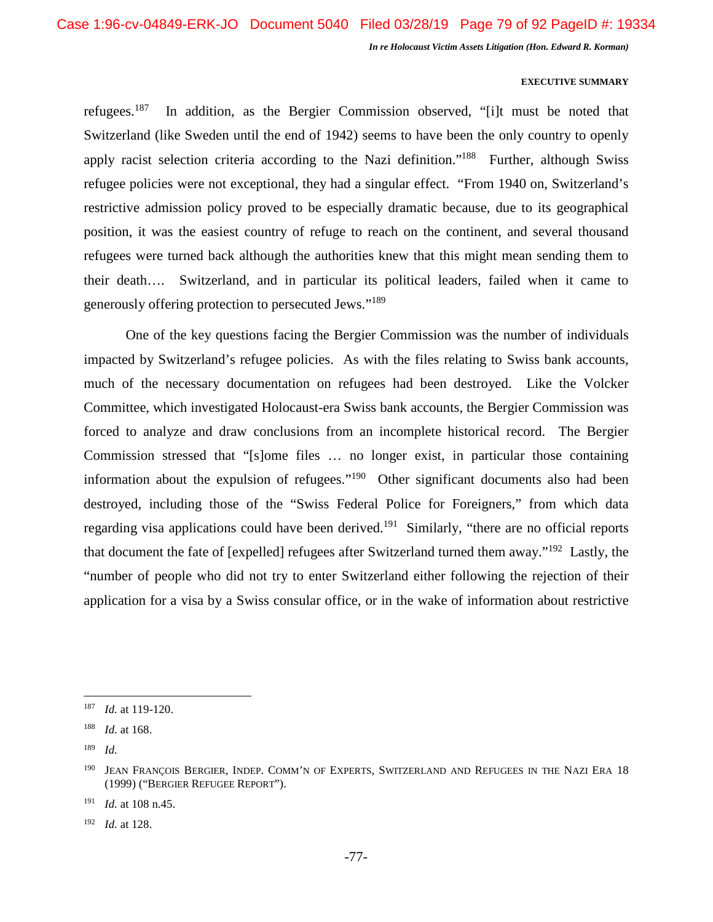#### **EXECUTIVE SUMMARY**

refugees.<sup>187</sup> In addition, as the Bergier Commission observed, "[i]t must be noted that Switzerland (like Sweden until the end of 1942) seems to have been the only country to openly apply racist selection criteria according to the Nazi definition."<sup>188</sup> Further, although Swiss refugee policies were not exceptional, they had a singular effect. "From 1940 on, Switzerland's restrictive admission policy proved to be especially dramatic because, due to its geographical position, it was the easiest country of refuge to reach on the continent, and several thousand refugees were turned back although the authorities knew that this might mean sending them to their death…. Switzerland, and in particular its political leaders, failed when it came to generously offering protection to persecuted Jews."<sup>189</sup>

One of the key questions facing the Bergier Commission was the number of individuals impacted by Switzerland's refugee policies. As with the files relating to Swiss bank accounts, much of the necessary documentation on refugees had been destroyed. Like the Volcker Committee, which investigated Holocaust-era Swiss bank accounts, the Bergier Commission was forced to analyze and draw conclusions from an incomplete historical record. The Bergier Commission stressed that "[s]ome files … no longer exist, in particular those containing information about the expulsion of refugees."<sup>190</sup> Other significant documents also had been destroyed, including those of the "Swiss Federal Police for Foreigners," from which data regarding visa applications could have been derived.<sup>191</sup> Similarly, "there are no official reports that document the fate of [expelled] refugees after Switzerland turned them away."<sup>192</sup> Lastly, the "number of people who did not try to enter Switzerland either following the rejection of their application for a visa by a Swiss consular office, or in the wake of information about restrictive

<sup>192</sup> *Id.* at 128.

<sup>187</sup> *Id.* at 119-120.

<sup>188</sup> *Id.* at 168.

<sup>189</sup> *Id.* 

JEAN FRANÇOIS BERGIER, INDEP. COMM'N OF EXPERTS, SWITZERLAND AND REFUGEES IN THE NAZI ERA 18 (1999) ("BERGIER REFUGEE REPORT").

<sup>191</sup> *Id.* at 108 n.45.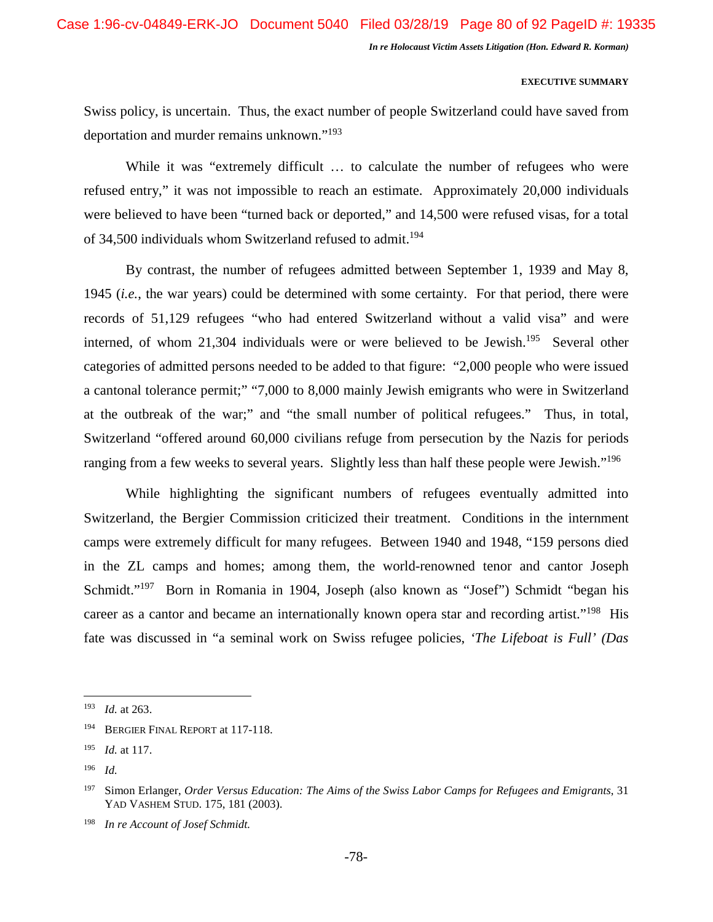#### **EXECUTIVE SUMMARY**

Swiss policy, is uncertain. Thus, the exact number of people Switzerland could have saved from deportation and murder remains unknown."<sup>193</sup>

While it was "extremely difficult ... to calculate the number of refugees who were refused entry," it was not impossible to reach an estimate. Approximately 20,000 individuals were believed to have been "turned back or deported," and 14,500 were refused visas, for a total of 34,500 individuals whom Switzerland refused to admit.<sup>194</sup>

By contrast, the number of refugees admitted between September 1, 1939 and May 8, 1945 (*i.e.*, the war years) could be determined with some certainty. For that period, there were records of 51,129 refugees "who had entered Switzerland without a valid visa" and were interned, of whom 21,304 individuals were or were believed to be Jewish.<sup>195</sup> Several other categories of admitted persons needed to be added to that figure: "2,000 people who were issued a cantonal tolerance permit;" "7,000 to 8,000 mainly Jewish emigrants who were in Switzerland at the outbreak of the war;" and "the small number of political refugees." Thus, in total, Switzerland "offered around 60,000 civilians refuge from persecution by the Nazis for periods ranging from a few weeks to several years. Slightly less than half these people were Jewish."<sup>196</sup>

While highlighting the significant numbers of refugees eventually admitted into Switzerland, the Bergier Commission criticized their treatment. Conditions in the internment camps were extremely difficult for many refugees. Between 1940 and 1948, "159 persons died in the ZL camps and homes; among them, the world-renowned tenor and cantor Joseph Schmidt."<sup>197</sup> Born in Romania in 1904, Joseph (also known as "Josef") Schmidt "began his career as a cantor and became an internationally known opera star and recording artist."<sup>198</sup> His fate was discussed in "a seminal work on Swiss refugee policies, *'The Lifeboat is Full' (Das* 

<sup>193</sup> *Id.* at 263.

<sup>&</sup>lt;sup>194</sup> BERGIER FINAL REPORT at 117-118.

<sup>195</sup> *Id.* at 117.

<sup>196</sup> *Id.* 

<sup>197</sup> Simon Erlanger, *Order Versus Education: The Aims of the Swiss Labor Camps for Refugees and Emigrants*, 31 YAD VASHEM STUD. 175, 181 (2003).

<sup>198</sup> *In re Account of Josef Schmidt.*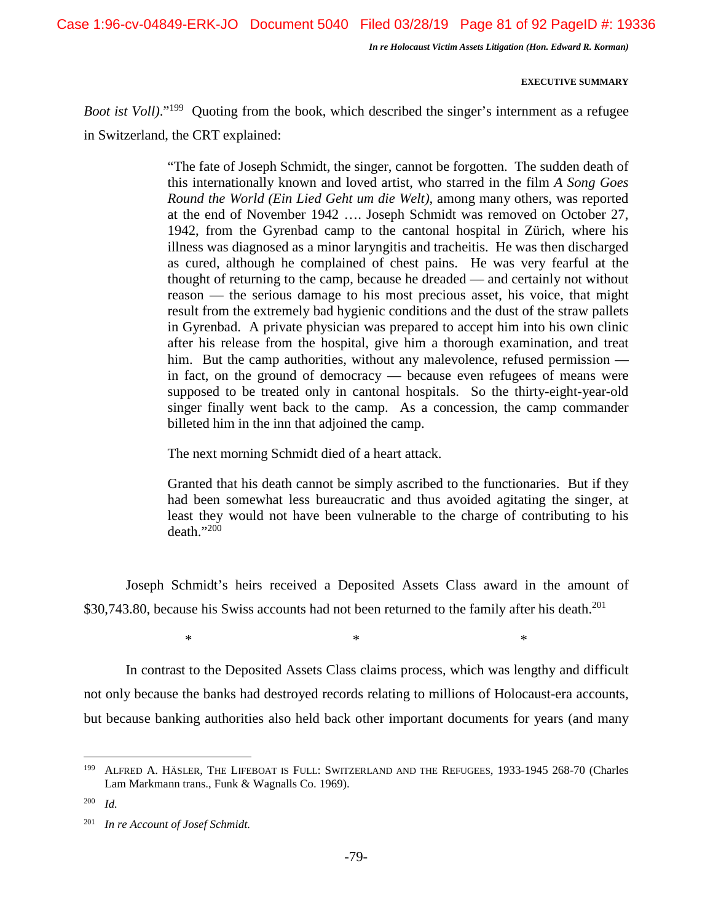Case 1:96-cv-04849-ERK-JO Document 5040 Filed 03/28/19 Page 81 of 92 PageID #: 19336

*In re Holocaust Victim Assets Litigation (Hon. Edward R. Korman)* 

### **EXECUTIVE SUMMARY**

*Boot ist Voll*)."<sup>199</sup> Quoting from the book, which described the singer's internment as a refugee in Switzerland, the CRT explained:

> "The fate of Joseph Schmidt, the singer, cannot be forgotten. The sudden death of this internationally known and loved artist, who starred in the film *A Song Goes Round the World (Ein Lied Geht um die Welt)*, among many others, was reported at the end of November 1942 …. Joseph Schmidt was removed on October 27, 1942, from the Gyrenbad camp to the cantonal hospital in Zürich, where his illness was diagnosed as a minor laryngitis and tracheitis. He was then discharged as cured, although he complained of chest pains. He was very fearful at the thought of returning to the camp, because he dreaded — and certainly not without reason — the serious damage to his most precious asset, his voice, that might result from the extremely bad hygienic conditions and the dust of the straw pallets in Gyrenbad. A private physician was prepared to accept him into his own clinic after his release from the hospital, give him a thorough examination, and treat him. But the camp authorities, without any malevolence, refused permission in fact, on the ground of democracy — because even refugees of means were supposed to be treated only in cantonal hospitals. So the thirty-eight-year-old singer finally went back to the camp. As a concession, the camp commander billeted him in the inn that adjoined the camp.

The next morning Schmidt died of a heart attack.

Granted that his death cannot be simply ascribed to the functionaries. But if they had been somewhat less bureaucratic and thus avoided agitating the singer, at least they would not have been vulnerable to the charge of contributing to his death."<sup>200</sup>

Joseph Schmidt's heirs received a Deposited Assets Class award in the amount of \$30,743.80, because his Swiss accounts had not been returned to the family after his death.<sup>201</sup>

 $*$   $*$ 

In contrast to the Deposited Assets Class claims process, which was lengthy and difficult not only because the banks had destroyed records relating to millions of Holocaust-era accounts, but because banking authorities also held back other important documents for years (and many

<sup>&</sup>lt;sup>199</sup> ALFRED A. HÄSLER, THE LIFEBOAT IS FULL: SWITZERLAND AND THE REFUGEES, 1933-1945 268-70 (Charles Lam Markmann trans., Funk & Wagnalls Co. 1969).

<sup>200</sup> *Id.* 

<sup>201</sup> *In re Account of Josef Schmidt.*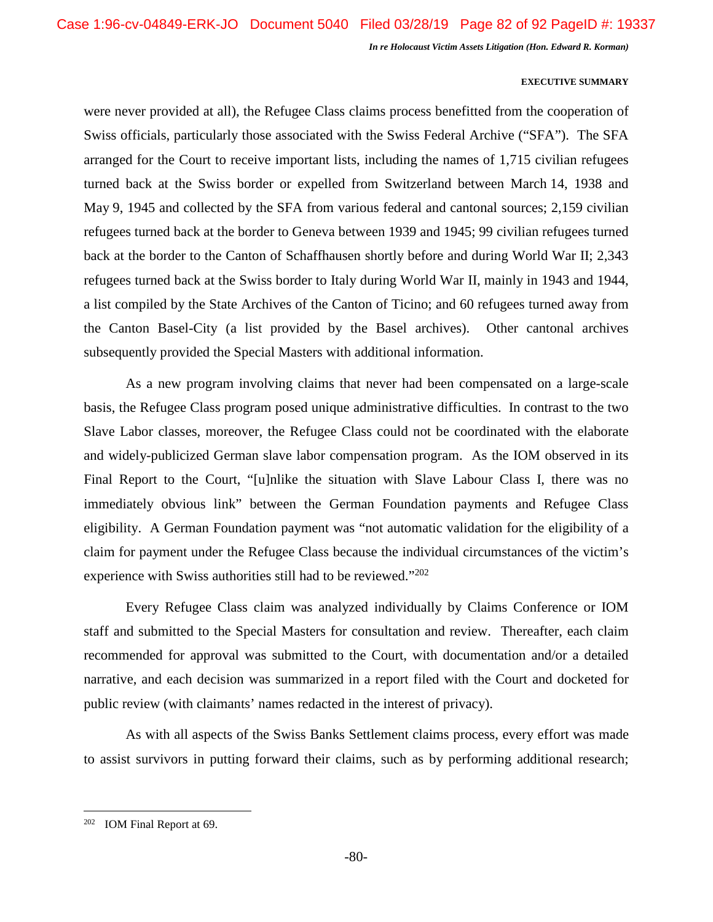#### **EXECUTIVE SUMMARY**

were never provided at all), the Refugee Class claims process benefitted from the cooperation of Swiss officials, particularly those associated with the Swiss Federal Archive ("SFA"). The SFA arranged for the Court to receive important lists, including the names of 1,715 civilian refugees turned back at the Swiss border or expelled from Switzerland between March 14, 1938 and May 9, 1945 and collected by the SFA from various federal and cantonal sources; 2,159 civilian refugees turned back at the border to Geneva between 1939 and 1945; 99 civilian refugees turned back at the border to the Canton of Schaffhausen shortly before and during World War II; 2,343 refugees turned back at the Swiss border to Italy during World War II, mainly in 1943 and 1944, a list compiled by the State Archives of the Canton of Ticino; and 60 refugees turned away from the Canton Basel-City (a list provided by the Basel archives). Other cantonal archives subsequently provided the Special Masters with additional information.

As a new program involving claims that never had been compensated on a large-scale basis, the Refugee Class program posed unique administrative difficulties. In contrast to the two Slave Labor classes, moreover, the Refugee Class could not be coordinated with the elaborate and widely-publicized German slave labor compensation program. As the IOM observed in its Final Report to the Court, "[u]nlike the situation with Slave Labour Class I, there was no immediately obvious link" between the German Foundation payments and Refugee Class eligibility. A German Foundation payment was "not automatic validation for the eligibility of a claim for payment under the Refugee Class because the individual circumstances of the victim's experience with Swiss authorities still had to be reviewed."<sup>202</sup>

Every Refugee Class claim was analyzed individually by Claims Conference or IOM staff and submitted to the Special Masters for consultation and review. Thereafter, each claim recommended for approval was submitted to the Court, with documentation and/or a detailed narrative, and each decision was summarized in a report filed with the Court and docketed for public review (with claimants' names redacted in the interest of privacy).

As with all aspects of the Swiss Banks Settlement claims process, every effort was made to assist survivors in putting forward their claims, such as by performing additional research;

<sup>202</sup> IOM Final Report at 69.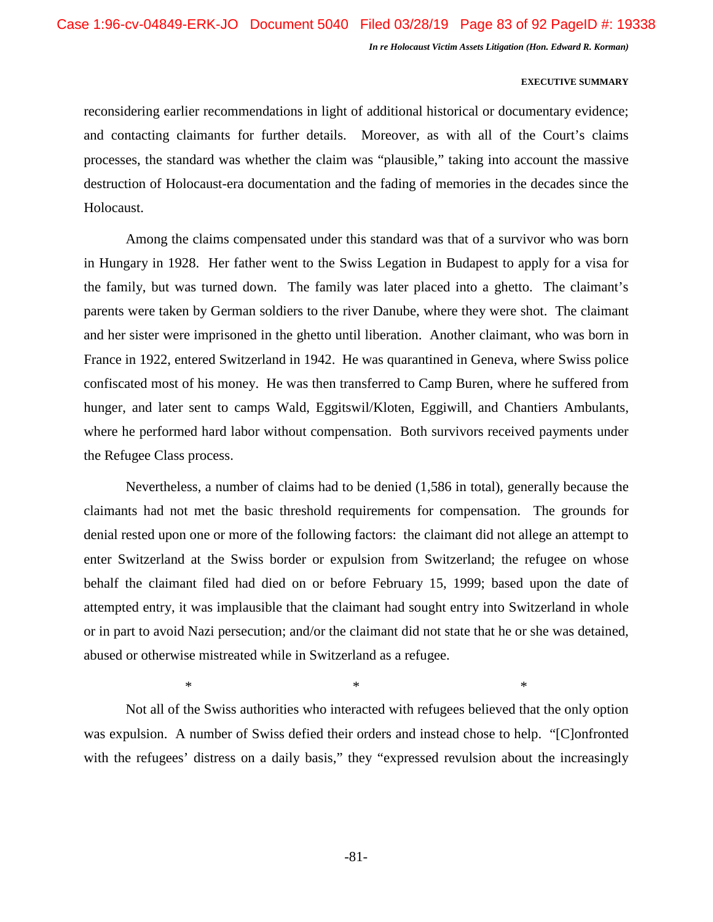### **EXECUTIVE SUMMARY**

reconsidering earlier recommendations in light of additional historical or documentary evidence; and contacting claimants for further details. Moreover, as with all of the Court's claims processes, the standard was whether the claim was "plausible," taking into account the massive destruction of Holocaust-era documentation and the fading of memories in the decades since the Holocaust.

Among the claims compensated under this standard was that of a survivor who was born in Hungary in 1928. Her father went to the Swiss Legation in Budapest to apply for a visa for the family, but was turned down. The family was later placed into a ghetto. The claimant's parents were taken by German soldiers to the river Danube, where they were shot. The claimant and her sister were imprisoned in the ghetto until liberation. Another claimant, who was born in France in 1922, entered Switzerland in 1942. He was quarantined in Geneva, where Swiss police confiscated most of his money. He was then transferred to Camp Buren, where he suffered from hunger, and later sent to camps Wald, Eggitswil/Kloten, Eggiwill, and Chantiers Ambulants, where he performed hard labor without compensation. Both survivors received payments under the Refugee Class process.

Nevertheless, a number of claims had to be denied (1,586 in total), generally because the claimants had not met the basic threshold requirements for compensation. The grounds for denial rested upon one or more of the following factors: the claimant did not allege an attempt to enter Switzerland at the Swiss border or expulsion from Switzerland; the refugee on whose behalf the claimant filed had died on or before February 15, 1999; based upon the date of attempted entry, it was implausible that the claimant had sought entry into Switzerland in whole or in part to avoid Nazi persecution; and/or the claimant did not state that he or she was detained, abused or otherwise mistreated while in Switzerland as a refugee.

Not all of the Swiss authorities who interacted with refugees believed that the only option was expulsion. A number of Swiss defied their orders and instead chose to help. "[C]onfronted with the refugees' distress on a daily basis," they "expressed revulsion about the increasingly

 $*$   $*$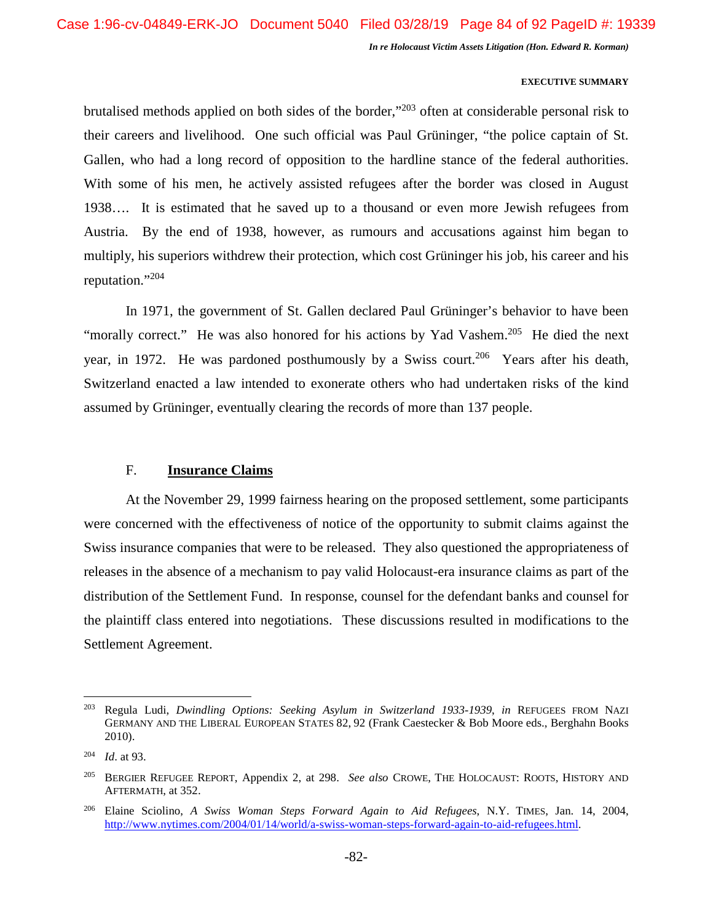#### **EXECUTIVE SUMMARY**

brutalised methods applied on both sides of the border,"<sup>203</sup> often at considerable personal risk to their careers and livelihood. One such official was Paul Grüninger, "the police captain of St. Gallen, who had a long record of opposition to the hardline stance of the federal authorities. With some of his men, he actively assisted refugees after the border was closed in August 1938…. It is estimated that he saved up to a thousand or even more Jewish refugees from Austria. By the end of 1938, however, as rumours and accusations against him began to multiply, his superiors withdrew their protection, which cost Grüninger his job, his career and his reputation."<sup>204</sup>

In 1971, the government of St. Gallen declared Paul Grüninger's behavior to have been "morally correct." He was also honored for his actions by Yad Vashem.<sup>205</sup> He died the next year, in 1972. He was pardoned posthumously by a Swiss court.<sup>206</sup> Years after his death, Switzerland enacted a law intended to exonerate others who had undertaken risks of the kind assumed by Grüninger, eventually clearing the records of more than 137 people.

# F. **Insurance Claims**

At the November 29, 1999 fairness hearing on the proposed settlement, some participants were concerned with the effectiveness of notice of the opportunity to submit claims against the Swiss insurance companies that were to be released. They also questioned the appropriateness of releases in the absence of a mechanism to pay valid Holocaust-era insurance claims as part of the distribution of the Settlement Fund. In response, counsel for the defendant banks and counsel for the plaintiff class entered into negotiations. These discussions resulted in modifications to the Settlement Agreement.

<sup>203</sup> Regula Ludi, *Dwindling Options: Seeking Asylum in Switzerland 1933-1939*, *in* REFUGEES FROM NAZI GERMANY AND THE LIBERAL EUROPEAN STATES 82, 92 (Frank Caestecker & Bob Moore eds., Berghahn Books 2010).

<sup>204</sup> *Id*. at 93.

<sup>205</sup> BERGIER REFUGEE REPORT, Appendix 2, at 298. *See also* CROWE, THE HOLOCAUST: ROOTS, HISTORY AND AFTERMATH, at 352.

<sup>206</sup> Elaine Sciolino, *A Swiss Woman Steps Forward Again to Aid Refugees*, N.Y. TIMES, Jan. 14, 2004, http://www.nytimes.com/2004/01/14/world/a-swiss-woman-steps-forward-again-to-aid-refugees.html.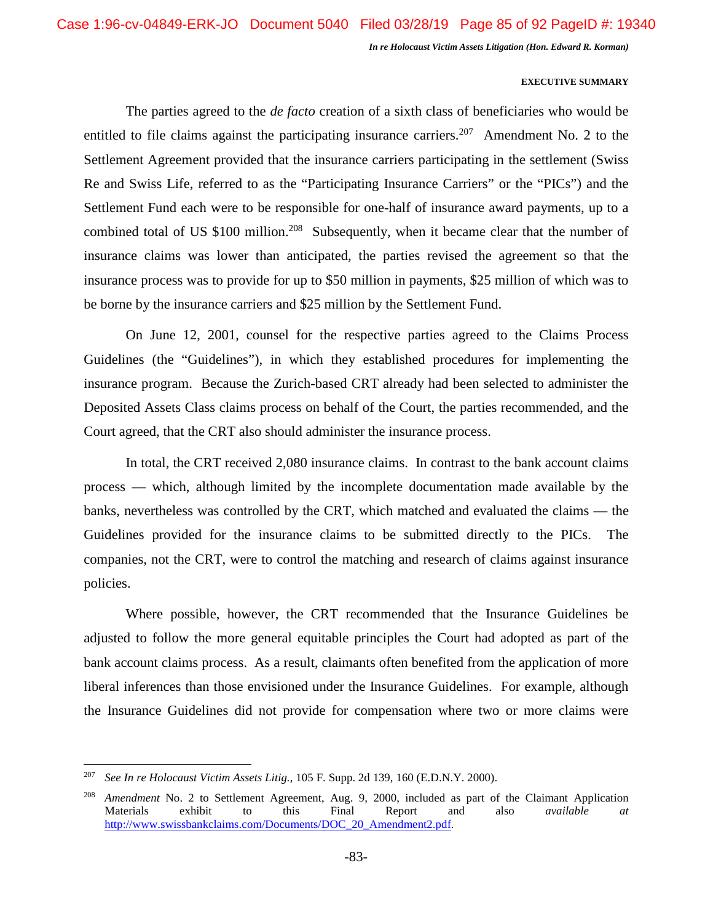#### **EXECUTIVE SUMMARY**

The parties agreed to the *de facto* creation of a sixth class of beneficiaries who would be entitled to file claims against the participating insurance carriers.<sup>207</sup> Amendment No. 2 to the Settlement Agreement provided that the insurance carriers participating in the settlement (Swiss Re and Swiss Life, referred to as the "Participating Insurance Carriers" or the "PICs") and the Settlement Fund each were to be responsible for one-half of insurance award payments, up to a combined total of US \$100 million.<sup>208</sup> Subsequently, when it became clear that the number of insurance claims was lower than anticipated, the parties revised the agreement so that the insurance process was to provide for up to \$50 million in payments, \$25 million of which was to be borne by the insurance carriers and \$25 million by the Settlement Fund.

On June 12, 2001, counsel for the respective parties agreed to the Claims Process Guidelines (the "Guidelines"), in which they established procedures for implementing the insurance program. Because the Zurich-based CRT already had been selected to administer the Deposited Assets Class claims process on behalf of the Court, the parties recommended, and the Court agreed, that the CRT also should administer the insurance process.

In total, the CRT received 2,080 insurance claims. In contrast to the bank account claims process — which, although limited by the incomplete documentation made available by the banks, nevertheless was controlled by the CRT, which matched and evaluated the claims — the Guidelines provided for the insurance claims to be submitted directly to the PICs. The companies, not the CRT, were to control the matching and research of claims against insurance policies.

Where possible, however, the CRT recommended that the Insurance Guidelines be adjusted to follow the more general equitable principles the Court had adopted as part of the bank account claims process. As a result, claimants often benefited from the application of more liberal inferences than those envisioned under the Insurance Guidelines. For example, although the Insurance Guidelines did not provide for compensation where two or more claims were

<sup>207</sup> *See In re Holocaust Victim Assets Litig.*, 105 F. Supp. 2d 139, 160 (E.D.N.Y. 2000).

<sup>208</sup> *Amendment* No. 2 to Settlement Agreement, Aug. 9, 2000, included as part of the Claimant Application Materials exhibit to this Final Report and also *available at* http://www.swissbankclaims.com/Documents/DOC\_20\_Amendment2.pdf.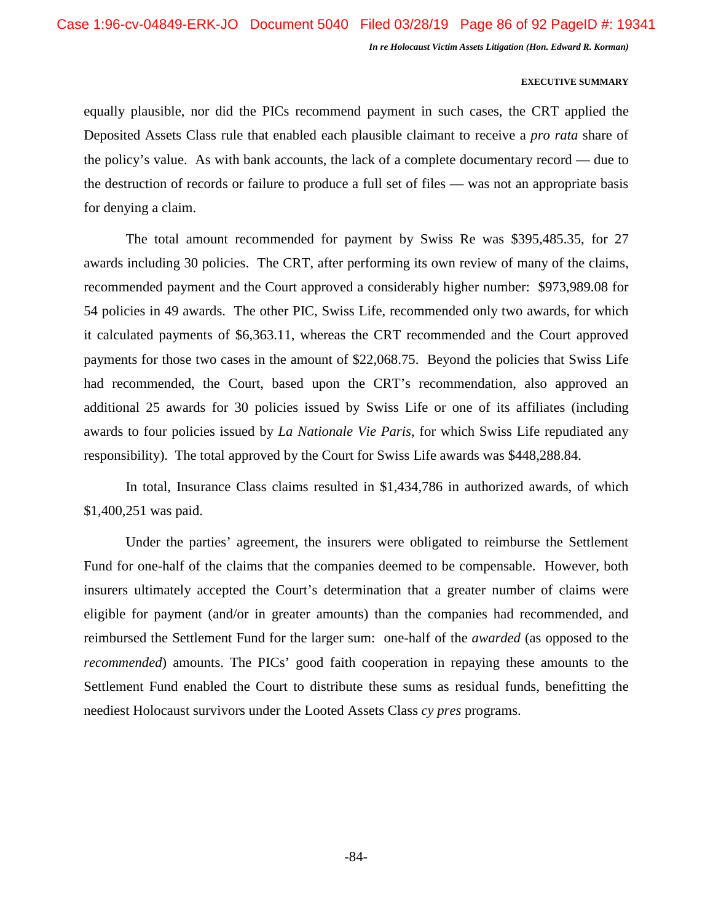#### **EXECUTIVE SUMMARY**

equally plausible, nor did the PICs recommend payment in such cases, the CRT applied the Deposited Assets Class rule that enabled each plausible claimant to receive a *pro rata* share of the policy's value. As with bank accounts, the lack of a complete documentary record — due to the destruction of records or failure to produce a full set of files — was not an appropriate basis for denying a claim.

The total amount recommended for payment by Swiss Re was \$395,485.35, for 27 awards including 30 policies. The CRT, after performing its own review of many of the claims, recommended payment and the Court approved a considerably higher number: \$973,989.08 for 54 policies in 49 awards. The other PIC, Swiss Life, recommended only two awards, for which it calculated payments of \$6,363.11, whereas the CRT recommended and the Court approved payments for those two cases in the amount of \$22,068.75. Beyond the policies that Swiss Life had recommended, the Court, based upon the CRT's recommendation, also approved an additional 25 awards for 30 policies issued by Swiss Life or one of its affiliates (including awards to four policies issued by *La Nationale Vie Paris*, for which Swiss Life repudiated any responsibility). The total approved by the Court for Swiss Life awards was \$448,288.84.

In total, Insurance Class claims resulted in \$1,434,786 in authorized awards, of which \$1,400,251 was paid.

Under the parties' agreement, the insurers were obligated to reimburse the Settlement Fund for one-half of the claims that the companies deemed to be compensable. However, both insurers ultimately accepted the Court's determination that a greater number of claims were eligible for payment (and/or in greater amounts) than the companies had recommended, and reimbursed the Settlement Fund for the larger sum: one-half of the *awarded* (as opposed to the *recommended*) amounts. The PICs' good faith cooperation in repaying these amounts to the Settlement Fund enabled the Court to distribute these sums as residual funds, benefitting the neediest Holocaust survivors under the Looted Assets Class *cy pres* programs.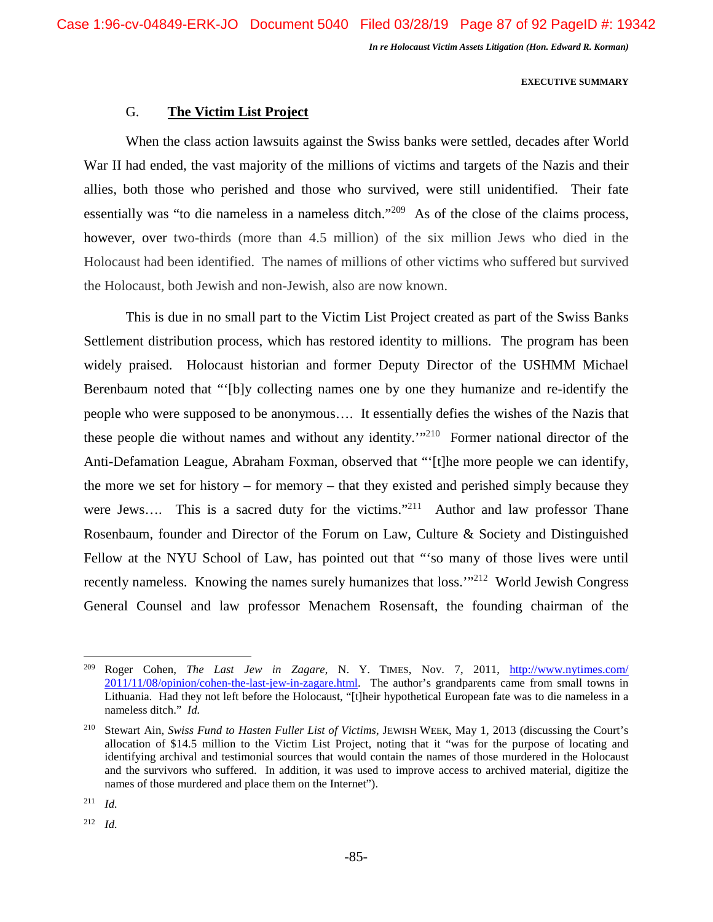#### **EXECUTIVE SUMMARY**

# G. **The Victim List Project**

When the class action lawsuits against the Swiss banks were settled, decades after World War II had ended, the vast majority of the millions of victims and targets of the Nazis and their allies, both those who perished and those who survived, were still unidentified. Their fate essentially was "to die nameless in a nameless ditch."<sup>209</sup> As of the close of the claims process, however, over two-thirds (more than 4.5 million) of the six million Jews who died in the Holocaust had been identified. The names of millions of other victims who suffered but survived the Holocaust, both Jewish and non-Jewish, also are now known.

This is due in no small part to the Victim List Project created as part of the Swiss Banks Settlement distribution process, which has restored identity to millions. The program has been widely praised. Holocaust historian and former Deputy Director of the USHMM Michael Berenbaum noted that "'[b]y collecting names one by one they humanize and re-identify the people who were supposed to be anonymous…. It essentially defies the wishes of the Nazis that these people die without names and without any identity.'"<sup>210</sup> Former national director of the Anti-Defamation League, Abraham Foxman, observed that "'[t]he more people we can identify, the more we set for history – for memory – that they existed and perished simply because they were Jews.... This is a sacred duty for the victims."<sup>211</sup> Author and law professor Thane Rosenbaum, founder and Director of the Forum on Law, Culture & Society and Distinguished Fellow at the NYU School of Law, has pointed out that "'so many of those lives were until recently nameless. Knowing the names surely humanizes that loss."<sup>212</sup> World Jewish Congress General Counsel and law professor Menachem Rosensaft, the founding chairman of the

 $211$  *Id.* 

 $212$  *Id.* 

<sup>209</sup> Roger Cohen, *The Last Jew in Zagare*, N. Y. TIMES, Nov. 7, 2011, http://www.nytimes.com/ 2011/11/08/opinion/cohen-the-last-jew-in-zagare.html. The author's grandparents came from small towns in Lithuania. Had they not left before the Holocaust, "[t]heir hypothetical European fate was to die nameless in a nameless ditch." *Id.* 

<sup>210</sup> Stewart Ain, *Swiss Fund to Hasten Fuller List of Victims*, JEWISH WEEK, May 1, 2013 (discussing the Court's allocation of \$14.5 million to the Victim List Project, noting that it "was for the purpose of locating and identifying archival and testimonial sources that would contain the names of those murdered in the Holocaust and the survivors who suffered. In addition, it was used to improve access to archived material, digitize the names of those murdered and place them on the Internet").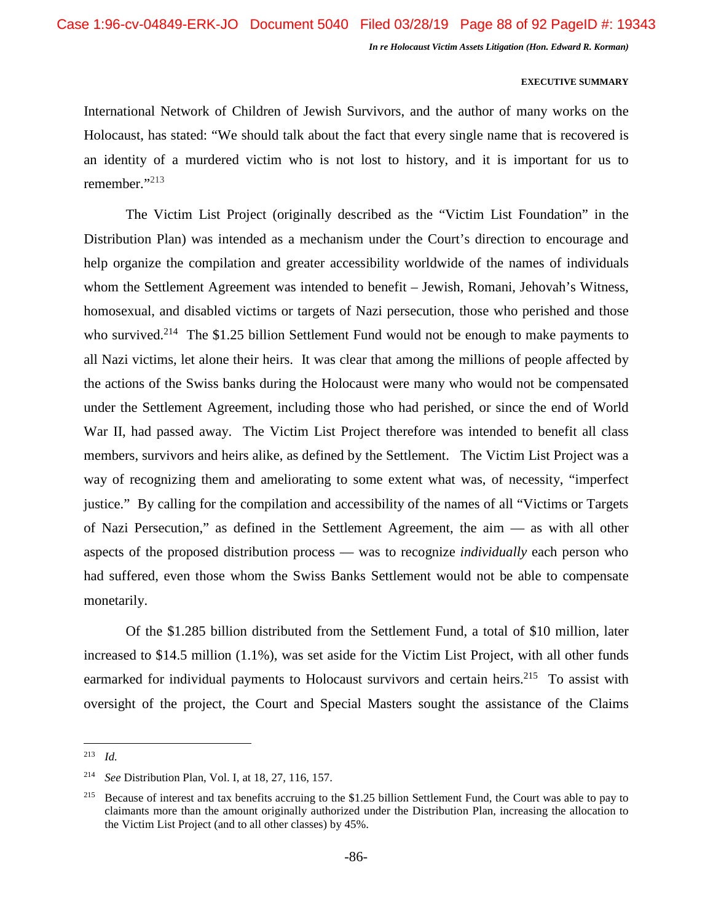#### **EXECUTIVE SUMMARY**

International Network of Children of Jewish Survivors, and the author of many works on the Holocaust, has stated: "We should talk about the fact that every single name that is recovered is an identity of a murdered victim who is not lost to history, and it is important for us to remember."<sup>213</sup>

The Victim List Project (originally described as the "Victim List Foundation" in the Distribution Plan) was intended as a mechanism under the Court's direction to encourage and help organize the compilation and greater accessibility worldwide of the names of individuals whom the Settlement Agreement was intended to benefit – Jewish, Romani, Jehovah's Witness, homosexual, and disabled victims or targets of Nazi persecution, those who perished and those who survived.<sup>214</sup> The \$1.25 billion Settlement Fund would not be enough to make payments to all Nazi victims, let alone their heirs. It was clear that among the millions of people affected by the actions of the Swiss banks during the Holocaust were many who would not be compensated under the Settlement Agreement, including those who had perished, or since the end of World War II, had passed away. The Victim List Project therefore was intended to benefit all class members, survivors and heirs alike, as defined by the Settlement. The Victim List Project was a way of recognizing them and ameliorating to some extent what was, of necessity, "imperfect justice." By calling for the compilation and accessibility of the names of all "Victims or Targets of Nazi Persecution," as defined in the Settlement Agreement, the aim — as with all other aspects of the proposed distribution process — was to recognize *individually* each person who had suffered, even those whom the Swiss Banks Settlement would not be able to compensate monetarily.

Of the \$1.285 billion distributed from the Settlement Fund, a total of \$10 million, later increased to \$14.5 million (1.1%), was set aside for the Victim List Project, with all other funds earmarked for individual payments to Holocaust survivors and certain heirs.<sup>215</sup> To assist with oversight of the project, the Court and Special Masters sought the assistance of the Claims

<sup>213</sup> *Id.*

<sup>214</sup> *See* Distribution Plan, Vol. I, at 18, 27, 116, 157.

<sup>&</sup>lt;sup>215</sup> Because of interest and tax benefits accruing to the \$1.25 billion Settlement Fund, the Court was able to pay to claimants more than the amount originally authorized under the Distribution Plan, increasing the allocation to the Victim List Project (and to all other classes) by 45%.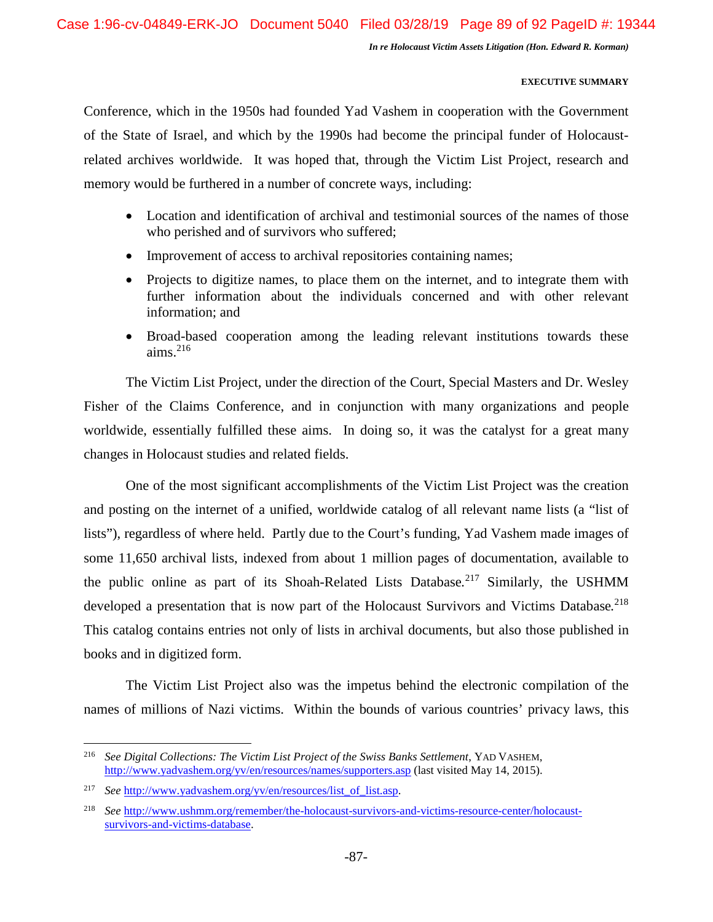### **EXECUTIVE SUMMARY**

Conference, which in the 1950s had founded Yad Vashem in cooperation with the Government of the State of Israel, and which by the 1990s had become the principal funder of Holocaustrelated archives worldwide. It was hoped that, through the Victim List Project, research and memory would be furthered in a number of concrete ways, including:

- Location and identification of archival and testimonial sources of the names of those who perished and of survivors who suffered;
- Improvement of access to archival repositories containing names;
- Projects to digitize names, to place them on the internet, and to integrate them with further information about the individuals concerned and with other relevant information; and
- Broad-based cooperation among the leading relevant institutions towards these aims. $^{216}$

The Victim List Project, under the direction of the Court, Special Masters and Dr. Wesley Fisher of the Claims Conference, and in conjunction with many organizations and people worldwide, essentially fulfilled these aims. In doing so, it was the catalyst for a great many changes in Holocaust studies and related fields.

One of the most significant accomplishments of the Victim List Project was the creation and posting on the internet of a unified, worldwide catalog of all relevant name lists (a "list of lists"), regardless of where held. Partly due to the Court's funding, Yad Vashem made images of some 11,650 archival lists, indexed from about 1 million pages of documentation, available to the public online as part of its Shoah-Related Lists Database*.* <sup>217</sup> Similarly, the USHMM developed a presentation that is now part of the Holocaust Survivors and Victims Database*.* 218 This catalog contains entries not only of lists in archival documents, but also those published in books and in digitized form.

The Victim List Project also was the impetus behind the electronic compilation of the names of millions of Nazi victims. Within the bounds of various countries' privacy laws, this

<sup>216</sup> *See Digital Collections: The Victim List Project of the Swiss Banks Settlement*, YAD VASHEM, http://www.yadvashem.org/yv/en/resources/names/supporters.asp (last visited May 14, 2015).

<sup>&</sup>lt;sup>217</sup> *See* http://www.yadvashem.org/yv/en/resources/list of list.asp.

<sup>218</sup> *See* http://www.ushmm.org/remember/the-holocaust-survivors-and-victims-resource-center/holocaustsurvivors-and-victims-database.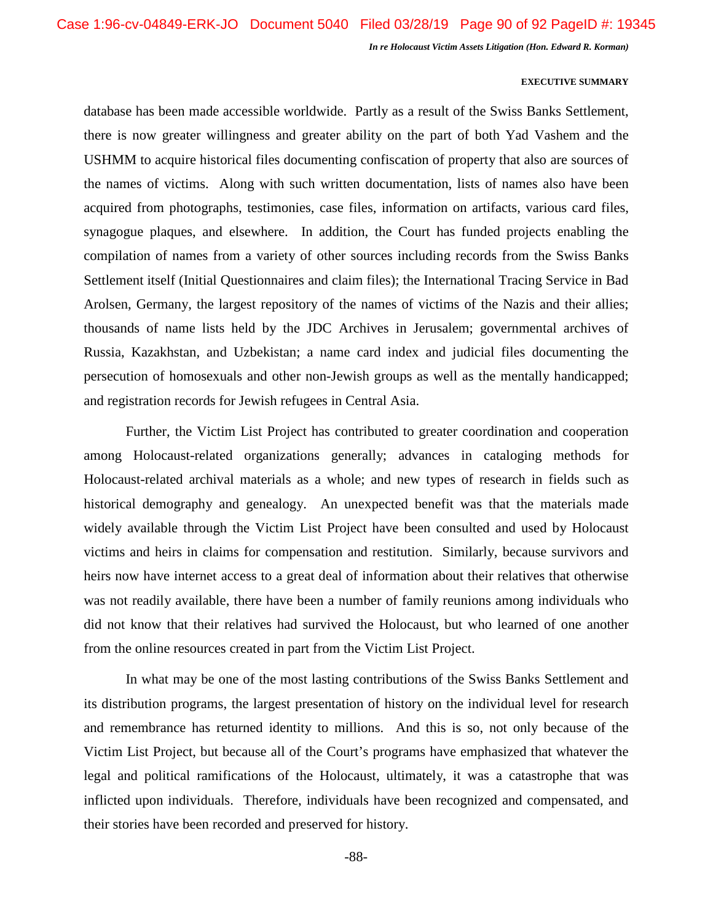#### **EXECUTIVE SUMMARY**

database has been made accessible worldwide. Partly as a result of the Swiss Banks Settlement, there is now greater willingness and greater ability on the part of both Yad Vashem and the USHMM to acquire historical files documenting confiscation of property that also are sources of the names of victims. Along with such written documentation, lists of names also have been acquired from photographs, testimonies, case files, information on artifacts, various card files, synagogue plaques, and elsewhere. In addition, the Court has funded projects enabling the compilation of names from a variety of other sources including records from the Swiss Banks Settlement itself (Initial Questionnaires and claim files); the International Tracing Service in Bad Arolsen, Germany, the largest repository of the names of victims of the Nazis and their allies; thousands of name lists held by the JDC Archives in Jerusalem; governmental archives of Russia, Kazakhstan, and Uzbekistan; a name card index and judicial files documenting the persecution of homosexuals and other non-Jewish groups as well as the mentally handicapped; and registration records for Jewish refugees in Central Asia.

Further, the Victim List Project has contributed to greater coordination and cooperation among Holocaust-related organizations generally; advances in cataloging methods for Holocaust-related archival materials as a whole; and new types of research in fields such as historical demography and genealogy. An unexpected benefit was that the materials made widely available through the Victim List Project have been consulted and used by Holocaust victims and heirs in claims for compensation and restitution. Similarly, because survivors and heirs now have internet access to a great deal of information about their relatives that otherwise was not readily available, there have been a number of family reunions among individuals who did not know that their relatives had survived the Holocaust, but who learned of one another from the online resources created in part from the Victim List Project.

In what may be one of the most lasting contributions of the Swiss Banks Settlement and its distribution programs, the largest presentation of history on the individual level for research and remembrance has returned identity to millions. And this is so, not only because of the Victim List Project, but because all of the Court's programs have emphasized that whatever the legal and political ramifications of the Holocaust, ultimately, it was a catastrophe that was inflicted upon individuals. Therefore, individuals have been recognized and compensated, and their stories have been recorded and preserved for history.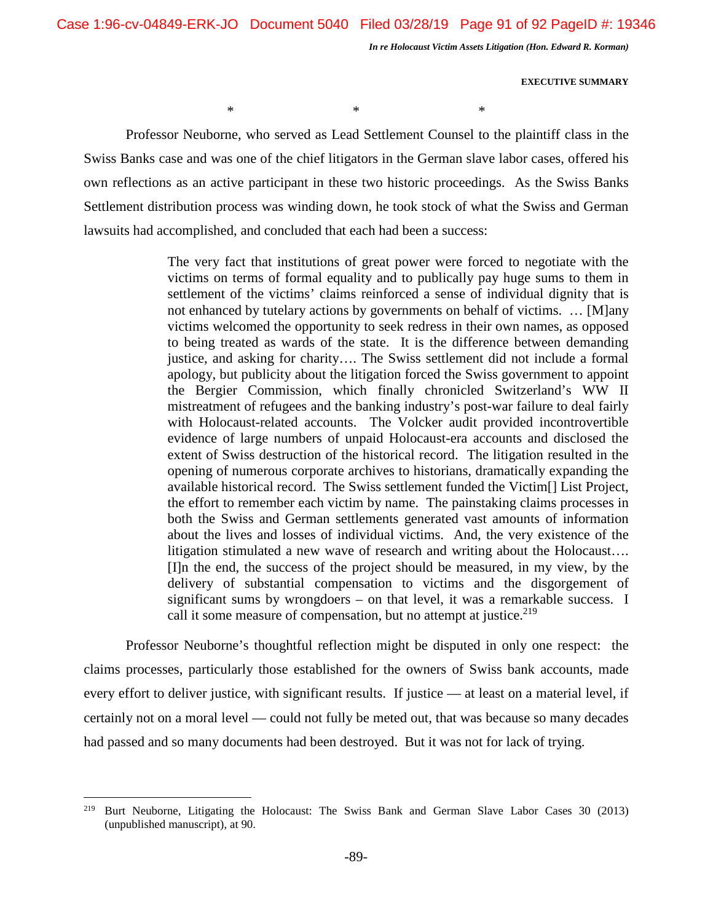$*$   $*$   $*$ 

*In re Holocaust Victim Assets Litigation (Hon. Edward R. Korman)* 

**EXECUTIVE SUMMARY** 

Professor Neuborne, who served as Lead Settlement Counsel to the plaintiff class in the Swiss Banks case and was one of the chief litigators in the German slave labor cases, offered his own reflections as an active participant in these two historic proceedings. As the Swiss Banks Settlement distribution process was winding down, he took stock of what the Swiss and German lawsuits had accomplished, and concluded that each had been a success:

> The very fact that institutions of great power were forced to negotiate with the victims on terms of formal equality and to publically pay huge sums to them in settlement of the victims' claims reinforced a sense of individual dignity that is not enhanced by tutelary actions by governments on behalf of victims. … [M]any victims welcomed the opportunity to seek redress in their own names, as opposed to being treated as wards of the state. It is the difference between demanding justice, and asking for charity…. The Swiss settlement did not include a formal apology, but publicity about the litigation forced the Swiss government to appoint the Bergier Commission, which finally chronicled Switzerland's WW II mistreatment of refugees and the banking industry's post-war failure to deal fairly with Holocaust-related accounts. The Volcker audit provided incontrovertible evidence of large numbers of unpaid Holocaust-era accounts and disclosed the extent of Swiss destruction of the historical record. The litigation resulted in the opening of numerous corporate archives to historians, dramatically expanding the available historical record. The Swiss settlement funded the Victim[] List Project, the effort to remember each victim by name. The painstaking claims processes in both the Swiss and German settlements generated vast amounts of information about the lives and losses of individual victims. And, the very existence of the litigation stimulated a new wave of research and writing about the Holocaust…. [I]n the end, the success of the project should be measured, in my view, by the delivery of substantial compensation to victims and the disgorgement of significant sums by wrongdoers – on that level, it was a remarkable success. I call it some measure of compensation, but no attempt at justice.<sup>219</sup>

Professor Neuborne's thoughtful reflection might be disputed in only one respect: the claims processes, particularly those established for the owners of Swiss bank accounts, made every effort to deliver justice, with significant results. If justice — at least on a material level, if certainly not on a moral level — could not fully be meted out, that was because so many decades had passed and so many documents had been destroyed. But it was not for lack of trying.

<sup>&</sup>lt;sup>219</sup> Burt Neuborne, Litigating the Holocaust: The Swiss Bank and German Slave Labor Cases 30 (2013) (unpublished manuscript), at 90.